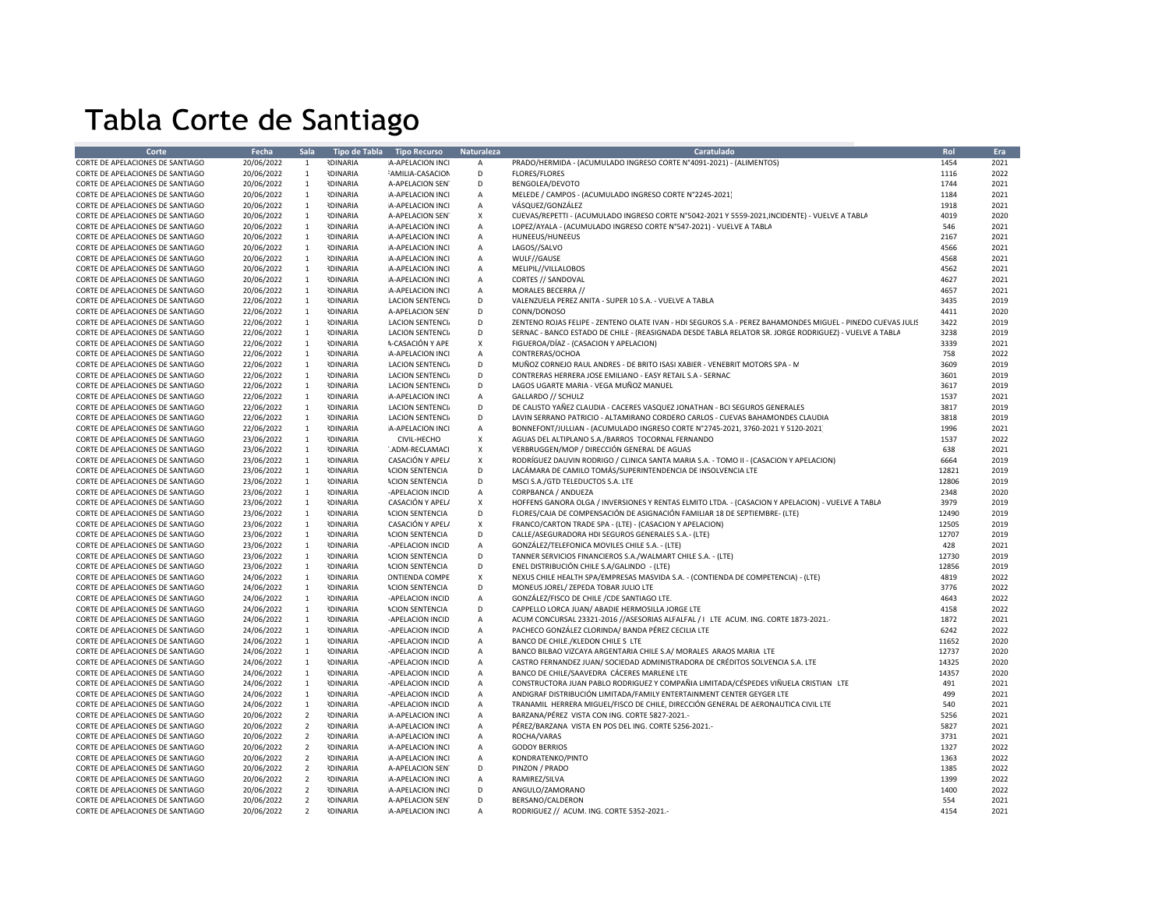## Tabla Corte de Santiago

| Corte                                                                | Fecha                    | <b>Sala</b>                  |                                    | Tipo de Tabla Tipo Recurso           | Naturaleza         | Caratulado                                                                                                  | Rol          | Era          |
|----------------------------------------------------------------------|--------------------------|------------------------------|------------------------------------|--------------------------------------|--------------------|-------------------------------------------------------------------------------------------------------------|--------------|--------------|
| CORTE DE APELACIONES DE SANTIAGO                                     | 20/06/2022               | 1                            | <b>IDINARIA</b>                    | A-APELACION INCI                     | A                  | PRADO/HERMIDA - (ACUMULADO INGRESO CORTE Nº4091-2021) - (ALIMENTOS)                                         | 1454         | 2021         |
| CORTE DE APELACIONES DE SANTIAGO                                     | 20/06/2022               | $\mathbf{1}$                 | <b>NDINARIA</b>                    | <b>AMILIA-CASACION</b>               | D                  | <b>FLORES/FLORES</b>                                                                                        | 1116         | 2022         |
| CORTE DE APELACIONES DE SANTIAGO                                     | 20/06/2022               | $\mathbf{1}$                 | <b>IDINARIA</b>                    | A-APELACION SEN                      | D                  | BENGOLEA/DEVOTO                                                                                             | 1744         | 2021         |
| CORTE DE APELACIONES DE SANTIAGO                                     | 20/06/2022               | $\mathbf{1}$                 | <b>IDINARIA</b>                    | A-APELACION INCI                     | A                  | MELEDE / CAMPOS - (ACUMULADO INGRESO CORTE N°2245-2021)                                                     | 1184         | 2021         |
| CORTE DE APELACIONES DE SANTIAGO                                     |                          | $\mathbf{1}$                 | <b>RDINARIA</b>                    | A-APELACION INCI                     |                    | VÁSQUEZ/GONZÁLEZ                                                                                            | 1918         | 2021         |
| CORTE DE APELACIONES DE SANTIAGO                                     | 20/06/2022<br>20/06/2022 | $\mathbf{1}$                 | <b>IDINARIA</b>                    | A-APELACION SEN                      | А<br>X             | CUEVAS/REPETTI - (ACUMULADO INGRESO CORTE N°5042-2021 Y 5559-2021, INCIDENTE) - VUELVE A TABLA              | 4019         | 2020         |
|                                                                      |                          |                              |                                    |                                      |                    |                                                                                                             | 546          | 2021         |
| CORTE DE APELACIONES DE SANTIAGO                                     | 20/06/2022               | $\mathbf{1}$                 | <b>RDINARIA</b>                    | A-APELACION INCI                     | $\mathsf A$        | LOPEZ/AYALA - (ACUMULADO INGRESO CORTE Nº547-2021) - VUELVE A TABLA                                         |              |              |
| CORTE DE APELACIONES DE SANTIAGO                                     | 20/06/2022               | $\mathbf{1}$<br><sup>1</sup> | <b>RDINARIA</b>                    | A-APELACION INCI                     | $\mathsf A$        | HUNEEUS/HUNEEUS                                                                                             | 2167<br>4566 | 2021<br>2021 |
| CORTE DE APELACIONES DE SANTIAGO                                     | 20/06/2022               |                              | <b>IDINARIA</b>                    | A-APELACION INCI                     | Α                  | LAGOS//SALVO                                                                                                | 4568         | 2021         |
| CORTE DE APELACIONES DE SANTIAGO                                     | 20/06/2022               | $\mathbf{1}$                 | <b>RDINARIA</b>                    | A-APELACION INCI                     | А                  | WULF//GAUSE                                                                                                 |              | 2021         |
| CORTE DE APELACIONES DE SANTIAGO<br>CORTE DE APELACIONES DE SANTIAGO | 20/06/2022               | $\mathbf{1}$<br>$\mathbf{1}$ | <b>IDINARIA</b><br><b>IDINARIA</b> | A-APELACION INCI<br>A-APELACION INCI | А<br>A             | MELIPIL//VILLALOBOS<br>CORTES // SANDOVAL                                                                   | 4562<br>4627 | 2021         |
|                                                                      | 20/06/2022               |                              |                                    |                                      |                    |                                                                                                             |              |              |
| CORTE DE APELACIONES DE SANTIAGO                                     | 20/06/2022               | $\mathbf{1}$                 | <b>NDINARIA</b>                    | A-APELACION INCI                     | $\mathsf A$<br>D   | MORALES BECERRA //                                                                                          | 4657         | 2021         |
| CORTE DE APELACIONES DE SANTIAGO                                     | 22/06/2022               | $\mathbf{1}$                 | <b>RDINARIA</b><br><b>NDINARIA</b> | <b>LACION SENTENCI</b>               | D                  | VALENZUELA PEREZ ANITA - SUPER 10 S.A. - VUELVE A TABLA                                                     | 3435<br>4411 | 2019<br>2020 |
| CORTE DE APELACIONES DE SANTIAGO                                     | 22/06/2022               | $\mathbf{1}$                 |                                    | A-APELACION SEN                      | D                  | CONN/DONOSO                                                                                                 |              |              |
| CORTE DE APELACIONES DE SANTIAGO                                     | 22/06/2022               | <sup>1</sup>                 | <b>IDINARIA</b>                    | <b>LACION SENTENCI</b>               | D                  | ZENTENO ROJAS FELIPE - ZENTENO OLATE IVAN - HDI SEGUROS S.A - PEREZ BAHAMONDES MIGUEL - PINEDO CUEVAS JULIS | 3422<br>3238 | 2019         |
| CORTE DE APELACIONES DE SANTIAGO                                     | 22/06/2022               | <sup>1</sup>                 | <b>IDINARIA</b>                    | <b>LACION SENTENCI</b>               |                    | SERNAC - BANCO ESTADO DE CHILE - (REASIGNADA DESDE TABLA RELATOR SR. JORGE RODRIGUEZ) - VUELVE A TABLA      |              | 2019         |
| CORTE DE APELACIONES DE SANTIAGO                                     | 22/06/2022               | $\mathbf{1}$                 | <b>IDINARIA</b>                    | <b>A-CASACIÓN Y APE</b>              | $\pmb{\mathsf{X}}$ | FIGUEROA/DÍAZ - (CASACION Y APELACION)                                                                      | 3339         | 2021         |
| CORTE DE APELACIONES DE SANTIAGO                                     | 22/06/2022               | <sup>1</sup>                 | <b>RDINARIA</b>                    | A-APELACION INCI                     | А<br>D             | CONTRERAS/OCHOA                                                                                             | 758          | 2022         |
| CORTE DE APELACIONES DE SANTIAGO                                     | 22/06/2022               | $\mathbf{1}$                 | <b>IDINARIA</b>                    | <b>LACION SENTENCIA</b>              |                    | MUÑOZ CORNEJO RAUL ANDRES - DE BRITO ISASI XABIER - VENEBRIT MOTORS SPA - M                                 | 3609         | 2019         |
| CORTE DE APELACIONES DE SANTIAGO                                     | 22/06/2022               | $\mathbf{1}$                 | <b>RDINARIA</b>                    | <b>LACION SENTENCIA</b>              | D<br>D             | CONTRERAS HERRERA JOSE EMILIANO - EASY RETAIL S.A - SERNAC                                                  | 3601         | 2019         |
| CORTE DE APELACIONES DE SANTIAGO                                     | 22/06/2022               | $\mathbf{1}$                 | <b>RDINARIA</b>                    | <b>LACION SENTENCIA</b>              |                    | LAGOS UGARTE MARIA - VEGA MUÑOZ MANUEL                                                                      | 3617         | 2019         |
| CORTE DE APELACIONES DE SANTIAGO                                     | 22/06/2022               | $\mathbf{1}$                 | <b>IDINARIA</b>                    | A-APELACION INCI                     | А                  | GALLARDO // SCHULZ                                                                                          | 1537         | 2021         |
| CORTE DE APELACIONES DE SANTIAGO                                     | 22/06/2022               | $\mathbf{1}$                 | <b>RDINARIA</b>                    | <b>LACION SENTENCI</b>               | D                  | DE CALISTO YAÑEZ CLAUDIA - CACERES VASQUEZ JONATHAN - BCI SEGUROS GENERALES                                 | 3817         | 2019<br>2019 |
| CORTE DE APELACIONES DE SANTIAGO                                     | 22/06/2022               | $\mathbf{1}$                 | <b>RDINARIA</b>                    | <b>LACION SENTENCIA</b>              | D                  | LAVIN SERRANO PATRICIO - ALTAMIRANO CORDERO CARLOS - CUEVAS BAHAMONDES CLAUDIA                              | 3818<br>1996 | 2021         |
| CORTE DE APELACIONES DE SANTIAGO                                     | 22/06/2022               | <sup>1</sup>                 | <b>IDINARIA</b>                    | A-APELACION INCI                     | A                  | BONNEFONT/JULLIAN - (ACUMULADO INGRESO CORTE N°2745-2021, 3760-2021 Y 5120-2021)                            |              |              |
| CORTE DE APELACIONES DE SANTIAGO                                     | 23/06/2022               | 1                            | <b>RDINARIA</b>                    | CIVIL-HECHO                          | $\pmb{\times}$     | AGUAS DEL ALTIPLANO S.A./BARROS TOCORNAL FERNANDO                                                           | 1537         | 2022         |
| CORTE DE APELACIONES DE SANTIAGO                                     | 23/06/2022               | $\mathbf{1}$                 | <b>IDINARIA</b>                    | '.ADM-RECLAMACI                      | $\pmb{\times}$     | VERBRUGGEN/MOP / DIRECCIÓN GENERAL DE AGUAS                                                                 | 638          | 2021         |
| CORTE DE APELACIONES DE SANTIAGO                                     | 23/06/2022               | $\mathbf{1}$                 | <b>NDINARIA</b>                    | CASACIÓN Y APEL/                     | X                  | RODRÍGUEZ DAUVIN RODRIGO / CLINICA SANTA MARIA S.A. - TOMO II - (CASACION Y APELACION)                      | 6664         | 2019         |
| CORTE DE APELACIONES DE SANTIAGO                                     | 23/06/2022               | $\mathbf{1}$                 | <b>IDINARIA</b>                    | <b>ACION SENTENCIA</b>               | D                  | LACÁMARA DE CAMILO TOMÁS/SUPERINTENDENCIA DE INSOLVENCIA LTE                                                | 12821        | 2019         |
| CORTE DE APELACIONES DE SANTIAGO                                     | 23/06/2022               | <sup>1</sup>                 | <b>IDINARIA</b>                    | <b>ACION SENTENCIA</b>               | D                  | MSCI S.A./GTD TELEDUCTOS S.A. LTE                                                                           | 12806        | 2019         |
| CORTE DE APELACIONES DE SANTIAGO                                     | 23/06/2022               | $\mathbf{1}$                 | <b>RDINARIA</b>                    | -APELACION INCID                     | A                  | CORPBANCA / ANDUEZA                                                                                         | 2348         | 2020         |
| CORTE DE APELACIONES DE SANTIAGO                                     | 23/06/2022               | $\mathbf{1}$                 | <b>IDINARIA</b>                    | CASACIÓN Y APEL/                     | $\pmb{\times}$     | HOFFENS GANORA OLGA / INVERSIONES Y RENTAS ELMITO LTDA. - (CASACION Y APELACION) - VUELVE A TABLA           | 3979         | 2019         |
| CORTE DE APELACIONES DE SANTIAGO                                     | 23/06/2022               | $\mathbf{1}$                 | <b>IDINARIA</b>                    | <b>ACION SENTENCIA</b>               | D                  | FLORES/CAJA DE COMPENSACIÓN DE ASIGNACIÓN FAMILIAR 18 DE SEPTIEMBRE- (LTE)                                  | 12490        | 2019         |
| CORTE DE APELACIONES DE SANTIAGO                                     | 23/06/2022               | $\mathbf{1}$                 | <b>RDINARIA</b>                    | CASACIÓN Y APEL/                     | $\mathsf X$        | FRANCO/CARTON TRADE SPA - (LTE) - (CASACION Y APELACION)                                                    | 12505        | 2019         |
| CORTE DE APELACIONES DE SANTIAGO                                     | 23/06/2022               | $\mathbf{1}$                 | <b>RDINARIA</b>                    | <b>ACION SENTENCIA</b>               | D                  | CALLE/ASEGURADORA HDI SEGUROS GENERALES S.A.- (LTE)                                                         | 12707        | 2019         |
| CORTE DE APELACIONES DE SANTIAGO                                     | 23/06/2022               | $\mathbf{1}$                 | <b>IDINARIA</b>                    | -APELACION INCID                     | А                  | GONZÁLEZ/TELEFONICA MOVILES CHILE S.A. - (LTE)                                                              | 428          | 2021         |
| CORTE DE APELACIONES DE SANTIAGO                                     | 23/06/2022               | $\mathbf{1}$                 | <b>IDINARIA</b>                    | <b>ACION SENTENCIA</b>               | D                  | TANNER SERVICIOS FINANCIEROS S.A./WALMART CHILE S.A. - (LTE)                                                | 12730        | 2019         |
| CORTE DE APELACIONES DE SANTIAGO                                     | 23/06/2022               | $\mathbf{1}$                 | <b>IDINARIA</b>                    | <b>ACION SENTENCIA</b>               | D                  | ENEL DISTRIBUCIÓN CHILE S.A/GALINDO - (LTE)                                                                 | 12856        | 2019         |
| CORTE DE APELACIONES DE SANTIAGO                                     | 24/06/2022               | $\mathbf{1}$                 | <b>RDINARIA</b>                    | <b><i>ONTIENDA COMPE</i></b>         | X                  | NEXUS CHILE HEALTH SPA/EMPRESAS MASVIDA S.A. - (CONTIENDA DE COMPETENCIA) - (LTE)                           | 4819         | 2022         |
| CORTE DE APELACIONES DE SANTIAGO                                     | 24/06/2022               | 1                            | <b>RDINARIA</b>                    | <b>ACION SENTENCIA</b>               | D                  | MONEUS JOREL/ ZEPEDA TOBAR JULIO LTE                                                                        | 3776         | 2022         |
| CORTE DE APELACIONES DE SANTIAGO                                     | 24/06/2022               | $\mathbf{1}$                 | <b>RDINARIA</b>                    | -APELACION INCID                     | A                  | GONZÁLEZ/FISCO DE CHILE / CDE SANTIAGO LTE.                                                                 | 4643         | 2022         |
| CORTE DE APELACIONES DE SANTIAGO                                     | 24/06/2022               | $\mathbf{1}$                 | <b>NDINARIA</b>                    | <b>ACION SENTENCIA</b>               | D                  | CAPPELLO LORCA JUAN/ ABADIE HERMOSILLA JORGE LTE                                                            | 4158         | 2022         |
| CORTE DE APELACIONES DE SANTIAGO                                     | 24/06/2022               | <sup>1</sup>                 | <b>IDINARIA</b>                    | -APELACION INCID                     | A                  | ACUM CONCURSAL 23321-2016 //ASESORIAS ALFALFAL / I LTE ACUM. ING. CORTE 1873-2021.                          | 1872         | 2021         |
| CORTE DE APELACIONES DE SANTIAGO                                     | 24/06/2022               | $\mathbf{1}$                 | <b>IDINARIA</b>                    | -APELACION INCID                     | А                  | PACHECO GONZÁLEZ CLORINDA/ BANDA PÉREZ CECILIA LTE                                                          | 6242         | 2022         |
| CORTE DE APELACIONES DE SANTIAGO                                     | 24/06/2022               | $\mathbf{1}$                 | <b>RDINARIA</b>                    | -APELACION INCID                     | $\mathsf A$        | BANCO DE CHILE./KLEDON CHILE S LTE                                                                          | 11652        | 2020         |
| CORTE DE APELACIONES DE SANTIAGO                                     | 24/06/2022               | $\mathbf{1}$                 | <b>RDINARIA</b>                    | -APELACION INCID                     | А                  | BANCO BILBAO VIZCAYA ARGENTARIA CHILE S.A/ MORALES ARAOS MARIA LTE                                          | 12737        | 2020         |
| CORTE DE APELACIONES DE SANTIAGO                                     | 24/06/2022               | <sup>1</sup>                 | <b>IDINARIA</b>                    | -APELACION INCID                     | Α                  | CASTRO FERNANDEZ JUAN/ SOCIEDAD ADMINISTRADORA DE CRÉDITOS SOLVENCIA S.A. LTE                               | 14325        | 2020         |
| CORTE DE APELACIONES DE SANTIAGO                                     | 24/06/2022               | $\mathbf{1}$                 | <b>RDINARIA</b>                    | -APELACION INCID                     | А                  | BANCO DE CHILE/SAAVEDRA CÁCERES MARLENE LTE                                                                 | 14357        | 2020         |
| CORTE DE APELACIONES DE SANTIAGO                                     | 24/06/2022               | $\mathbf{1}$                 | <b>RDINARIA</b>                    | -APELACION INCID                     | А                  | CONSTRUCTORA JUAN PABLO RODRIGUEZ Y COMPAÑIA LIMITADA/CÉSPEDES VIÑUELA CRISTIAN LTE                         | 491          | 2021         |
| CORTE DE APELACIONES DE SANTIAGO                                     | 24/06/2022               | $\mathbf{1}$                 | <b>IDINARIA</b>                    | -APELACION INCID                     | Α                  | ANDIGRAF DISTRIBUCIÓN LIMITADA/FAMILY ENTERTAINMENT CENTER GEYGER LTE                                       | 499          | 2021         |
| CORTE DE APELACIONES DE SANTIAGO                                     | 24/06/2022               | $\mathbf{1}$                 | <b>RDINARIA</b>                    | -APELACION INCID                     | А                  | TRANAMIL HERRERA MIGUEL/FISCO DE CHILE, DIRECCIÓN GENERAL DE AERONAUTICA CIVIL LTE                          | 540          | 2021         |
| CORTE DE APELACIONES DE SANTIAGO                                     | 20/06/2022               | $\overline{2}$               | <b>RDINARIA</b>                    | A-APELACION INCI                     | $\mathsf A$        | BARZANA/PÉREZ VISTA CON ING. CORTE 5827-2021.-                                                              | 5256         | 2021         |
| CORTE DE APELACIONES DE SANTIAGO                                     | 20/06/2022               | $\overline{2}$               | <b>RDINARIA</b>                    | A-APELACION INCI                     | Α                  | PÉREZ/BARZANA VISTA EN POS DEL ING. CORTE 5256-2021.-                                                       | 5827         | 2021         |
| CORTE DE APELACIONES DE SANTIAGO                                     | 20/06/2022               | $\overline{2}$               | <b>IDINARIA</b>                    | A-APELACION INCI                     | Α                  | ROCHA/VARAS                                                                                                 | 3731         | 2021         |
| CORTE DE APELACIONES DE SANTIAGO                                     | 20/06/2022               | $\overline{2}$               | <b>IDINARIA</b>                    | A-APELACION INCI                     | А                  | <b>GODOY BERRIOS</b>                                                                                        | 1327         | 2022         |
| CORTE DE APELACIONES DE SANTIAGO                                     | 20/06/2022               | $\overline{2}$               | <b>RDINARIA</b>                    | A-APELACION INCI                     | А                  | KONDRATENKO/PINTO                                                                                           | 1363         | 2022         |
| CORTE DE APELACIONES DE SANTIAGO                                     | 20/06/2022               | $\overline{2}$               | <b>IDINARIA</b>                    | A-APELACION SEN                      | D                  | PINZON / PRADO                                                                                              | 1385         | 2022         |
| CORTE DE APELACIONES DE SANTIAGO                                     | 20/06/2022               | $\overline{2}$               | <b>IDINARIA</b>                    | A-APELACION INCI                     | Α                  | RAMIREZ/SILVA                                                                                               | 1399         | 2022         |
| CORTE DE APELACIONES DE SANTIAGO                                     | 20/06/2022               | $\overline{2}$               | <b>RDINARIA</b>                    | A-APELACION INCI                     | D                  | ANGULO/ZAMORANO                                                                                             | 1400         | 2022         |
| CORTE DE APELACIONES DE SANTIAGO                                     | 20/06/2022               | $\overline{2}$               | <b>IDINARIA</b>                    | A-APELACION SEN                      | D                  | BERSANO/CALDERON                                                                                            | 554          | 2021         |
| CORTE DE APELACIONES DE SANTIAGO                                     | 20/06/2022               | $\overline{2}$               | <b>IDINARIA</b>                    | A-APELACION INCI                     | A                  | RODRIGUEZ // ACUM. ING. CORTE 5352-2021.-                                                                   | 4154         | 2021         |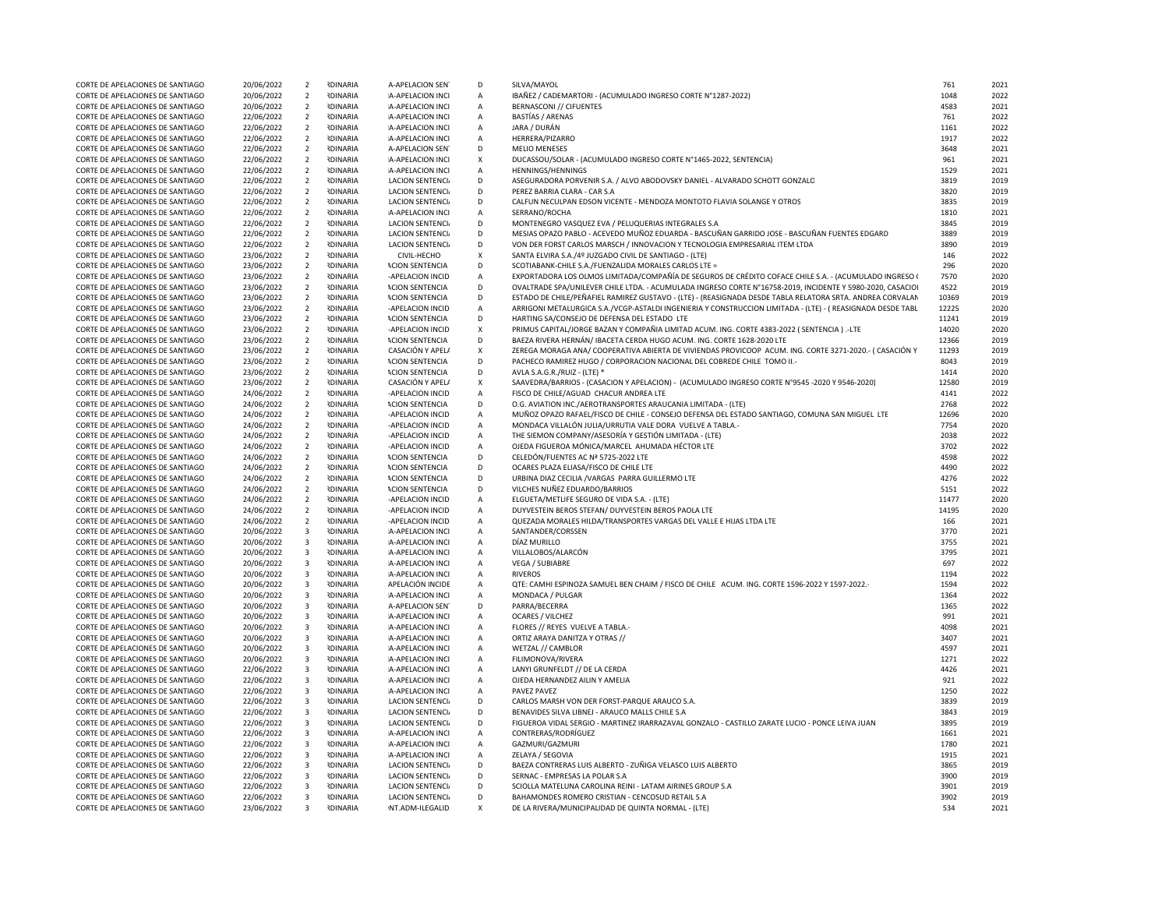| CORTE DE APELACIONES DE SANTIAGO | 20/06/2022 | $\overline{2}$          | <b>RDINARIA</b> | A-APELACION SEN         | D                         | SILVA/MAYOL                                                                                                 | 761   | 2021 |
|----------------------------------|------------|-------------------------|-----------------|-------------------------|---------------------------|-------------------------------------------------------------------------------------------------------------|-------|------|
| CORTE DE APELACIONES DE SANTIAGO | 20/06/2022 | $\overline{2}$          | <b>RDINARIA</b> | A-APELACION INCI        | Α                         | IBAÑEZ / CADEMARTORI - (ACUMULADO INGRESO CORTE Nº1287-2022)                                                | 1048  | 2022 |
| CORTE DE APELACIONES DE SANTIAGO | 20/06/2022 | $\overline{2}$          | <b>IDINARIA</b> | A-APELACION INCI        | $\mathsf{A}$              | <b>BERNASCONI // CIFUENTES</b>                                                                              | 4583  | 2021 |
| CORTE DE APELACIONES DE SANTIAGO | 22/06/2022 | $\overline{2}$          | <b>IDINARIA</b> | A-APELACION INCI        | A                         | <b>BASTÍAS / ARENAS</b>                                                                                     | 761   | 2022 |
| CORTE DE APELACIONES DE SANTIAGO | 22/06/2022 | $\overline{2}$          | <b>RDINARIA</b> | A-APELACION INCI        | $\mathsf{A}$              | JARA / DURÁN                                                                                                | 1161  | 2022 |
| CORTE DE APELACIONES DE SANTIAGO | 22/06/2022 | $\overline{2}$          | <b>NDINARIA</b> | A-APELACION INCI        | $\mathsf{A}$              | HERRERA/PIZARRO                                                                                             | 1917  | 2022 |
| CORTE DE APELACIONES DE SANTIAGO | 22/06/2022 | $\overline{2}$          | <b>RDINARIA</b> | A-APELACION SEN         | D                         | <b>MELIO MENESES</b>                                                                                        | 3648  | 2021 |
| CORTE DE APELACIONES DE SANTIAGO | 22/06/2022 | $\overline{2}$          | <b>RDINARIA</b> | A-APELACION INCI        | X                         | DUCASSOU/SOLAR - (ACUMULADO INGRESO CORTE N°1465-2022, SENTENCIA)                                           | 961   | 2021 |
| CORTE DE APELACIONES DE SANTIAGO | 22/06/2022 | $\overline{2}$          | <b>IDINARIA</b> | A-APELACION INCI        | $\mathsf{A}$              | HENNINGS/HENNINGS                                                                                           | 1529  | 2021 |
| CORTE DE APELACIONES DE SANTIAGO | 22/06/2022 | $\overline{2}$          | <b>IDINARIA</b> | <b>LACION SENTENCIA</b> | D                         | ASEGURADORA PORVENIR S.A. / ALVO ABODOVSKY DANIEL - ALVARADO SCHOTT GONZALO                                 | 3819  | 2019 |
| CORTE DE APELACIONES DE SANTIAGO | 22/06/2022 | $\overline{2}$          | <b>RDINARIA</b> | LACION SENTENCIA        | D                         | PEREZ BARRIA CLARA - CAR S.A                                                                                | 3820  | 2019 |
| CORTE DE APELACIONES DE SANTIAGO | 22/06/2022 | $\overline{2}$          | <b>IDINARIA</b> | <b>LACION SENTENCIA</b> | D                         | CALFUN NECULPAN EDSON VICENTE - MENDOZA MONTOTO FLAVIA SOLANGE Y OTROS                                      | 3835  | 2019 |
| CORTE DE APELACIONES DE SANTIAGO | 22/06/2022 | $\overline{2}$          | <b>IDINARIA</b> | A-APELACION INCI        | $\mathsf{A}$              | SERRANO/ROCHA                                                                                               | 1810  | 2021 |
| CORTE DE APELACIONES DE SANTIAGO | 22/06/2022 | $\overline{2}$          | <b>RDINARIA</b> | <b>LACION SENTENCI</b>  | D                         | MONTENEGRO VASQUEZ EVA / PELUQUERIAS INTEGRALES S.A                                                         | 3845  | 2019 |
| CORTE DE APELACIONES DE SANTIAGO | 22/06/2022 | $\overline{2}$          | <b>IDINARIA</b> | <b>LACION SENTENCI</b>  | D                         | MESIAS OPAZO PABLO - ACEVEDO MUÑOZ EDUARDA - BASCUÑAN GARRIDO JOSE - BASCUÑAN FUENTES EDGARD                | 3889  | 2019 |
| CORTE DE APELACIONES DE SANTIAGO | 22/06/2022 | $\overline{2}$          | <b>IDINARIA</b> | <b>LACION SENTENCI</b>  | D                         | VON DER FORST CARLOS MARSCH / INNOVACION Y TECNOLOGIA EMPRESARIAL ITEM LTDA                                 | 3890  | 2019 |
| CORTE DE APELACIONES DE SANTIAGO | 23/06/2022 | $\overline{2}$          | <b>IDINARIA</b> | CIVIL-HECHO             | X                         | SANTA ELVIRA S.A./4º JUZGADO CIVIL DE SANTIAGO - (LTE)                                                      | 146   | 2022 |
| CORTE DE APELACIONES DE SANTIAGO | 23/06/2022 | $\overline{2}$          | <b>IDINARIA</b> | <b>ACION SENTENCIA</b>  | D                         | SCOTIABANK-CHILE S.A./FUENZALIDA MORALES CARLOS LTE =                                                       | 296   | 2020 |
| CORTE DE APELACIONES DE SANTIAGO | 23/06/2022 | $\overline{2}$          | <b>IDINARIA</b> | -APELACION INCID        | Α                         | EXPORTADORA LOS OLMOS LIMITADA/COMPAÑÍA DE SEGUROS DE CRÉDITO COFACE CHILE S.A. - (ACUMULADO INGRESO (      | 7570  | 2020 |
| CORTE DE APELACIONES DE SANTIAGO | 23/06/2022 | $\overline{2}$          | <b>RDINARIA</b> | <b>ACION SENTENCIA</b>  | D                         | OVALTRADE SPA/UNILEVER CHILE LTDA. - ACUMULADA INGRESO CORTE N°16758-2019, INCIDENTE Y 5980-2020, CASACIOI  | 4522  | 2019 |
| CORTE DE APELACIONES DE SANTIAGO | 23/06/2022 | $\overline{2}$          | <b>RDINARIA</b> | <b>ACION SENTENCIA</b>  | D                         | ESTADO DE CHILE/PEÑAFIEL RAMIREZ GUSTAVO - (LTE) - (REASIGNADA DESDE TABLA RELATORA SRTA. ANDREA CORVALAN   | 10369 | 2019 |
| CORTE DE APELACIONES DE SANTIAGO | 23/06/2022 | 2                       | <b>NDINARIA</b> | -APELACION INCID        | $\mathsf A$               | ARRIGONI METALURGICA S.A./VCGP-ASTALDI INGENIERIA Y CONSTRUCCION LIMITADA - (LTE) - ( REASIGNADA DESDE TABL | 12225 | 2020 |
| CORTE DE APELACIONES DE SANTIAGO | 23/06/2022 | $\overline{2}$          | <b>IDINARIA</b> | <b>ACION SENTENCIA</b>  | D                         | HARTING SA/CONSEJO DE DEFENSA DEL ESTADO LTE                                                                | 11241 | 2019 |
| CORTE DE APELACIONES DE SANTIAGO | 23/06/2022 | $\overline{2}$          | <b>IDINARIA</b> | -APELACION INCID        | $\boldsymbol{\mathsf{x}}$ | PRIMUS CAPITAL/JORGE BAZAN Y COMPAÑIA LIMITAD ACUM. ING. CORTE 4383-2022 (SENTENCIA).-LTE                   | 14020 | 2020 |
| CORTE DE APELACIONES DE SANTIAGO | 23/06/2022 | $\overline{2}$          | <b>IDINARIA</b> | <b>ACION SENTENCIA</b>  | D                         | BAEZA RIVERA HERNÁN/ IBACETA CERDA HUGO ACUM. ING. CORTE 1628-2020 LTE                                      | 12366 | 2019 |
| CORTE DE APELACIONES DE SANTIAGO | 23/06/2022 | $\overline{2}$          | <b>RDINARIA</b> | CASACIÓN Y APEL/        | $\pmb{\times}$            | ZEREGA MORAGA ANA/ COOPERATIVA ABIERTA DE VIVIENDAS PROVICOOP ACUM. ING. CORTE 3271-2020.- (CASACIÓN Y      | 11293 | 2019 |
| CORTE DE APELACIONES DE SANTIAGO | 23/06/2022 | $\overline{2}$          | <b>IDINARIA</b> | <b>ACION SENTENCIA</b>  | D                         | PACHECO RAMIREZ HUGO / CORPORACION NACIONAL DEL COBREDE CHILE TOMO II.-                                     | 8043  | 2019 |
| CORTE DE APELACIONES DE SANTIAGO | 23/06/2022 | $\overline{2}$          | <b>IDINARIA</b> | <b>ACION SENTENCIA</b>  | D                         | AVLA S.A.G.R./RUIZ - (LTE) *                                                                                | 1414  | 2020 |
| CORTE DE APELACIONES DE SANTIAGO | 23/06/2022 | $\overline{2}$          | <b>RDINARIA</b> | CASACIÓN Y APEL/        | $\pmb{\mathsf{X}}$        | SAAVEDRA/BARRIOS - (CASACION Y APELACION) - (ACUMULADO INGRESO CORTE Nº9545 -2020 Y 9546-2020)              | 12580 | 2019 |
| CORTE DE APELACIONES DE SANTIAGO | 24/06/2022 | $\overline{2}$          | <b>IDINARIA</b> | -APELACION INCID        | $\mathsf{A}$              | FISCO DE CHILE/AGUAD CHACUR ANDREA LTE                                                                      | 4141  | 2022 |
| CORTE DE APELACIONES DE SANTIAGO | 24/06/2022 | $\overline{2}$          | <b>NDINARIA</b> | <b>ACION SENTENCIA</b>  | D                         | O.G. AVIATION INC./AEROTRANSPORTES ARAUCANIA LIMITADA - (LTE)                                               | 2768  | 2022 |
| CORTE DE APELACIONES DE SANTIAGO | 24/06/2022 | $\overline{2}$          | <b>IDINARIA</b> | -APELACION INCID        | А                         | MUÑOZ OPAZO RAFAEL/FISCO DE CHILE - CONSEJO DEFENSA DEL ESTADO SANTIAGO, COMUNA SAN MIGUEL LTE              | 12696 | 2020 |
| CORTE DE APELACIONES DE SANTIAGO | 24/06/2022 | $\overline{2}$          | <b>IDINARIA</b> | -APELACION INCID        | А                         | MONDACA VILLALÓN JULIA/URRUTIA VALE DORA VUELVE A TABLA.-                                                   | 7754  | 2020 |
| CORTE DE APELACIONES DE SANTIAGO | 24/06/2022 | $\overline{2}$          | <b>IDINARIA</b> | -APELACION INCID        | А                         | THE SIEMON COMPANY/ASESORÍA Y GESTIÓN LIMITADA - (LTE)                                                      | 2038  | 2022 |
| CORTE DE APELACIONES DE SANTIAGO | 24/06/2022 | $\overline{2}$          | <b>RDINARIA</b> | -APELACION INCID        | A                         | OJEDA FIGUEROA MÓNICA/MARCEL AHUMADA HÉCTOR LTE                                                             | 3702  | 2022 |
| CORTE DE APELACIONES DE SANTIAGO | 24/06/2022 | $\overline{2}$          | <b>IDINARIA</b> | <b>ACION SENTENCIA</b>  | D                         | CELEDÓN/FUENTES AC Nº 5725-2022 LTE                                                                         | 4598  | 2022 |
| CORTE DE APELACIONES DE SANTIAGO | 24/06/2022 | $\overline{2}$          | <b>IDINARIA</b> | <b>ACION SENTENCIA</b>  | D                         | OCARES PLAZA ELIASA/FISCO DE CHILE LTE                                                                      | 4490  | 2022 |
| CORTE DE APELACIONES DE SANTIAGO | 24/06/2022 | $\overline{2}$          | <b>RDINARIA</b> | <b>ACION SENTENCIA</b>  | D                         | URBINA DIAZ CECILIA / VARGAS PARRA GUILLERMO LTE                                                            | 4276  | 2022 |
| CORTE DE APELACIONES DE SANTIAGO | 24/06/2022 | $\overline{2}$          | <b>RDINARIA</b> | <b>ACION SENTENCIA</b>  | D                         | VILCHES NUÑEZ EDUARDO/BARRIOS                                                                               | 5151  | 2022 |
| CORTE DE APELACIONES DE SANTIAGO | 24/06/2022 | $\overline{2}$          | <b>RDINARIA</b> | -APELACION INCID        | $\mathsf{A}$              | ELGUETA/METLIFE SEGURO DE VIDA S.A. - (LTE)                                                                 | 11477 | 2020 |
| CORTE DE APELACIONES DE SANTIAGO | 24/06/2022 | $\overline{2}$          | <b>IDINARIA</b> | -APELACION INCID        | A                         | DUYVESTEIN BEROS STEFAN/ DUYVESTEIN BEROS PAOLA LTE                                                         | 14195 | 2020 |
| CORTE DE APELACIONES DE SANTIAGO | 24/06/2022 | $\overline{2}$          | <b>IDINARIA</b> | -APELACION INCID        | $\mathsf{A}$              | QUEZADA MORALES HILDA/TRANSPORTES VARGAS DEL VALLE E HIJAS LTDA LTE                                         | 166   | 2021 |
| CORTE DE APELACIONES DE SANTIAGO | 20/06/2022 | $\overline{\mathbf{3}}$ | <b>IDINARIA</b> | A-APELACION INCI        | $\mathsf{A}$              | SANTANDER/CORSSEN                                                                                           | 3770  | 2021 |
| CORTE DE APELACIONES DE SANTIAGO | 20/06/2022 | $\overline{\mathbf{3}}$ | <b>RDINARIA</b> | A-APELACION INCI        | Α                         | DÍAZ MURILLO                                                                                                | 3755  | 2021 |
| CORTE DE APELACIONES DE SANTIAGO | 20/06/2022 | $\overline{\mathbf{3}}$ | <b>IDINARIA</b> | A-APELACION INCI        | $\mathsf{A}$              | VILLALOBOS/ALARCÓN                                                                                          | 3795  | 2021 |
| CORTE DE APELACIONES DE SANTIAGO | 20/06/2022 | $\overline{\mathbf{3}}$ | <b>IDINARIA</b> | A-APELACION INCI        | $\mathsf{A}$              | <b>VEGA / SUBIABRE</b>                                                                                      | 697   | 2022 |
| CORTE DE APELACIONES DE SANTIAGO | 20/06/2022 | $\overline{\mathbf{3}}$ | <b>IDINARIA</b> | A-APELACION INCI        | A                         | <b>RIVEROS</b>                                                                                              | 1194  | 2022 |
| CORTE DE APELACIONES DE SANTIAGO | 20/06/2022 | $\overline{\mathbf{3}}$ | <b>IDINARIA</b> | APELACIÓN INCIDE        | $\mathsf{A}$              | QTE: CAMHI ESPINOZA SAMUEL BEN CHAIM / FISCO DE CHILE ACUM. ING. CORTE 1596-2022 Y 1597-2022.               | 1594  | 2022 |
| CORTE DE APELACIONES DE SANTIAGO | 20/06/2022 | $\overline{\mathbf{3}}$ | <b>RDINARIA</b> | A-APELACION INCI        | $\mathsf{A}$              | MONDACA / PULGAR                                                                                            | 1364  | 2022 |
| CORTE DE APELACIONES DE SANTIAGO | 20/06/2022 | $\overline{\mathbf{3}}$ | <b>RDINARIA</b> | A-APELACION SEN         | D                         | PARRA/BECERRA                                                                                               | 1365  | 2022 |
| CORTE DE APELACIONES DE SANTIAGO | 20/06/2022 | $\overline{\mathbf{3}}$ | <b>IDINARIA</b> | A-APELACION INCI        | $\mathsf{A}$              | <b>OCARES / VILCHEZ</b>                                                                                     | 991   | 2021 |
| CORTE DE APELACIONES DE SANTIAGO | 20/06/2022 | $\overline{\mathbf{3}}$ | <b>IDINARIA</b> | A-APELACION INCI        | $\mathsf{A}$              | FLORES // REYES VUELVE A TABLA.                                                                             | 4098  | 2021 |
| CORTE DE APELACIONES DE SANTIAGO | 20/06/2022 | $\overline{\mathbf{3}}$ | <b>IDINARIA</b> | A-APELACION INCI        | A                         | ORTIZ ARAYA DANITZA Y OTRAS //                                                                              | 3407  | 2021 |
| CORTE DE APELACIONES DE SANTIAGO | 20/06/2022 | $\overline{\mathbf{3}}$ | <b>IDINARIA</b> | A-APELACION INCI        | $\mathsf{A}$              | WETZAL // CAMBLOR                                                                                           | 4597  | 2021 |
| CORTE DE APELACIONES DE SANTIAGO | 20/06/2022 | $\overline{\mathbf{3}}$ | <b>NDINARIA</b> | A-APELACION INCI        | $\mathsf{A}$              | FILIMONOVA/RIVERA                                                                                           | 1271  | 2022 |
| CORTE DE APELACIONES DE SANTIAGO | 22/06/2022 | $\overline{\mathbf{3}}$ | <b>IDINARIA</b> | A-APELACION INCI        | $\mathsf A$               | LANYI GRUNFELDT // DE LA CERDA                                                                              | 4426  | 2021 |
| CORTE DE APELACIONES DE SANTIAGO | 22/06/2022 | $\overline{\mathbf{3}}$ | <b>IDINARIA</b> | A-APELACION INCI        | $\mathsf{A}$              | OJEDA HERNANDEZ AILIN Y AMELIA                                                                              | 921   | 2022 |
| CORTE DE APELACIONES DE SANTIAGO | 22/06/2022 | $\overline{\mathbf{3}}$ | <b>IDINARIA</b> | A-APELACION INCI        | A                         | PAVEZ PAVEZ                                                                                                 | 1250  | 2022 |
| CORTE DE APELACIONES DE SANTIAGO | 22/06/2022 | $\overline{\mathbf{3}}$ | <b>IDINARIA</b> | <b>LACION SENTENCIA</b> | D                         | CARLOS MARSH VON DER FORST-PARQUE ARAUCO S.A.                                                               | 3839  | 2019 |
| CORTE DE APELACIONES DE SANTIAGO | 22/06/2022 | $\overline{\mathbf{3}}$ | <b>IDINARIA</b> | <b>LACION SENTENCIA</b> | D                         | BENAVIDES SILVA LIBNEJ - ARAUCO MALLS CHILE S.A                                                             | 3843  | 2019 |
| CORTE DE APELACIONES DE SANTIAGO | 22/06/2022 | $\overline{\mathbf{3}}$ | <b>IDINARIA</b> | <b>LACION SENTENCIA</b> | D                         | FIGUEROA VIDAL SERGIO - MARTINEZ IRARRAZAVAL GONZALO - CASTILLO ZARATE LUCIO - PONCE LEIVA JUAN             | 3895  | 2019 |
| CORTE DE APELACIONES DE SANTIAGO | 22/06/2022 | $\overline{\mathbf{3}}$ | <b>RDINARIA</b> | A-APELACION INCI        | $\mathsf{A}$              | CONTRERAS/RODRÍGUEZ                                                                                         | 1661  | 2021 |
| CORTE DE APELACIONES DE SANTIAGO | 22/06/2022 | $\overline{\mathbf{3}}$ | <b>IDINARIA</b> | A-APELACION INCI        | $\mathsf{A}$              | GAZMURI/GAZMURI                                                                                             | 1780  | 2021 |
| CORTE DE APELACIONES DE SANTIAGO | 22/06/2022 | $\overline{\mathbf{3}}$ | <b>RDINARIA</b> | A-APELACION INCI        | $\mathsf{A}$              | ZELAYA / SEGOVIA                                                                                            | 1915  | 2021 |
| CORTE DE APELACIONES DE SANTIAGO | 22/06/2022 | $\overline{\mathbf{3}}$ | <b>IDINARIA</b> | <b>LACION SENTENCIA</b> | D                         | BAEZA CONTRERAS LUIS ALBERTO - ZUÑIGA VELASCO LUIS ALBERTO                                                  | 3865  | 2019 |
| CORTE DE APELACIONES DE SANTIAGO | 22/06/2022 | $\overline{\mathbf{3}}$ | <b>IDINARIA</b> | <b>LACION SENTENCIA</b> | D                         | SERNAC - EMPRESAS LA POLAR S.A                                                                              | 3900  | 2019 |
| CORTE DE APELACIONES DE SANTIAGO | 22/06/2022 | $\overline{\mathbf{3}}$ | <b>IDINARIA</b> | <b>LACION SENTENCIA</b> | D                         | SCIOLLA MATELUNA CAROLINA REINI - LATAM AIRINES GROUP S.A                                                   | 3901  | 2019 |
| CORTE DE APELACIONES DE SANTIAGO | 22/06/2022 | $\overline{\mathbf{3}}$ | <b>IDINARIA</b> | <b>LACION SENTENCIA</b> | D                         | BAHAMONDES ROMERO CRISTIAN - CENCOSUD RETAIL S.A                                                            | 3902  | 2019 |
| CORTE DE APELACIONES DE SANTIAGO | 23/06/2022 | $\overline{\mathbf{3}}$ | <b>RDINARIA</b> | NT.ADM-ILEGALID         | $\mathsf{x}$              | DE LA RIVERA/MUNICIPALIDAD DE QUINTA NORMAL - (LTE)                                                         | 534   | 2021 |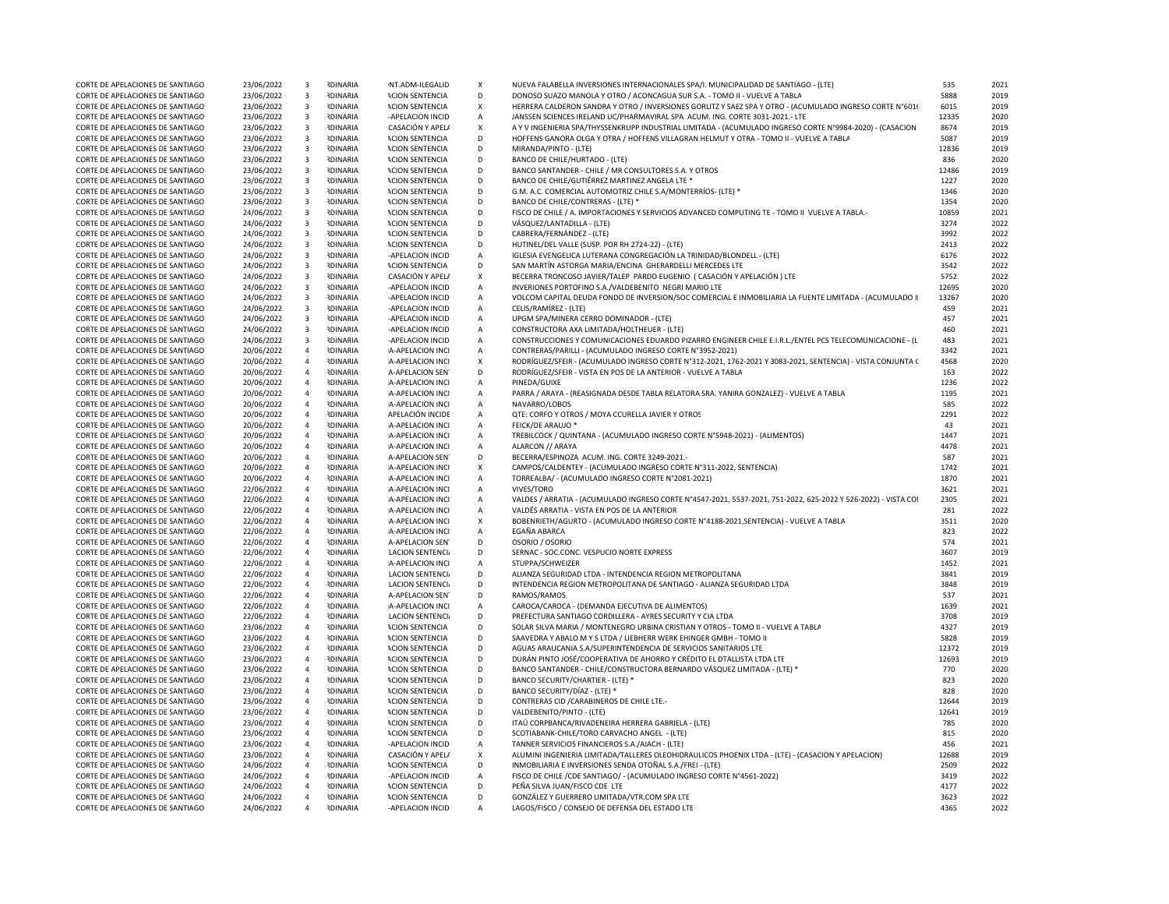|                                  |            | $\mathbf{B}$            | <b>RDINARIA</b> |                         |                           |                                                                                                                |       | 2021 |
|----------------------------------|------------|-------------------------|-----------------|-------------------------|---------------------------|----------------------------------------------------------------------------------------------------------------|-------|------|
| CORTE DE APELACIONES DE SANTIAGO | 23/06/2022 |                         |                 | NT.ADM-ILEGALID         | X                         | NUEVA FALABELLA INVERSIONES INTERNACIONALES SPA/I. MUNICIPALIDAD DE SANTIAGO - (LTE)                           | 535   |      |
| CORTE DE APELACIONES DE SANTIAGO | 23/06/2022 | $\overline{\mathbf{3}}$ | <b>RDINARIA</b> | <b>ACION SENTENCIA</b>  | D                         | DONOSO SUAZO MANOLA Y OTRO / ACONCAGUA SUR S.A. - TOMO II - VUELVE A TABLA                                     | 5888  | 2019 |
| CORTE DE APELACIONES DE SANTIAGO | 23/06/2022 | $\overline{\mathbf{3}}$ | <b>RDINARIA</b> | <b>ACION SENTENCIA</b>  | X                         | HERRERA CALDERON SANDRA Y OTRO / INVERSIONES GORLITZ Y SAEZ SPA Y OTRO - (ACUMULADO INGRESO CORTE N°601)       | 6015  | 2019 |
|                                  | 23/06/2022 |                         | <b>RDINARIA</b> |                         |                           | JANSSEN SCIENCES IRELAND UC/PHARMAVIRAL SPA ACUM. ING. CORTE 3031-2021.- LTE                                   | 12335 | 2020 |
| CORTE DE APELACIONES DE SANTIAGO |            | $\overline{\mathbf{3}}$ |                 | -APELACION INCID        | A                         |                                                                                                                |       |      |
| CORTE DE APELACIONES DE SANTIAGO | 23/06/2022 | $\overline{\mathbf{3}}$ | <b>NDINARIA</b> | CASACIÓN Y APEL/        | x                         | A Y V INGENIERIA SPA/THYSSENKRUPP INDUSTRIAL LIMITADA - (ACUMULADO INGRESO CORTE N°9984-2020) - (CASACION      | 8674  | 2019 |
| CORTE DE APELACIONES DE SANTIAGO | 23/06/2022 | $\overline{\mathbf{3}}$ | <b>IDINARIA</b> | <b>ACION SENTENCIA</b>  | D                         | HOFFENS GANORA OLGA Y OTRA / HOFFENS VILLAGRAN HELMUT Y OTRA - TOMO II - VUELVE A TABLA                        | 5087  | 2019 |
| CORTE DE APELACIONES DE SANTIAGO | 23/06/2022 | $\overline{3}$          | <b>NDINARIA</b> | <b>ACION SENTENCIA</b>  | D                         | MIRANDA/PINTO - (LTE)                                                                                          | 12836 | 2019 |
| CORTE DE APELACIONES DE SANTIAGO | 23/06/2022 | $\overline{\mathbf{3}}$ | <b>RDINARIA</b> | <b>ACION SENTENCIA</b>  | D                         | BANCO DE CHILE/HURTADO - (LTE)                                                                                 | 836   | 2020 |
|                                  |            |                         |                 |                         |                           |                                                                                                                |       |      |
| CORTE DE APELACIONES DE SANTIAGO | 23/06/2022 | $\overline{\mathbf{3}}$ | <b>IDINARIA</b> | <b>ACION SENTENCIA</b>  | D                         | BANCO SANTANDER - CHILE / MR CONSULTORES S.A. Y OTROS                                                          | 12486 | 2019 |
| CORTE DE APELACIONES DE SANTIAGO | 23/06/2022 | $\overline{\mathbf{3}}$ | <b>RDINARIA</b> | <b>ACION SENTENCIA</b>  | D                         | BANCO DE CHILE/GUTIÉRREZ MARTINEZ ANGELA LTE *                                                                 | 1227  | 2020 |
| CORTE DE APELACIONES DE SANTIAGO | 23/06/2022 | $\overline{\mathbf{3}}$ | <b>RDINARIA</b> | <b>ACION SENTENCIA</b>  | D                         | G.M. A.C. COMERCIAL AUTOMOTRIZ CHILE S.A/MONTERRIOS- (LTE) *                                                   | 1346  | 2020 |
| CORTE DE APELACIONES DE SANTIAGO | 23/06/2022 | $\overline{\mathbf{3}}$ | <b>RDINARIA</b> | <b>ACION SENTENCIA</b>  | D                         | BANCO DE CHILE/CONTRERAS - (LTE) *                                                                             | 1354  | 2020 |
| CORTE DE APELACIONES DE SANTIAGO |            | $\overline{\mathbf{3}}$ | <b>RDINARIA</b> | <b>ACION SENTENCIA</b>  | D                         | FISCO DE CHILE / A. IMPORTACIONES Y SERVICIOS ADVANCED COMPUTING TE - TOMO II VUELVE A TABLA.                  | 10859 | 2021 |
|                                  | 24/06/2022 |                         |                 |                         |                           |                                                                                                                |       |      |
| CORTE DE APELACIONES DE SANTIAGO | 24/06/2022 | $\overline{\mathbf{3}}$ | <b>IDINARIA</b> | <b>ACION SENTENCIA</b>  | D                         | VÁSQUEZ/LANTADILLA - (LTE)                                                                                     | 3274  | 2022 |
| CORTE DE APELACIONES DE SANTIAGO | 24/06/2022 | $\overline{\mathbf{3}}$ | <b>RDINARIA</b> | <b>ACION SENTENCIA</b>  | D                         | CABRERA/FERNÁNDEZ - (LTE)                                                                                      | 3992  | 2022 |
| CORTE DE APELACIONES DE SANTIAGO | 24/06/2022 | $\overline{\mathbf{3}}$ | <b>RDINARIA</b> | <b>ACION SENTENCIA</b>  | D                         | HUTINEL/DEL VALLE (SUSP. POR RH 2724-22) - (LTE)                                                               | 2413  | 2022 |
| CORTE DE APELACIONES DE SANTIAGO | 24/06/2022 | $\overline{\mathbf{3}}$ | <b>RDINARIA</b> | -APELACION INCID        | A                         | IGLESIA EVENGELICA LUTERANA CONGREGACIÓN LA TRINIDAD/BLONDELL - (LTE)                                          | 6176  | 2022 |
|                                  |            |                         |                 |                         |                           |                                                                                                                |       |      |
| CORTE DE APELACIONES DE SANTIAGO | 24/06/2022 | $\overline{\mathbf{3}}$ | <b>IDINARIA</b> | <b>ACION SENTENCIA</b>  | D                         | SAN MARTÍN ASTORGA MARIA/ENCINA GHERARDELLI MERCEDES LTE                                                       | 3542  | 2022 |
| CORTE DE APELACIONES DE SANTIAGO | 24/06/2022 | $\overline{\mathbf{3}}$ | <b>IDINARIA</b> | CASACIÓN Y APEL/        | $\mathsf{x}$              | BECERRA TRONCOSO JAVIER/TALEP PARDO EUGENIO ( CASACIÓN Y APELACIÓN ) LTE                                       | 5752  | 2022 |
| CORTE DE APELACIONES DE SANTIAGO | 24/06/2022 | $\overline{\mathbf{3}}$ | <b>NDINARIA</b> | -APELACION INCID        | A                         | INVERIONES PORTOFINO S.A./VALDEBENITO NEGRI MARIO LTE                                                          | 12695 | 2020 |
| CORTE DE APELACIONES DE SANTIAGO | 24/06/2022 | $\overline{\mathbf{3}}$ | <b>RDINARIA</b> | -APELACION INCID        | $\overline{A}$            | VOLCOM CAPITAL DEUDA FONDO DE INVERSION/SOC COMERCIAL E INMOBILIARIA LA FUENTE LIMITADA - (ACUMULADO I         | 13267 | 2020 |
|                                  |            |                         |                 |                         |                           |                                                                                                                |       |      |
| CORTE DE APELACIONES DE SANTIAGO | 24/06/2022 | $\overline{3}$          | <b>RDINARIA</b> | -APFLACION INCID        | $\overline{A}$            | CELIS/RAMÍREZ - (LTE)                                                                                          | 459   | 2021 |
| CORTE DE APELACIONES DE SANTIAGO | 24/06/2022 | $\overline{\mathbf{3}}$ | <b>RDINARIA</b> | -APELACION INCID        | $\overline{A}$            | UPGM SPA/MINERA CERRO DOMINADOR - (LTE)                                                                        | 457   | 2021 |
| CORTE DE APELACIONES DE SANTIAGO | 24/06/2022 | $\overline{\mathbf{3}}$ | <b>IDINARIA</b> | -APELACION INCID        | $\overline{A}$            | CONSTRUCTORA AXA LIMITADA/HOLTHEUER - (LTE)                                                                    | 460   | 2021 |
| CORTE DE APELACIONES DE SANTIAGO | 24/06/2022 | $\overline{\mathbf{3}}$ | <b>RDINARIA</b> | -APELACION INCID        | $\overline{A}$            | CONSTRUCCIONES Y COMUNICACIONES EDUARDO PIZARRO ENGINEER CHILE E.I.R.L./ENTEL PCS TELECOMUNICACIONE - (L       | 483   | 2021 |
|                                  |            |                         |                 |                         |                           |                                                                                                                |       |      |
| CORTE DE APELACIONES DE SANTIAGO | 20/06/2022 | $\overline{4}$          | <b>RDINARIA</b> | A-APELACION INCI        | Α                         | CONTRERAS/PARILLI - (ACUMULADO INGRESO CORTE Nº3952-2021)                                                      | 3342  | 2021 |
| CORTE DE APELACIONES DE SANTIAGO | 20/06/2022 | $\overline{4}$          | <b>RDINARIA</b> | A-APELACION INCI        | $\boldsymbol{\mathsf{x}}$ | RODRÍGUEZ/SFEIR - (ACUMULADO INGRESO CORTE Nº312-2021, 1762-2021 Y 3083-2021, SENTENCIA) - VISTA CONJUNTA (    | 4568  | 2020 |
| CORTE DE APELACIONES DE SANTIAGO | 20/06/2022 | $\overline{4}$          | <b>RDINARIA</b> | A-APELACION SEN         | D                         | RODRÍGUEZ/SFEIR - VISTA EN POS DE LA ANTERIOR - VUELVE A TABLA                                                 | 163   | 2022 |
| CORTE DE APELACIONES DE SANTIAGO | 20/06/2022 | $\overline{4}$          | <b>IDINARIA</b> | A-APELACION INCI        | $\overline{A}$            | PINEDA/GUIXE                                                                                                   | 1236  | 2022 |
| CORTE DE APELACIONES DE SANTIAGO | 20/06/2022 | $\overline{4}$          | <b>RDINARIA</b> | A-APELACION INCI        | $\overline{A}$            | PARRA / ARAYA - (REASIGNADA DESDE TABLA RELATORA SRA. YANIRA GONZALEZ) - VUELVE A TABLA                        | 1195  | 2021 |
|                                  |            |                         |                 |                         |                           |                                                                                                                |       |      |
| CORTE DE APELACIONES DE SANTIAGO | 20/06/2022 | $\overline{4}$          | <b>RDINARIA</b> | A-APELACION INCI        | $\overline{A}$            | NAVARRO/LOBOS                                                                                                  | 585   | 2022 |
| CORTE DE APELACIONES DE SANTIAGO | 20/06/2022 | $\overline{4}$          | <b>RDINARIA</b> | APELACIÓN INCIDE        | $\overline{A}$            | QTE: CORFO Y OTROS / MOYA CCURELLA JAVIER Y OTROS                                                              | 2291  | 2022 |
| CORTE DE APELACIONES DE SANTIAGO | 20/06/2022 | $\overline{4}$          | <b>IDINARIA</b> | A-APELACION INCI        | $\overline{A}$            | <b>FEICK/DE ARAUJO*</b>                                                                                        | 43    | 2021 |
| CORTE DE APELACIONES DE SANTIAGO | 20/06/2022 | $\overline{4}$          | <b>IDINARIA</b> | A-APELACION INCI        | Α                         | TREBILCOCK / QUINTANA - (ACUMULADO INGRESO CORTE N°5948-2021) - (ALIMENTOS)                                    | 1447  | 2021 |
|                                  |            |                         |                 |                         |                           |                                                                                                                |       |      |
| CORTE DE APELACIONES DE SANTIAGO | 20/06/2022 | $\overline{4}$          | <b>NDINARIA</b> | A-APELACION INCI        | $\overline{A}$            | ALARCON // ARAYA                                                                                               | 4478  | 2021 |
| CORTE DE APELACIONES DE SANTIAGO | 20/06/2022 | $\overline{4}$          | <b>IDINARIA</b> | A-APELACION SEN         | D                         | BECERRA/ESPINOZA ACUM. ING. CORTE 3249-2021.-                                                                  | 587   | 2021 |
| CORTE DE APELACIONES DE SANTIAGO | 20/06/2022 | $\overline{4}$          | <b>RDINARIA</b> | A-APELACION INCI        | $\boldsymbol{\mathsf{x}}$ | CAMPOS/CALDENTEY - (ACUMULADO INGRESO CORTE Nº311-2022, SENTENCIA)                                             | 1742  | 2021 |
| CORTE DE APELACIONES DE SANTIAGO | 20/06/2022 | $\overline{4}$          | <b>RDINARIA</b> | A-APELACION INCI        | Α                         | TORREALBA/ - (ACUMULADO INGRESO CORTE N°2081-2021)                                                             | 1870  | 2021 |
| CORTE DE APELACIONES DE SANTIAGO | 22/06/2022 | $\overline{4}$          | <b>RDINARIA</b> | A-APELACION INCI        | $\overline{A}$            | VIVES/TORO                                                                                                     | 3621  | 2021 |
|                                  |            |                         |                 |                         |                           |                                                                                                                |       |      |
| CORTE DE APELACIONES DE SANTIAGO | 22/06/2022 | $\overline{4}$          | <b>RDINARIA</b> | A-APELACION INCI        | A                         | VALDES / ARRATIA - (ACUMULADO INGRESO CORTE Nº4547-2021, 5537-2021, 751-2022, 625-2022 Y 526-2022) - VISTA COI | 2305  | 2021 |
| CORTE DE APELACIONES DE SANTIAGO | 22/06/2022 | $\overline{4}$          | <b>IDINARIA</b> | A-APELACION INCI        | A                         | VALDÉS ARRATIA - VISTA EN POS DE LA ANTERIOR                                                                   | 281   | 2022 |
| CORTE DE APELACIONES DE SANTIAGO | 22/06/2022 | $\overline{4}$          | <b>RDINARIA</b> | A-APELACION INCI        | $\mathsf{x}$              | BOBENRIETH/AGURTO - (ACUMULADO INGRESO CORTE Nº4188-2021, SENTENCIA) - VUELVE A TABLA                          | 3511  | 2020 |
| CORTE DE APELACIONES DE SANTIAGO | 22/06/2022 | $\overline{4}$          | <b>NDINARIA</b> | A-APELACION INCI        | $\overline{A}$            | EGAÑA ABARCA                                                                                                   | 823   | 2022 |
|                                  |            |                         |                 |                         |                           |                                                                                                                |       |      |
| CORTE DE APELACIONES DE SANTIAGO | 22/06/2022 | $\overline{4}$          | <b>IDINARIA</b> | A-APELACION SEN         | D                         | OSORIO / OSORIO                                                                                                | 574   | 2021 |
| CORTE DE APELACIONES DE SANTIAGO | 22/06/2022 | $\overline{4}$          | <b>IDINARIA</b> | <b>LACION SENTENCIA</b> | D                         | SERNAC - SOC.CONC. VESPUCIO NORTE EXPRESS                                                                      | 3607  | 2019 |
| CORTE DE APELACIONES DE SANTIAGO | 22/06/2022 | $\overline{4}$          | <b>RDINARIA</b> | A-APELACION INCI        | A                         | STUPPA/SCHWFIZER                                                                                               | 1452  | 2021 |
| CORTE DE APELACIONES DE SANTIAGO | 22/06/2022 | $\overline{4}$          | <b>RDINARIA</b> | <b>LACION SENTENCIA</b> | D                         | ALIANZA SEGURIDAD LTDA - INTENDENCIA REGION METROPOLITANA                                                      | 3841  | 2019 |
|                                  |            | $\overline{4}$          | <b>RDINARIA</b> |                         | D                         | INTENDENCIA REGION METROPOLITANA DE SANTIAGO - ALIANZA SEGURIDAD LTDA                                          | 3848  |      |
| CORTE DE APELACIONES DE SANTIAGO | 22/06/2022 |                         |                 | LACION SENTENCI         |                           |                                                                                                                |       | 2019 |
| CORTE DE APELACIONES DE SANTIAGO | 22/06/2022 | $\overline{4}$          | <b>IDINARIA</b> | A-APELACION SEN         | $\Gamma$                  | RAMOS/RAMOS                                                                                                    | 537   | 2021 |
| CORTE DE APELACIONES DE SANTIAGO | 22/06/2022 | $\overline{4}$          | <b>IDINARIA</b> | A-APELACION INCI        | $\mathsf{A}$              | CAROCA/CAROCA - (DEMANDA EJECUTIVA DE ALIMENTOS)                                                               | 1639  | 2021 |
| CORTE DE APELACIONES DE SANTIAGO | 22/06/2022 | $\overline{4}$          | <b>IDINARIA</b> | <b>LACION SENTENCIA</b> | D                         | PREFECTURA SANTIAGO CORDILLERA - AYRES SECURITY Y CIA LTDA                                                     | 3708  | 2019 |
| CORTE DE APELACIONES DE SANTIAGO | 23/06/2022 | $\overline{4}$          | <b>RDINARIA</b> | <b>ACION SENTENCIA</b>  | D                         | SOLAR SILVA MARIA / MONTENEGRO URBINA CRISTIAN Y OTROS - TOMO II - VUELVE A TABLA                              | 4327  | 2019 |
|                                  |            |                         |                 |                         |                           |                                                                                                                |       |      |
| CORTE DE APELACIONES DE SANTIAGO | 23/06/2022 | $\overline{4}$          | <b>RDINARIA</b> | <b>ACION SENTENCIA</b>  | D                         | SAAVEDRA Y ABALO M Y S LTDA / LIEBHERR WERK EHINGER GMBH - TOMO III                                            | 5828  | 2019 |
| CORTE DE APELACIONES DE SANTIAGO | 23/06/2022 | $\overline{4}$          | <b>IDINARIA</b> | <b>ACION SENTENCIA</b>  | D                         | AGUAS ARAUCANIA S.A/SUPERINTENDENCIA DE SERVICIOS SANITARIOS LTE                                               | 12372 | 2019 |
| CORTE DE APELACIONES DE SANTIAGO | 23/06/2022 | $\overline{4}$          | <b>RDINARIA</b> | <b>ACION SENTENCIA</b>  | D                         | DURÁN PINTO JOSÉ/COOPERATIVA DE AHORRO Y CRÉDITO EL DTALLISTA LTDA LTE                                         | 12693 | 2019 |
| CORTE DE APELACIONES DE SANTIAGO | 23/06/2022 | $\overline{4}$          | <b>RDINARIA</b> | <b>ACION SENTENCIA</b>  | D                         | BANCO SANTANDER - CHILE/CONSTRUCTORA BERNARDO VÁSQUEZ LIMITADA - (LTE) '                                       | 770   | 2020 |
| CORTE DE APELACIONES DE SANTIAGO | 23/06/2022 | $\overline{4}$          | <b>RDINARIA</b> | <b>ACION SENTENCIA</b>  | D                         | BANCO SECURITY/CHARTIER - (LTE) *                                                                              | 823   | 2020 |
|                                  |            |                         |                 |                         |                           |                                                                                                                |       |      |
| CORTE DE APELACIONES DE SANTIAGO | 23/06/2022 | $\overline{4}$          | <b>NDINARIA</b> | <b>ACION SENTENCIA</b>  | D                         | BANCO SECURITY/DÍAZ - (LTE) *                                                                                  | 828   | 2020 |
| CORTE DE APELACIONES DE SANTIAGO | 23/06/2022 | $\overline{4}$          | <b>IDINARIA</b> | <b>ACION SENTENCIA</b>  | D                         | CONTRERAS CID / CARABINEROS DE CHILE LTE.-                                                                     | 12644 | 2019 |
| CORTE DE APELACIONES DE SANTIAGO | 23/06/2022 | $\overline{4}$          | <b>IDINARIA</b> | <b>ACION SENTENCIA</b>  | D                         | VALDEBENITO/PINTO - (LTE)                                                                                      | 12641 | 2019 |
| CORTE DE APELACIONES DE SANTIAGO | 23/06/2022 | $\overline{4}$          | <b>RDINARIA</b> | <b>ACION SENTENCIA</b>  | D                         | ITAÚ CORPBANCA/RIVADENEIRA HERRERA GABRIELA - (LTE)                                                            | 785   | 2020 |
|                                  |            |                         |                 |                         |                           |                                                                                                                |       |      |
| CORTE DE APELACIONES DE SANTIAGO | 23/06/2022 | $\overline{4}$          | <b>RDINARIA</b> | <b>ACION SENTENCIA</b>  | D                         | SCOTIABANK-CHILE/TORO CARVACHO ANGEL - (LTE)                                                                   | 815   | 2020 |
| CORTE DE APELACIONES DE SANTIAGO | 23/06/2022 | $\overline{4}$          | <b>RDINARIA</b> | -APELACION INCID        | A                         | TANNER SERVICIOS FINANCIEROS S.A./AIACH - (LTE)                                                                | 456   | 2021 |
| CORTE DE APELACIONES DE SANTIAGO | 23/06/2022 | $\overline{4}$          | <b>RDINARIA</b> | CASACIÓN Y APEL/        | X                         | ALUMINI INGENIERIA LIMITADA/TALLERES OLEOHIDRAULICOS PHOENIX LTDA - (LTE) - (CASACION Y APELACION)             | 12688 | 2019 |
| CORTE DE APELACIONES DE SANTIAGO | 24/06/2022 | $\overline{4}$          | <b>IDINARIA</b> | <b>ACION SENTENCIA</b>  | D                         | INMOBILIARIA E INVERSIONES SENDA OTOÑAL S.A./FREI - (LTE)                                                      | 2509  | 2022 |
|                                  |            |                         | <b>IDINARIA</b> |                         |                           |                                                                                                                |       |      |
| CORTE DE APELACIONES DE SANTIAGO | 24/06/2022 | $\overline{4}$          |                 | -APELACION INCID        | $\mathsf{A}$              | FISCO DE CHILE / CDE SANTIAGO/ - (ACUMULADO INGRESO CORTE Nº4561-2022)                                         | 3419  | 2022 |
| CORTE DE APELACIONES DE SANTIAGO | 24/06/2022 | $\overline{4}$          | <b>RDINARIA</b> | <b>ACION SENTENCIA</b>  | D                         | PEÑA SILVA JUAN/FISCO CDE LTE                                                                                  | 4177  | 2022 |
| CORTE DE APELACIONES DE SANTIAGO |            |                         |                 |                         | D                         | GONZÁLEZ Y GUERRERO LIMITADA/VTR.COM SPA LTE                                                                   | 3623  | 2022 |
|                                  | 24/06/2022 | $\overline{4}$          | <b>RDINARIA</b> | <b>ACION SENTENCIA</b>  |                           |                                                                                                                |       |      |
| CORTE DE APELACIONES DE SANTIAGO | 24/06/2022 | $\overline{4}$          | <b>IDINARIA</b> | -APELACION INCID        | $\overline{A}$            | LAGOS/FISCO / CONSEJO DE DEFENSA DEL ESTADO LTE                                                                | 4365  | 2022 |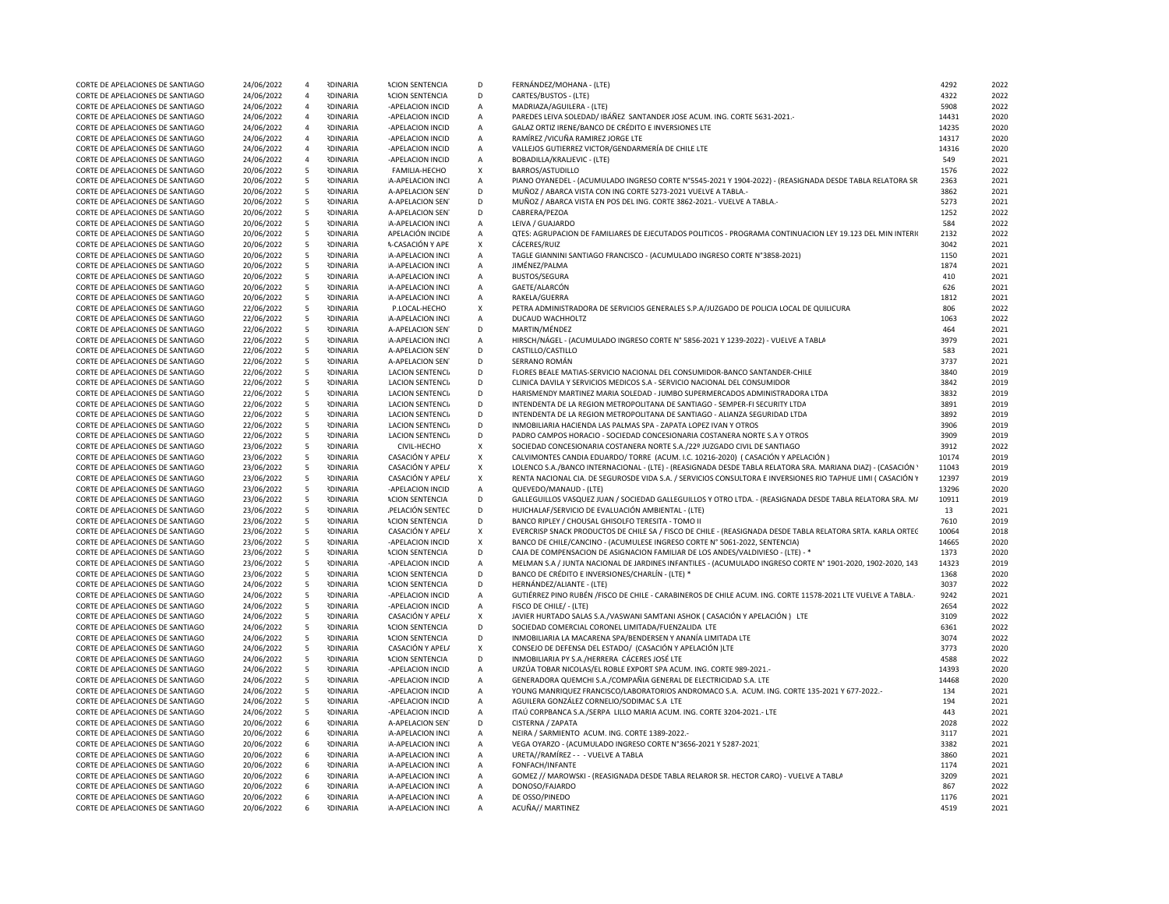| CORTE DE APELACIONES DE SANTIAGO                                     | 24/06/2022               | $\overline{4}$ | <b>RDINARIA</b>                    | <b>ACION SENTENCIA</b>               | D                                | FERNÁNDEZ/MOHANA - (LTE)                                                                                     | 4292         | 2022         |
|----------------------------------------------------------------------|--------------------------|----------------|------------------------------------|--------------------------------------|----------------------------------|--------------------------------------------------------------------------------------------------------------|--------------|--------------|
| CORTE DE APELACIONES DE SANTIAGO                                     | 24/06/2022               | $\overline{4}$ | <b>RDINARIA</b>                    | <b>ACION SENTENCIA</b>               | D                                | CARTES/BUSTOS - (LTE)                                                                                        | 4322         | 2022         |
| CORTE DE APELACIONES DE SANTIAGO                                     | 24/06/2022               | $\overline{4}$ | <b>RDINARIA</b>                    | -APELACION INCID                     | $\mathsf{A}$                     | MADRIAZA/AGUILERA - (LTE)                                                                                    | 5908         | 2022         |
|                                                                      |                          |                | <b>IDINARIA</b>                    |                                      |                                  |                                                                                                              | 14431        |              |
| CORTE DE APELACIONES DE SANTIAGO                                     | 24/06/2022               | $\overline{a}$ |                                    | -APELACION INCID                     | Α                                | PAREDES LEIVA SOLEDAD/ IBÁÑEZ SANTANDER JOSE ACUM. ING. CORTE 5631-2021.                                     |              | 2020         |
| CORTE DE APELACIONES DE SANTIAGO                                     | 24/06/2022               | $\overline{4}$ | <b>IDINARIA</b>                    | -APELACION INCID                     | $\overline{A}$                   | GALAZ ORTIZ IRENE/BANCO DE CRÉDITO E INVERSIONES LTE                                                         | 14235        | 2020         |
| CORTE DE APELACIONES DE SANTIAGO                                     | 24/06/2022               | $\overline{4}$ | <b>IDINARIA</b>                    | -APELACION INCID                     | $\overline{A}$                   | RAMÍREZ / VICUÑA RAMIREZ JORGE LTE                                                                           | 14317        | 2020         |
| CORTE DE APELACIONES DE SANTIAGO                                     | 24/06/2022               | $\overline{4}$ | <b>RDINARIA</b>                    | -APELACION INCID                     | $\mathsf{A}$                     | VALLEJOS GUTIERREZ VICTOR/GENDARMERÍA DE CHILE LTE                                                           | 14316        | 2020         |
| CORTE DE APELACIONES DE SANTIAGO                                     | 24/06/2022               | $\overline{4}$ | <b>RDINARIA</b>                    | -APELACION INCID                     | $\overline{A}$                   | BOBADILLA/KRALJEVIC - (LTE)                                                                                  | 549          | 2021         |
| CORTE DE APELACIONES DE SANTIAGO                                     | 20/06/2022               | - 5            | <b>RDINARIA</b>                    | FAMILIA-HECHO                        | $\mathsf{x}$                     | BARROS/ASTUDILLO                                                                                             | 1576         | 2022         |
| CORTE DE APELACIONES DE SANTIAGO                                     | 20/06/2022               | 5              | <b>RDINARIA</b>                    | A-APELACION INCI                     | Α                                | PIANO OYANEDEL - (ACUMULADO INGRESO CORTE Nº5545-2021 Y 1904-2022) - (REASIGNADA DESDE TABLA RELATORA SR     | 2363         | 2021         |
| CORTE DE APELACIONES DE SANTIAGO                                     | 20/06/2022               | 5              | <b>IDINARIA</b>                    | A-APELACION SEN                      | D                                | MUÑOZ / ABARCA VISTA CON ING CORTE 5273-2021 VUELVE A TABLA.                                                 | 3862         | 2021         |
| CORTE DE APELACIONES DE SANTIAGO                                     | 20/06/2022               | 5              | <b>IDINARIA</b>                    | A-APELACION SEN                      | D                                | MUÑOZ / ABARCA VISTA EN POS DEL ING. CORTE 3862-2021.- VUELVE A TABLA.-                                      | 5273         | 2021         |
| CORTE DE APELACIONES DE SANTIAGO                                     | 20/06/2022               | 5              | <b>RDINARIA</b>                    | A-APELACION SEN                      | D                                | CABRERA/PEZOA                                                                                                | 1252         | 2022         |
|                                                                      |                          |                |                                    |                                      |                                  |                                                                                                              |              |              |
| CORTE DE APELACIONES DE SANTIAGO                                     | 20/06/2022               | 5              | <b>IDINARIA</b>                    | A-APELACION INCI                     | $\overline{A}$                   | LEIVA / GUAJARDO                                                                                             | 584          | 2022         |
| CORTE DE APELACIONES DE SANTIAGO                                     | 20/06/2022               | 5              | <b>IDINARIA</b>                    | APELACIÓN INCIDE                     | $\overline{A}$                   | QTES: AGRUPACION DE FAMILIARES DE EJECUTADOS POLITICOS - PROGRAMA CONTINUACION LEY 19.123 DEL MIN INTERIO    | 2132         | 2022         |
| CORTE DE APELACIONES DE SANTIAGO                                     | 20/06/2022               | 5              | <b>IDINARIA</b>                    | <b>\-CASACIÓN Y APE</b>              | X                                | CÁCERES/RUIZ                                                                                                 | 3042         | 2021         |
| CORTE DE APELACIONES DE SANTIAGO                                     | 20/06/2022               | 5              | <b>RDINARIA</b>                    | A-APELACION INCI                     | Α                                | TAGLE GIANNINI SANTIAGO FRANCISCO - (ACUMULADO INGRESO CORTE N°3858-2021)                                    | 1150         | 2021         |
| CORTE DE APELACIONES DE SANTIAGO                                     | 20/06/2022               | 5              | <b>NDINARIA</b>                    | A-APELACION INCI                     | $\mathsf{A}$                     | JIMÉNEZ/PALMA                                                                                                | 1874         | 2021         |
| CORTE DE APELACIONES DE SANTIAGO                                     | 20/06/2022               | 5              | <b>RDINARIA</b>                    | A-APELACION INCI                     | $\overline{A}$                   | <b>BUSTOS/SEGURA</b>                                                                                         | 410          | 2021         |
| CORTE DE APELACIONES DE SANTIAGO                                     | 20/06/2022               | 5              | <b>IDINARIA</b>                    | A-APELACION INCI                     | $\overline{A}$                   | GAETE/ALARCÓN                                                                                                | 626          | 2021         |
| CORTE DE APELACIONES DE SANTIAGO                                     | 20/06/2022               | 5              | <b>IDINARIA</b>                    | A-APELACION INCI                     | $\overline{A}$                   | RAKELA/GUERRA                                                                                                | 1812         | 2021         |
|                                                                      |                          |                | <b>RDINARIA</b>                    |                                      |                                  |                                                                                                              | 806          | 2022         |
| CORTE DE APELACIONES DE SANTIAGO                                     | 22/06/2022               | 5              |                                    | P.LOCAL-HECHO                        | X                                | PETRA ADMINISTRADORA DE SERVICIOS GENERALES S.P.A/JUZGADO DE POLICIA LOCAL DE QUILICURA                      |              |              |
| CORTE DE APELACIONES DE SANTIAGO                                     | 22/06/2022               | 5              | <b>RDINARIA</b>                    | A-APELACION INCI                     | Α                                | DUCAUD WACHHOLTZ                                                                                             | 1063         | 2022         |
| CORTE DE APELACIONES DE SANTIAGO                                     | 22/06/2022               | 5              | <b>IDINARIA</b>                    | A-APELACION SEN                      | D                                | MARTIN/MÉNDEZ                                                                                                | 464          | 2021         |
| CORTE DE APELACIONES DE SANTIAGO                                     | 22/06/2022               | 5              | <b>RDINARIA</b>                    | A-APELACION INCI                     | $\mathsf{A}$                     | HIRSCH/NÁGEL - (ACUMULADO INGRESO CORTE Nº 5856-2021 Y 1239-2022) - VUELVE A TABLA                           | 3979         | 2021         |
| CORTE DE APELACIONES DE SANTIAGO                                     | 22/06/2022               | 5              | <b>RDINARIA</b>                    | A-APELACION SEN                      | D                                | CASTILLO/CASTILLO                                                                                            | 583          | 2021         |
| CORTE DE APELACIONES DE SANTIAGO                                     | 22/06/2022               | - 5            | <b>NDINARIA</b>                    | A-APELACION SEN                      | D                                | SERRANO ROMÁN                                                                                                | 3737         | 2021         |
| CORTE DE APELACIONES DE SANTIAGO                                     | 22/06/2022               | 5              | <b>RDINARIA</b>                    | <b>LACION SENTENCI</b>               | D                                | FLORES BEALE MATIAS-SERVICIO NACIONAL DEL CONSUMIDOR-BANCO SANTANDER-CHILE                                   | 3840         | 2019         |
| CORTE DE APELACIONES DE SANTIAGO                                     | 22/06/2022               | 5              | <b>RDINARIA</b>                    | <b>LACION SENTENCI</b>               | D                                | CLINICA DAVILA Y SERVICIOS MEDICOS S.A - SERVICIO NACIONAL DEL CONSUMIDOR                                    | 3842         | 2019         |
|                                                                      |                          |                |                                    |                                      |                                  |                                                                                                              |              |              |
| CORTE DE APELACIONES DE SANTIAGO                                     | 22/06/2022               | 5              | <b>IDINARIA</b>                    | <b>LACION SENTENCIA</b>              | D                                | HARISMENDY MARTINEZ MARIA SOLEDAD - JUMBO SUPERMERCADOS ADMINISTRADORA LTDA                                  | 3832         | 2019         |
| CORTE DE APELACIONES DE SANTIAGO                                     | 22/06/2022               | - 5            | <b>RDINARIA</b>                    | <b>LACION SENTENCI</b>               | D                                | INTENDENTA DE LA REGION METROPOLITANA DE SANTIAGO - SEMPER-FI SECURITY LTDA                                  | 3891         | 2019         |
| CORTE DE APELACIONES DE SANTIAGO                                     | 22/06/2022               | 5              | <b>IDINARIA</b>                    | <b>LACION SENTENCI</b>               | D                                | INTENDENTA DE LA REGION METROPOLITANA DE SANTIAGO - ALIANZA SEGURIDAD LTDA                                   | 3892         | 2019         |
| CORTE DE APELACIONES DE SANTIAGO                                     | 22/06/2022               | 5              | <b>IDINARIA</b>                    | <b>LACION SENTENCI</b>               | D                                | INMOBILIARIA HACIENDA LAS PALMAS SPA - ZAPATA LOPEZ IVAN Y OTROS                                             | 3906         | 2019         |
| CORTE DE APELACIONES DE SANTIAGO                                     | 22/06/2022               | 5              | <b>RDINARIA</b>                    | <b>LACION SENTENCI</b>               | D                                | PADRO CAMPOS HORACIO - SOCIEDAD CONCESIONARIA COSTANERA NORTE S.A Y OTROS                                    | 3909         | 2019         |
| CORTE DE APELACIONES DE SANTIAGO                                     | 23/06/2022               | 5              | <b>IDINARIA</b>                    | CIVIL-HECHO                          | Χ                                | SOCIEDAD CONCESIONARIA COSTANERA NORTE S.A./22º JUZGADO CIVIL DE SANTIAGO                                    | 3912         | 2022         |
| CORTE DE APELACIONES DE SANTIAGO                                     | 23/06/2022               | 5              | <b>IDINARIA</b>                    | CASACIÓN Y APEL/                     | X                                | CALVIMONTES CANDIA EDUARDO/ TORRE (ACUM. I.C. 10216-2020) ( CASACIÓN Y APELACIÓN )                           | 10174        | 2019         |
| CORTE DE APELACIONES DE SANTIAGO                                     | 23/06/2022               | 5              | <b>RDINARIA</b>                    | CASACIÓN Y APEL/                     | $\mathsf{x}$                     | LOLENCO S.A./BANCO INTERNACIONAL - (LTE) - (REASIGNADA DESDE TABLA RELATORA SRA. MARIANA DIAZ) - (CASACIÓN ' | 11043        | 2019         |
|                                                                      |                          |                |                                    |                                      | $\mathsf{x}$                     |                                                                                                              |              |              |
| CORTE DE APELACIONES DE SANTIAGO                                     | 23/06/2022               | 5              | <b>RDINARIA</b>                    | CASACIÓN Y APEL/                     |                                  | RENTA NACIONAL CIA. DE SEGUROSDE VIDA S.A. / SERVICIOS CONSULTORA E INVERSIONES RIO TAPHUE LIMI ( CASACIÓN Y | 12397        | 2019         |
| CORTE DE APELACIONES DE SANTIAGO                                     | 23/06/2022               | 5              | <b>NDINARIA</b>                    | -APELACION INCID                     | A                                | QUEVEDO/MANAUD - (LTE)                                                                                       | 13296        | 2020         |
| CORTE DE APELACIONES DE SANTIAGO                                     | 23/06/2022               | -5             | <b>RDINARIA</b>                    | <b>ACION SENTENCIA</b>               | D                                | GALLEGUILLOS VASQUEZ JUAN / SOCIEDAD GALLEGUILLOS Y OTRO LTDA. - (REASIGNADA DESDE TABLA RELATORA SRA. M/    | 10911        | 2019         |
| CORTE DE APELACIONES DE SANTIAGO                                     | 23/06/2022               | - 5            | <b>RDINARIA</b>                    | PELACIÓN SENTEC                      | D                                | HUICHALAF/SERVICIO DE EVALUACIÓN AMBIENTAL - (LTE)                                                           | 13           | 2021         |
| CORTE DE APELACIONES DE SANTIAGO                                     | 23/06/2022               | 5              | <b>IDINARIA</b>                    | <b>ACION SENTENCIA</b>               | D                                | BANCO RIPLEY / CHOUSAL GHISOLFO TERESITA - TOMO II                                                           | 7610         | 2019         |
| CORTE DE APELACIONES DE SANTIAGO                                     | 23/06/2022               | 5              | <b>IDINARIA</b>                    | CASACIÓN Y APEL/                     | X                                | EVERCRISP SNACK PRODUCTOS DE CHILE SA / FISCO DE CHILE - (REASIGNADA DESDE TABLA RELATORA SRTA. KARLA ORTEC  | 10064        | 2018         |
| CORTE DE APELACIONES DE SANTIAGO                                     | 23/06/2022               | 5              | <b>IDINARIA</b>                    | -APELACION INCID                     | $\mathsf{x}$                     | BANCO DE CHILE/CANCINO - (ACUMULESE INGRESO CORTE Nº 5061-2022, SENTENCIA)                                   | 14665        | 2020         |
|                                                                      |                          |                |                                    |                                      |                                  |                                                                                                              |              |              |
| CORTE DE APELACIONES DE SANTIAGO                                     | 23/06/2022               | 5              | <b>IDINARIA</b>                    | <b>ACION SENTENCIA</b>               | D                                | CAJA DE COMPENSACION DE ASIGNACION FAMILIAR DE LOS ANDES/VALDIVIESO - (LTE) - *                              | 1373         | 2020         |
| CORTE DE APELACIONES DE SANTIAGO                                     | 23/06/2022               | 5              | <b>IDINARIA</b>                    | -APELACION INCID                     | $\overline{A}$                   | MELMAN S.A / JUNTA NACIONAL DE JARDINES INFANTILES - (ACUMULADO INGRESO CORTE Nº 1901-2020, 1902-2020, 143   | 14323        | 2019         |
| CORTE DE APELACIONES DE SANTIAGO                                     | 23/06/2022               | 5              | <b>IDINARIA</b>                    | <b>ACION SENTENCIA</b>               | D                                | BANCO DE CRÉDITO E INVERSIONES/CHARLÍN - (LTE) *                                                             | 1368         | 2020         |
| CORTE DE APELACIONES DE SANTIAGO                                     | 24/06/2022               | 5              | <b>RDINARIA</b>                    | <b>ACION SENTENCIA</b>               | D                                | HERNÁNDEZ/ALIANTE - (LTE)                                                                                    | 3037         | 2022         |
| CORTE DE APELACIONES DE SANTIAGO                                     | 24/06/2022               | 5              | <b>NDINARIA</b>                    | -APELACION INCID                     | $\mathsf A$                      | GUTIÉRREZ PINO RUBÉN /FISCO DE CHILE - CARABINEROS DE CHILE ACUM. ING. CORTE 11578-2021 LTE VUELVE A TABLA.  | 9242         | 2021         |
| CORTE DE APELACIONES DE SANTIAGO                                     | 24/06/2022               | 5              | <b>RDINARIA</b>                    | -APELACION INCID                     | $\mathsf{A}$                     | FISCO DE CHILE/ - (LTE)                                                                                      | 2654         | 2022         |
| CORTE DE APELACIONES DE SANTIAGO                                     | 24/06/2022               | 5              | <b>RDINARIA</b>                    | CASACIÓN Y APEL/                     | X                                | JAVIER HURTADO SALAS S.A./VASWANI SAMTANI ASHOK (CASACIÓN Y APELACIÓN) LTE                                   | 3109         | 2022         |
| CORTE DE APELACIONES DE SANTIAGO                                     | 24/06/2022               | 5              | <b>IDINARIA</b>                    | <b>ACION SENTENCIA</b>               | D                                | SOCIEDAD COMERCIAL CORONEL LIMITADA/FUENZALIDA LTE                                                           | 6361         | 2022         |
| CORTE DE APELACIONES DE SANTIAGO                                     | 24/06/2022               | 5              | <b>RDINARIA</b>                    | <b>ACION SENTENCIA</b>               | D                                | INMOBILIARIA LA MACARENA SPA/BENDERSEN Y ANANÍA LIMITADA LTE                                                 | 3074         | 2022         |
|                                                                      |                          |                |                                    |                                      |                                  |                                                                                                              |              |              |
| CORTE DE APELACIONES DE SANTIAGO                                     | 24/06/2022               | 5              | <b>IDINARIA</b>                    | CASACIÓN Y APELA                     | X                                | CONSEJO DE DEFENSA DEL ESTADO/ (CASACIÓN Y APELACIÓN )LTE                                                    | 3773         | 2020         |
| CORTE DE APELACIONES DE SANTIAGO                                     | 24/06/2022               | 5              | <b>IDINARIA</b>                    | <b>ACION SENTENCIA</b>               | D                                | INMOBILIARIA PY S.A./HERRERA CÁCERES JOSÉ LTE                                                                | 4588         | 2022         |
| CORTE DE APELACIONES DE SANTIAGO                                     | 24/06/2022               | 5              | <b>RDINARIA</b>                    | -APELACION INCID                     | $\overline{A}$                   | URZÚA TOBAR NICOLAS/EL ROBLE EXPORT SPA ACUM. ING. CORTE 989-2021.-                                          | 14393        | 2020         |
| CORTE DE APELACIONES DE SANTIAGO                                     | 24/06/2022               | 5              | <b>RDINARIA</b>                    | -APELACION INCID                     | Α                                | GENERADORA QUEMCHI S.A./COMPAÑIA GENERAL DE ELECTRICIDAD S.A. LTE                                            | 14468        | 2020         |
| CORTE DE APELACIONES DE SANTIAGO                                     | 24/06/2022               | 5              | <b>NDINARIA</b>                    | -APELACION INCID                     | Α                                | YOUNG MANRIQUEZ FRANCISCO/LABORATORIOS ANDROMACO S.A. ACUM. ING. CORTE 135-2021 Y 677-2022.-                 | 134          | 2021         |
| CORTE DE APELACIONES DE SANTIAGO                                     | 24/06/2022               | 5              | <b>RDINARIA</b>                    | -APELACION INCID                     | A                                | AGUILERA GONZÁLEZ CORNELIO/SODIMAC S.A LTE                                                                   | 194          | 2021         |
| CORTE DE APELACIONES DE SANTIAGO                                     | 24/06/2022               | 5              | <b>RDINARIA</b>                    | -APELACION INCID                     | $\overline{A}$                   | ITAÚ CORPBANCA S.A./SERPA LILLO MARIA ACUM. ING. CORTE 3204-2021.- LTE                                       | 443          | 2021         |
| CORTE DE APELACIONES DE SANTIAGO                                     | 20/06/2022               | 6              | <b>RDINARIA</b>                    | A-APELACION SEN                      | D                                | CISTERNA / ZAPATA                                                                                            | 2028         | 2022         |
|                                                                      |                          | - 6            | <b>RDINARIA</b>                    |                                      | $\mathsf{A}$                     |                                                                                                              | 3117         | 2021         |
| CORTE DE APELACIONES DE SANTIAGO                                     | 20/06/2022               |                |                                    | A-APELACION INCI                     |                                  | NEIRA / SARMIENTO ACUM. ING. CORTE 1389-2022.-                                                               |              |              |
| CORTE DE APELACIONES DE SANTIAGO                                     | 20/06/2022               | - 6            | <b>RDINARIA</b>                    | A-APELACION INCI                     | $\overline{A}$                   | VEGA OYARZO - (ACUMULADO INGRESO CORTE Nº3656-2021 Y 5287-2021)                                              | 3382         | 2021         |
| CORTE DE APELACIONES DE SANTIAGO                                     | 20/06/2022               | 6              | <b>IDINARIA</b>                    | A-APELACION INCI                     | $\overline{A}$                   | URETA//RAMÍREZ - - - VUELVE A TABLA                                                                          | 3860         | 2021         |
| CORTE DE APELACIONES DE SANTIAGO                                     | 20/06/2022               | - 6            | <b>IDINARIA</b>                    | A-APELACION INCI                     | Α                                | FONFACH/INFANTE                                                                                              | 1174         | 2021         |
| CORTE DE APELACIONES DE SANTIAGO                                     | 20/06/2022               | - 6            | <b>RDINARIA</b>                    | A-APELACION INCI                     | Α                                | GOMEZ // MAROWSKI - (REASIGNADA DESDE TABLA RELAROR SR. HECTOR CARO) - VUELVE A TABLA                        | 3209         | 2021         |
| CORTE DE APELACIONES DE SANTIAGO                                     | 20/06/2022               | - 6            | <b>IDINARIA</b>                    | A-APELACION INCI                     | $\overline{A}$                   | DONOSO/FAJARDO                                                                                               | 867          | 2022         |
|                                                                      |                          |                |                                    |                                      |                                  |                                                                                                              |              |              |
|                                                                      |                          |                |                                    |                                      |                                  |                                                                                                              |              |              |
| CORTE DE APELACIONES DE SANTIAGO<br>CORTE DE APELACIONES DE SANTIAGO | 20/06/2022<br>20/06/2022 | 6<br>6         | <b>RDINARIA</b><br><b>RDINARIA</b> | A-APELACION INCI<br>A-APELACION INCI | $\overline{A}$<br>$\overline{A}$ | DE OSSO/PINEDO<br>ACUÑA// MARTINEZ                                                                           | 1176<br>4519 | 2021<br>2021 |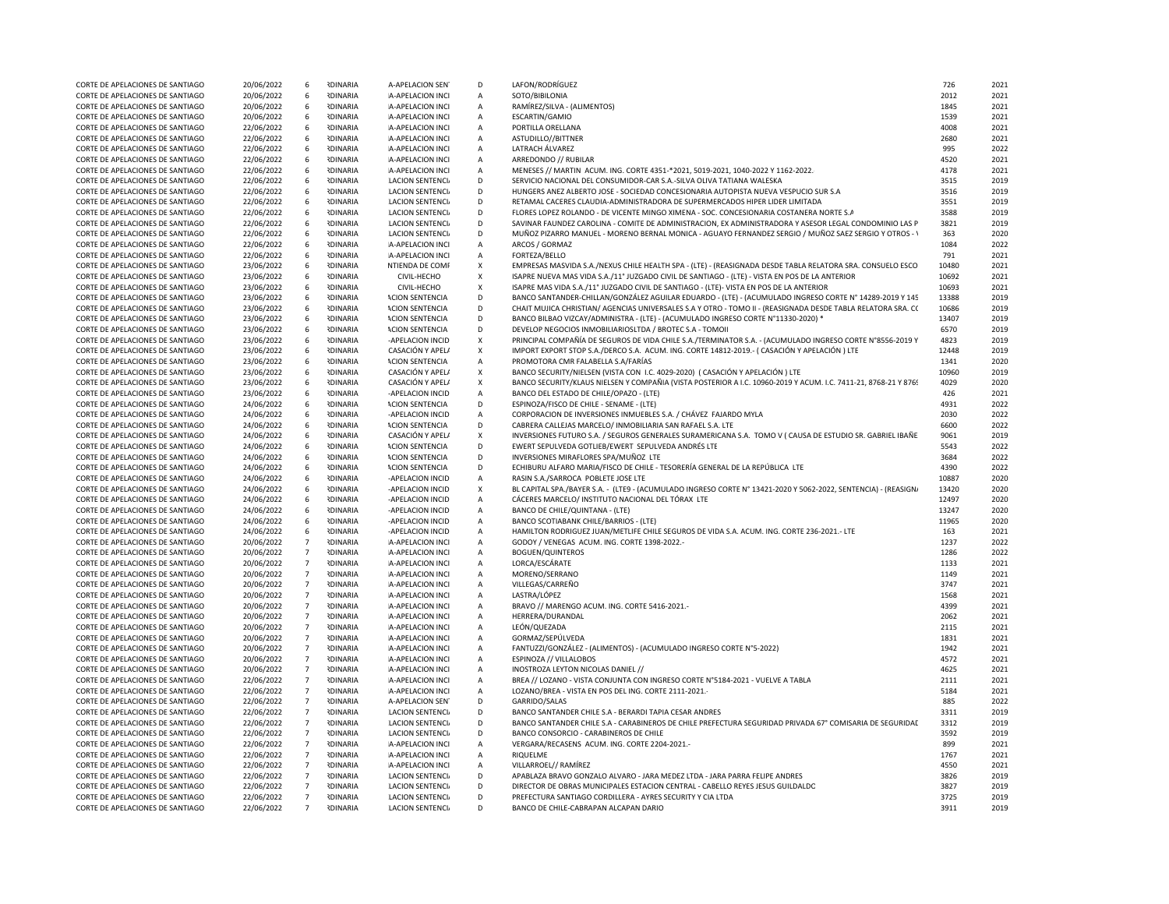| CORTE DE APELACIONES DE SANTIAGO | 20/06/2022 | 6               | <b>IDINARIA</b> | A-APELACION SEN         | D              | LAFON/RODRÍGUEZ                                                                                                 | 726   | 2021 |
|----------------------------------|------------|-----------------|-----------------|-------------------------|----------------|-----------------------------------------------------------------------------------------------------------------|-------|------|
|                                  |            |                 |                 |                         |                |                                                                                                                 |       |      |
| CORTE DE APELACIONES DE SANTIAGO | 20/06/2022 | 6               | <b>RDINARIA</b> | A-APELACION INCI        | A              | SOTO/BIBILONIA                                                                                                  | 2012  | 2021 |
| CORTE DE APELACIONES DE SANTIAGO | 20/06/2022 | 6               | <b>RDINARIA</b> | A-APELACION INCI        | $\mathsf{A}$   | RAMÍREZ/SILVA - (ALIMENTOS)                                                                                     | 1845  | 2021 |
| CORTE DE APELACIONES DE SANTIAGO | 20/06/2022 | -6              | <b>IDINARIA</b> | A-APELACION INCI        | $\mathsf{A}$   | ESCARTIN/GAMIO                                                                                                  | 1539  | 2021 |
| CORTE DE APELACIONES DE SANTIAGO | 22/06/2022 | 6               | <b>ROINARIA</b> | A-APELACION INCI        | $\overline{A}$ | PORTILLA ORELLANA                                                                                               | 4008  | 2021 |
|                                  |            |                 |                 |                         |                |                                                                                                                 |       |      |
| CORTE DE APELACIONES DE SANTIAGO | 22/06/2022 | 6               | <b>IDINARIA</b> | A-APELACION INCI        | $\overline{A}$ | ASTUDILLO//BITTNER                                                                                              | 2680  | 2021 |
| CORTE DE APELACIONES DE SANTIAGO | 22/06/2022 | 6               | <b>IDINARIA</b> | A-APELACION INCI        | $\overline{A}$ | LATRACH ÁLVAREZ                                                                                                 | 995   | 2022 |
| CORTE DE APELACIONES DE SANTIAGO | 22/06/2022 | 6               | <b>NDINARIA</b> | A-APELACION INCI        | $\mathbf{A}$   | ARREDONDO // RUBILAR                                                                                            | 4520  | 2021 |
| CORTE DE APELACIONES DE SANTIAGO | 22/06/2022 | 6               | <b>IDINARIA</b> | A-APELACION INCI        | $\overline{A}$ | MENESES // MARTIN ACUM. ING. CORTE 4351-*2021, 5019-2021, 1040-2022 Y 1162-2022.                                | 4178  | 2021 |
| CORTE DE APELACIONES DE SANTIAGO | 22/06/2022 | 6               | <b>IDINARIA</b> | <b>LACION SENTENCIA</b> | D              | SERVICIO NACIONAL DEL CONSUMIDOR-CAR S.A.-SILVA OLIVA TATIANA WALESKA                                           | 3515  | 2019 |
| CORTE DE APELACIONES DE SANTIAGO | 22/06/2022 | - 6             | <b>IDINARIA</b> | LACION SENTENCI.        | D              | HUNGERS ANEZ ALBERTO JOSE - SOCIEDAD CONCESIONARIA AUTOPISTA NUEVA VESPUCIO SUR S.A                             | 3516  | 2019 |
|                                  |            | 6               |                 |                         |                |                                                                                                                 |       |      |
| CORTE DE APELACIONES DE SANTIAGO | 22/06/2022 |                 | <b>NDINARIA</b> | LACION SENTENCI.        | D              | RETAMAL CACERES CLAUDIA-ADMINISTRADORA DE SUPERMERCADOS HIPER LIDER LIMITADA                                    | 3551  | 2019 |
| CORTE DE APELACIONES DE SANTIAGO | 22/06/2022 | 6               | <b>IDINARIA</b> | <b>LACION SENTENCI</b>  | D              | FLORES LOPEZ ROLANDO - DE VICENTE MINGO XIMENA - SOC. CONCESIONARIA COSTANERA NORTE S.A                         | 3588  | 2019 |
| CORTE DE APELACIONES DE SANTIAGO | 22/06/2022 | 6               | <b>IDINARIA</b> | LACION SENTENCI.        | D              | SAVINAR FAUNDEZ CAROLINA - COMITE DE ADMINISTRACION, EX ADMINISTRADORA Y ASESOR LEGAL CONDOMINIO LAS P          | 3821  | 2019 |
| CORTE DE APELACIONES DE SANTIAGO | 22/06/2022 | 6               | <b>IDINARIA</b> | <b>LACION SENTENCI</b>  | D              | MUÑOZ PIZARRO MANUEL - MORENO BERNAL MONICA - AGUAYO FERNANDEZ SERGIO / MUÑOZ SAEZ SERGIO Y OTROS - Y           | 363   | 2020 |
| CORTE DE APELACIONES DE SANTIAGO | 22/06/2022 | 6               | <b>RDINARIA</b> | A-APELACION INCI        | $\overline{A}$ | ARCOS / GORMAZ                                                                                                  | 1084  | 2022 |
| CORTE DE APELACIONES DE SANTIAGO | 22/06/2022 | - 6             | <b>RDINARIA</b> | A-APELACION INCI        | A              | FORTEZA/BELLO                                                                                                   | 791   | 2021 |
| CORTE DE APELACIONES DE SANTIAGO | 23/06/2022 | 6               | <b>IDINARIA</b> | NTIENDA DE COMF         | X              | EMPRESAS MASVIDA S.A./NEXUS CHILE HEALTH SPA - (LTE) - (REASIGNADA DESDE TABLA RELATORA SRA. CONSUELO ESCO      | 10480 | 2021 |
| CORTE DE APELACIONES DE SANTIAGO | 23/06/2022 | 6               | <b>IDINARIA</b> | CIVIL-HECHO             | $\mathsf{x}$   | ISAPRE NUEVA MAS VIDA S.A./11° JUZGADO CIVIL DE SANTIAGO - (LTE) - VISTA EN POS DE LA ANTERIOR                  | 10692 | 2021 |
|                                  |            |                 |                 |                         |                |                                                                                                                 |       |      |
| CORTE DE APELACIONES DE SANTIAGO | 23/06/2022 | 6               | <b>NDINARIA</b> | CIVIL-HECHO             | $\mathbf{x}$   | ISAPRE MAS VIDA S.A./11° JUZGADO CIVIL DE SANTIAGO - (LTE)- VISTA EN POS DE LA ANTERIOR                         | 10693 | 2021 |
| CORTE DE APELACIONES DE SANTIAGO | 23/06/2022 | 6               | <b>IDINARIA</b> | <b>ACION SENTENCIA</b>  | D              | BANCO SANTANDER-CHILLAN/GONZÁLEZ AGUILAR EDUARDO - (LTE) - (ACUMULADO INGRESO CORTE Nº 14289-2019 Y 145         | 13388 | 2019 |
| CORTE DE APELACIONES DE SANTIAGO | 23/06/2022 | 6               | <b>IDINARIA</b> | <b>ACION SENTENCIA</b>  | D              | CHAIT MUJICA CHRISTIAN/ AGENCIAS UNIVERSALES S.A Y OTRO - TOMO II - (REASIGNADA DESDE TABLA RELATORA SRA. C(    | 10686 | 2019 |
| CORTE DE APELACIONES DE SANTIAGO | 23/06/2022 | 6               | <b>IDINARIA</b> | <b>ACION SENTENCIA</b>  | D              | BANCO BILBAO VIZCAY/ADMINISTRA - (LTE) - (ACUMULADO INGRESO CORTE Nº11330-2020) *                               | 13407 | 2019 |
| CORTE DE APELACIONES DE SANTIAGO | 23/06/2022 | 6               | <b>IDINARIA</b> | <b>ACION SENTENCIA</b>  | D              | DEVELOP NEGOCIOS INMOBILIARIOSLTDA / BROTEC S.A - TOMOII                                                        | 6570  | 2019 |
| CORTE DE APELACIONES DE SANTIAGO | 23/06/2022 | 6               | <b>IDINARIA</b> | -APELACION INCID        | $\mathbf{x}$   | PRINCIPAL COMPAÑÍA DE SEGUROS DE VIDA CHILE S.A./TERMINATOR S.A. - (ACUMULADO INGRESO CORTE N°8556-2019 Y       | 4823  | 2019 |
| CORTE DE APELACIONES DE SANTIAGO |            | 6               | <b>IDINARIA</b> | CASACIÓN Y APEL/        | <b>X</b>       | IMPORT EXPORT STOP S.A./DERCO S.A. ACUM. ING. CORTE 14812-2019.- (CASACIÓN Y APELACIÓN ) LTE                    | 12448 | 2019 |
|                                  | 23/06/2022 |                 |                 |                         |                |                                                                                                                 |       |      |
| CORTE DE APELACIONES DE SANTIAGO | 23/06/2022 | 6               | <b>IDINARIA</b> | <b>ACION SENTENCIA</b>  | $\overline{A}$ | PROMOTORA CMR FALABELLA S.A/FARÍAS                                                                              | 1341  | 2020 |
| CORTE DE APELACIONES DE SANTIAGO | 23/06/2022 | 6               | <b>RDINARIA</b> | CASACIÓN Y APELA        | $\mathsf{x}$   | BANCO SECURITY/NIELSEN (VISTA CON I.C. 4029-2020) ( CASACIÓN Y APELACIÓN ) LTE                                  | 10960 | 2019 |
| CORTE DE APELACIONES DE SANTIAGO | 23/06/2022 | 6               | <b>RDINARIA</b> | CASACIÓN Y APELA        | $\mathsf{X}$   | BANCO SECURITY/KLAUS NIELSEN Y COMPAÑIA (VISTA POSTERIOR A I.C. 10960-2019 Y ACUM. I.C. 7411-21, 8768-21 Y 8769 | 4029  | 2020 |
| CORTE DE APELACIONES DE SANTIAGO | 23/06/2022 | 6               | <b>IDINARIA</b> | -APELACION INCID        | $\overline{A}$ | BANCO DEL ESTADO DE CHILE/OPAZO - (LTE)                                                                         | 426   | 2021 |
| CORTE DE APELACIONES DE SANTIAGO | 24/06/2022 | 6               | <b>IDINARIA</b> | <b>ACION SENTENCIA</b>  | D              | ESPINOZA/FISCO DE CHILE - SENAME - (LTE)                                                                        | 4931  | 2022 |
| CORTE DE APELACIONES DE SANTIAGO | 24/06/2022 | 6               | <b>IDINARIA</b> | -APELACION INCID        | $\overline{A}$ | CORPORACION DE INVERSIONES INMUEBLES S.A. / CHÁVEZ FAJARDO MYLA                                                 | 2030  | 2022 |
| CORTE DE APELACIONES DE SANTIAGO | 24/06/2022 | 6               | <b>IDINARIA</b> | <b>ACION SENTENCIA</b>  | D              | CABRERA CALLEJAS MARCELO/ INMOBILIARIA SAN RAFAEL S.A. LTE                                                      | 6600  | 2022 |
|                                  |            |                 |                 |                         |                |                                                                                                                 |       |      |
| CORTE DE APELACIONES DE SANTIAGO | 24/06/2022 | 6               | <b>NDINARIA</b> | CASACIÓN Y APELA        | $\mathsf{x}$   | INVERSIONES FUTURO S.A. / SEGUROS GENERALES SURAMERICANA S.A. TOMO V ( CAUSA DE ESTUDIO SR. GABRIEL IBAÑE       | 9061  | 2019 |
| CORTE DE APELACIONES DE SANTIAGO | 24/06/2022 | - 6             | <b>IDINARIA</b> | <b>ACION SENTENCIA</b>  | D              | EWERT SEPULVEDA GOTLIEB/EWERT SEPULVEDA ANDRÉS LTE                                                              | 5543  | 2022 |
| CORTE DE APELACIONES DE SANTIAGO | 24/06/2022 | 6               | <b>IDINARIA</b> | <b>ACION SENTENCIA</b>  | D              | INVERSIONES MIRAFLORES SPA/MUÑOZ LTE                                                                            | 3684  | 2022 |
| CORTE DE APELACIONES DE SANTIAGO | 24/06/2022 | 6               | <b>IDINARIA</b> | <b>ACION SENTENCIA</b>  | D              | ECHIBURU ALFARO MARIA/FISCO DE CHILE - TESORERÍA GENERAL DE LA REPÚBLICA LTE                                    | 4390  | 2022 |
| CORTE DE APELACIONES DE SANTIAGO | 24/06/2022 | - 6             | <b>RDINARIA</b> | -APELACION INCID        | $\mathbf{A}$   | RASIN S.A./SARROCA POBLETE JOSE LTE                                                                             | 10887 | 2020 |
| CORTE DE APELACIONES DE SANTIAGO | 24/06/2022 | 6               | <b>IDINARIA</b> | -APELACION INCID        | $\mathsf{X}$   | BL CAPITAL SPA./BAYER S.A. - (LTE9 - (ACUMULADO INGRESO CORTE Nº 13421-2020 Y 5062-2022, SENTENCIA) - (REASIGN/ | 13420 | 2020 |
| CORTE DE APELACIONES DE SANTIAGO | 24/06/2022 | 6               | <b>IDINARIA</b> | -APELACION INCID        | $\mathsf{A}$   | CÁCERES MARCELO/ INSTITUTO NACIONAL DEL TÓRAX LTE                                                               | 12497 | 2020 |
|                                  |            |                 | <b>ROINARIA</b> |                         |                |                                                                                                                 |       |      |
| CORTE DE APELACIONES DE SANTIAGO | 24/06/2022 | -6              |                 | -APELACION INCID        | A              | BANCO DE CHILE/QUINTANA - (LTE)                                                                                 | 13247 | 2020 |
| CORTE DE APELACIONES DE SANTIAGO | 24/06/2022 | 6               | <b>IDINARIA</b> | -APELACION INCID        | $\overline{A}$ | BANCO SCOTIABANK CHILE/BARRIOS - (LTE)                                                                          | 11965 | 2020 |
| CORTE DE APELACIONES DE SANTIAGO | 24/06/2022 | 6               | <b>IDINARIA</b> | -APELACION INCID        | $\overline{A}$ | HAMILTON RODRIGUEZ JUAN/METLIFE CHILE SEGUROS DE VIDA S.A. ACUM. ING. CORTE 236-2021.- LTE                      | 163   | 2021 |
| CORTE DE APELACIONES DE SANTIAGO | 20/06/2022 | $\overline{7}$  | <b>IDINARIA</b> | A-APELACION INCI        | $\overline{A}$ | GODOY / VENEGAS ACUM. ING. CORTE 1398-2022.-                                                                    | 1237  | 2022 |
| CORTE DE APELACIONES DE SANTIAGO | 20/06/2022 | $\overline{7}$  | <b>IDINARIA</b> | A-APELACION INCI        | $\overline{A}$ | <b>BOGUEN/QUINTEROS</b>                                                                                         | 1286  | 2022 |
| CORTE DE APELACIONES DE SANTIAGO | 20/06/2022 | $7^{\circ}$     | <b>IDINARIA</b> | A-APELACION INCI        | $\overline{A}$ | LORCA/ESCÁRATE                                                                                                  | 1133  | 2021 |
| CORTE DE APELACIONES DE SANTIAGO | 20/06/2022 | $\overline{7}$  | <b>IDINARIA</b> | A-APELACION INCI        | A              | MORENO/SERRANO                                                                                                  | 1149  | 2021 |
| CORTE DE APELACIONES DE SANTIAGO | 20/06/2022 | $7\overline{ }$ | <b>RDINARIA</b> | A-APELACION INCI        |                | VILLEGAS/CARREÑO                                                                                                | 3747  | 2021 |
|                                  |            |                 |                 |                         | A              |                                                                                                                 |       |      |
| CORTE DE APELACIONES DE SANTIAGO | 20/06/2022 | $\overline{7}$  | <b>NDINARIA</b> | A-APFLACION INCL        | $\overline{A}$ | LASTRA/LÓPEZ                                                                                                    | 1568  | 2021 |
| CORTE DE APELACIONES DE SANTIAGO | 20/06/2022 | $\overline{7}$  | <b>IDINARIA</b> | A-APELACION INCI        | $\mathbf{A}$   | BRAVO // MARENGO ACUM. ING. CORTE 5416-2021.-                                                                   | 4399  | 2021 |
| CORTE DE APELACIONES DE SANTIAGO | 20/06/2022 | $\overline{7}$  | <b>IDINARIA</b> | A-APELACION INCI        | $\overline{A}$ | HERRERA/DURANDAL                                                                                                | 2062  | 2021 |
| CORTE DE APELACIONES DE SANTIAGO | 20/06/2022 | $7^{\circ}$     | <b>RDINARIA</b> | A-APELACION INCI        | $\overline{A}$ | LEÓN/QUEZADA                                                                                                    | 2115  | 2021 |
| CORTE DE APELACIONES DE SANTIAGO | 20/06/2022 | $\overline{7}$  | <b>RDINARIA</b> | A-APELACION INCI        | A              | GORMAZ/SEPÚLVEDA                                                                                                | 1831  | 2021 |
| CORTE DE APELACIONES DE SANTIAGO | 20/06/2022 | $\overline{7}$  | <b>IDINARIA</b> | A-APELACION INCI        | $\overline{A}$ | FANTUZZI/GONZÁLEZ - (ALIMENTOS) - (ACUMULADO INGRESO CORTE Nº5-2022)                                            | 1942  | 2021 |
| CORTE DE APELACIONES DE SANTIAGO | 20/06/2022 | $\overline{7}$  | <b>IDINARIA</b> | A-APELACION INCI        | $\Delta$       | ESPINOZA // VILLALOBOS                                                                                          | 4572  | 2021 |
|                                  |            |                 |                 |                         |                |                                                                                                                 |       |      |
| CORTE DE APELACIONES DE SANTIAGO | 20/06/2022 | $\overline{7}$  | <b>NDINARIA</b> | A-APELACION INCI        | $\mathbf{A}$   | INOSTROZA LEYTON NICOLAS DANIEL //                                                                              | 4625  | 2021 |
| CORTE DE APELACIONES DE SANTIAGO | 22/06/2022 | $7^{\circ}$     | <b>IDINARIA</b> | A-APELACION INCI        | $\overline{A}$ | BREA // LOZANO - VISTA CONJUNTA CON INGRESO CORTE N°5184-2021 - VUELVE A TABLA                                  | 2111  | 2021 |
| CORTE DE APELACIONES DE SANTIAGO | 22/06/2022 | $7^{\circ}$     | <b>IDINARIA</b> | A-APELACION INCI        | $\overline{A}$ | LOZANO/BREA - VISTA EN POS DEL ING. CORTE 2111-2021.-                                                           | 5184  | 2021 |
| CORTE DE APELACIONES DE SANTIAGO | 22/06/2022 | $\overline{7}$  | <b>IDINARIA</b> | A-APELACION SEN         | D              | GARRIDO/SALAS                                                                                                   | 885   | 2022 |
| CORTE DE APELACIONES DE SANTIAGO | 22/06/2022 | $\overline{7}$  | <b>IDINARIA</b> | <b>LACION SENTENCIA</b> | D              | BANCO SANTANDER CHILE S.A - BERARDI TAPIA CESAR ANDRES                                                          | 3311  | 2019 |
| CORTE DE APELACIONES DE SANTIAGO | 22/06/2022 | $7^{\circ}$     | <b>IDINARIA</b> | <b>LACION SENTENCI</b>  | D              | BANCO SANTANDER CHILE S.A - CARABINEROS DE CHILE PREFECTURA SEGURIDAD PRIVADA 67° COMISARIA DE SEGURIDAI        | 3312  | 2019 |
|                                  |            | $\overline{7}$  | <b>ROINARIA</b> |                         | D.             | BANCO CONSORCIO - CARABINEROS DE CHILE                                                                          | 3592  | 2019 |
| CORTE DE APELACIONES DE SANTIAGO | 22/06/2022 |                 |                 | LACION SENTENCI         |                |                                                                                                                 |       |      |
| CORTE DE APELACIONES DE SANTIAGO | 22/06/2022 | $7\overline{ }$ | <b>RDINARIA</b> | A-APELACION INCI        | $\overline{A}$ | VERGARA/RECASENS ACUM. ING. CORTE 2204-2021.-                                                                   | 899   | 2021 |
| CORTE DE APELACIONES DE SANTIAGO | 22/06/2022 | $7^{\circ}$     | <b>RDINARIA</b> | A-APFLACION INCI        | $\mathsf{A}$   | <b>RIQUELME</b>                                                                                                 | 1767  | 2021 |
| CORTE DE APELACIONES DE SANTIAGO | 22/06/2022 | $\overline{7}$  | <b>RDINARIA</b> | A-APELACION INCI        | $\mathsf{A}$   | VILLARROEL// RAMÍREZ                                                                                            | 4550  | 2021 |
| CORTE DE APELACIONES DE SANTIAGO | 22/06/2022 | $7^{\circ}$     | <b>RDINARIA</b> | <b>LACION SENTENCI</b>  | D              | APABLAZA BRAVO GONZALO ALVARO - JARA MEDEZ LTDA - JARA PARRA FELIPE ANDRES                                      | 3826  | 2019 |
| CORTE DE APELACIONES DE SANTIAGO | 22/06/2022 | $7^{\circ}$     | <b>IDINARIA</b> | <b>LACION SENTENCIA</b> | D              | DIRECTOR DE OBRAS MUNICIPALES ESTACION CENTRAL - CABELLO REYES JESUS GUILDALDO                                  | 3827  | 2019 |
| CORTE DE APELACIONES DE SANTIAGO | 22/06/2022 | $\overline{7}$  | <b>IDINARIA</b> | LACION SENTENCI.        | D              | PREFECTURA SANTIAGO CORDILLERA - AYRES SECURITY Y CIA LTDA                                                      | 3725  | 2019 |
| CORTE DE APELACIONES DE SANTIAGO | 22/06/2022 | $\overline{7}$  | <b>IDINARIA</b> | <b>LACION SENTENCIA</b> | D              | BANCO DE CHILE-CABRAPAN ALCAPAN DARIO                                                                           | 3911  | 2019 |
|                                  |            |                 |                 |                         |                |                                                                                                                 |       |      |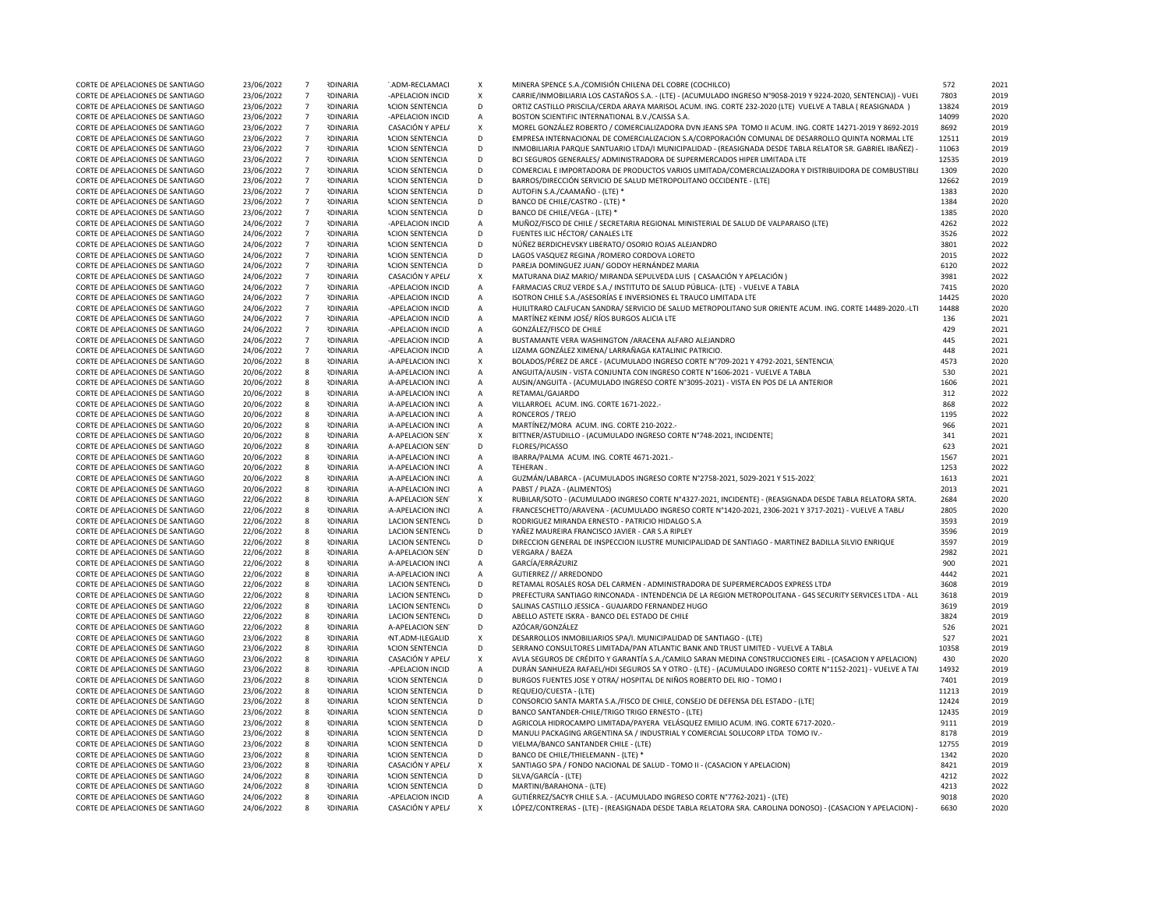| CORTE DE APELACIONES DE SANTIAGO | 23/06/2022 | $7\overline{ }$  | <b>IDINARIA</b> | .ADM-RECLAMACI          | X                         | MINERA SPENCE S.A./COMISIÓN CHILENA DEL COBRE (COCHILCO)                                                       | 572        | 2021             |
|----------------------------------|------------|------------------|-----------------|-------------------------|---------------------------|----------------------------------------------------------------------------------------------------------------|------------|------------------|
| CORTE DE APELACIONES DE SANTIAGO | 23/06/2022 | $\overline{7}$   | <b>RDINARIA</b> | -APELACION INCID        | $\boldsymbol{\mathsf{x}}$ | CARRIE/INMOBILIARIA LOS CASTAÑOS S.A. - (LTE) - (ACUMULADO INGRESO N°9058-2019 Y 9224-2020, SENTENCIA)) - VUEI | 7803       | 2019             |
| CORTE DE APELACIONES DE SANTIAGO | 23/06/2022 | $7\overline{ }$  | <b>RDINARIA</b> | <b>ACION SENTENCIA</b>  | D                         | ORTIZ CASTILLO PRISCILA/CERDA ARAYA MARISOL ACUM. ING. CORTE 232-2020 (LTE) VUELVE A TABLA ( REASIGNADA )      | 13824      | 2019             |
| CORTE DE APELACIONES DE SANTIAGO | 23/06/2022 | $7^{\circ}$      | <b>IDINARIA</b> | -APELACION INCID        | $\mathsf A$               | BOSTON SCIENTIFIC INTERNATIONAL B.V./CAISSA S.A.                                                               | 14099      | 2020             |
| CORTE DE APELACIONES DE SANTIAGO | 23/06/2022 | $7\overline{ }$  | <b>RDINARIA</b> | CASACIÓN Y APEL/        | X                         | MOREL GONZÁLEZ ROBERTO / COMERCIALIZADORA DVN JEANS SPA TOMO II ACUM. ING. CORTE 14271-2019 Y 8692-2019        | 8692       | 2019             |
| CORTE DE APELACIONES DE SANTIAGO | 23/06/2022 | $7\overline{ }$  | <b>RDINARIA</b> | <b>ACION SENTENCIA</b>  | D                         | EMPRESA INTERNACIONAL DE COMERCIALIZACION S.A/CORPORACIÓN COMUNAL DE DESARROLLO QUINTA NORMAL LTE              | 12511      | 2019             |
| CORTE DE APELACIONES DE SANTIAGO | 23/06/2022 | $7\overline{ }$  | <b>RDINARIA</b> | <b>ACION SENTENCIA</b>  | D                         | INMOBILIARIA PARQUE SANTUARIO LTDA/I MUNICIPALIDAD - (REASIGNADA DESDE TABLA RELATOR SR. GABRIEL IBAÑEZ) -     | 11063      | 2019             |
| CORTE DE APELACIONES DE SANTIAGO | 23/06/2022 | $7\overline{ }$  | <b>IDINARIA</b> | <b>ACION SENTENCIA</b>  | D                         | BCI SEGUROS GENERALES/ ADMINISTRADORA DE SUPERMERCADOS HIPER LIMITADA LTE                                      | 12535      | 201 <sup>c</sup> |
| CORTE DE APELACIONES DE SANTIAGO | 23/06/2022 | $7\overline{ }$  | <b>IDINARIA</b> | <b>ACION SENTENCIA</b>  | D                         | COMERCIAL E IMPORTADORA DE PRODUCTOS VARIOS LIMITADA/COMERCIALIZADORA Y DISTRIBUIDORA DE COMBUSTIBLI           | 1309       | 2020             |
| CORTE DE APELACIONES DE SANTIAGO | 23/06/2022 | $\overline{7}$   | <b>IDINARIA</b> | <b>ACION SENTENCIA</b>  | D                         | BARROS/DIRECCIÓN SERVICIO DE SALUD METROPOLITANO OCCIDENTE - (LTE)                                             | 12662      | 2019             |
|                                  |            | $7\overline{ }$  | <b>IDINARIA</b> |                         | D                         | AUTOFIN S.A./CAAMAÑO - (LTE) *                                                                                 | 1383       | 2020             |
| CORTE DE APELACIONES DE SANTIAGO | 23/06/2022 |                  |                 | <b>ACION SENTENCIA</b>  |                           |                                                                                                                |            |                  |
| CORTE DE APELACIONES DE SANTIAGO | 23/06/2022 | $7\overline{ }$  | <b>RDINARIA</b> | <b>ACION SENTENCIA</b>  | D                         | BANCO DE CHILE/CASTRO - (LTE) *                                                                                | 1384       | 2020             |
| CORTE DE APELACIONES DE SANTIAGO | 23/06/2022 | $7\overline{ }$  | <b>IDINARIA</b> | <b>ACION SENTENCIA</b>  | D                         | BANCO DE CHILE/VEGA - (LTE) *                                                                                  | 1385       | 2020             |
| CORTE DE APELACIONES DE SANTIAGO | 24/06/2022 | $7\overline{ }$  | <b>IDINARIA</b> | -APELACION INCID        | $\overline{A}$            | MUÑOZ/FISCO DE CHILE / SECRETARIA REGIONAL MINISTERIAL DE SALUD DE VALPARAISO (LTE)                            | 4262       | 2022             |
| CORTE DE APELACIONES DE SANTIAGO | 24/06/2022 | $7\overline{ }$  | <b>RDINARIA</b> | <b>ACION SENTENCIA</b>  | D                         | FUENTES ILIC HÉCTOR/ CANALES LTE                                                                               | 3526       | 2022             |
| CORTE DE APELACIONES DE SANTIAGO | 24/06/2022 | $7\overline{ }$  | <b>RDINARIA</b> | <b>ACION SENTENCIA</b>  | D                         | NÚÑEZ BERDICHEVSKY LIBERATO/ OSORIO ROJAS ALEJANDRO                                                            | 3801       | 2022             |
| CORTE DE APELACIONES DE SANTIAGO | 24/06/2022 | $7\overline{ }$  | <b>RDINARIA</b> | <b>ACION SENTENCIA</b>  | D                         | LAGOS VASQUEZ REGINA / ROMERO CORDOVA LORETO                                                                   | 2015       | 2022             |
| CORTE DE APELACIONES DE SANTIAGO | 24/06/2022 | $7\overline{ }$  | <b>RDINARIA</b> | <b>ACION SENTENCIA</b>  | D                         | PAREJA DOMINGUEZ JUAN/ GODOY HERNÁNDEZ MARIA                                                                   | 6120       | 2022             |
| CORTE DE APELACIONES DE SANTIAGO | 24/06/2022 | $7^{\circ}$      | <b>IDINARIA</b> | CASACIÓN Y APEL/        | $\pmb{\chi}$              | MATURANA DIAZ MARIO/ MIRANDA SEPULVEDA LUIS ( CASAACIÓN Y APELACIÓN )                                          | 3981       | 2022             |
| CORTE DE APELACIONES DE SANTIAGO | 24/06/2022 | $7^{\circ}$      | <b>NDINARIA</b> | -APELACION INCID        | $\overline{A}$            | FARMACIAS CRUZ VERDE S.A./ INSTITUTO DE SALUD PÚBLICA- (LTE) - VUELVE A TABLA                                  | 7415       | 2020             |
| CORTE DE APELACIONES DE SANTIAGO | 24/06/2022 | $7\overline{ }$  | <b>IDINARIA</b> | -APELACION INCID        | $\overline{A}$            | ISOTRON CHILE S.A./ASESORÍAS E INVERSIONES EL TRAUCO LIMITADA LTE                                              | 14425      | 2020             |
| CORTE DE APELACIONES DE SANTIAGO | 24/06/2022 | $7^{\circ}$      | <b>IDINARIA</b> | -APELACION INCID        | $\mathsf{A}$              | HUILITRARO CALFUCAN SANDRA/ SERVICIO DE SALUD METROPOLITANO SUR ORIENTE ACUM. ING. CORTE 14489-2020.-LTI       | 14488      | 2020             |
| CORTE DE APELACIONES DE SANTIAGO | 24/06/2022 | $7\overline{ }$  | <b>RDINARIA</b> | -APELACION INCID        | $\mathsf{A}$              | MARTÍNEZ KEINM JOSÉ/ RÍOS BURGOS ALICIA LTE                                                                    | 136        | 2021             |
| CORTE DE APELACIONES DE SANTIAGO | 24/06/2022 | $7\overline{ }$  | <b>IDINARIA</b> | -APELACION INCID        | $\mathsf{A}$              | GONZÁLEZ/FISCO DE CHILE                                                                                        | 429        | 2021             |
|                                  |            |                  |                 |                         |                           |                                                                                                                |            |                  |
| CORTE DE APELACIONES DE SANTIAGO | 24/06/2022 | $7\overline{ }$  | <b>IDINARIA</b> | -APELACION INCID        | $\mathsf{A}$              | BUSTAMANTE VERA WASHINGTON / ARACENA ALFARO ALEJANDRO                                                          | 445<br>448 | 2021             |
| CORTE DE APELACIONES DE SANTIAGO | 24/06/2022 | $7\overline{ }$  | <b>IDINARIA</b> | -APELACION INCID        | $\mathsf A$               | LIZAMA GONZÁLEZ XIMENA/ LARRAÑAGA KATALINIC PATRICIO.                                                          |            | 2021             |
| CORTE DE APELACIONES DE SANTIAGO | 20/06/2022 | 8                | <b>RDINARIA</b> | A-APELACION INCI        | $\boldsymbol{\mathsf{x}}$ | BOLADOS/PÉREZ DE ARCE - (ACUMULADO INGRESO CORTE N°709-2021 Y 4792-2021, SENTENCIA                             | 4573       | 2020             |
| CORTE DE APELACIONES DE SANTIAGO | 20/06/2022 | 8                | <b>RDINARIA</b> | A-APELACION INCI        | $\overline{A}$            | ANGUITA/AUSIN - VISTA CONJUNTA CON INGRESO CORTE N°1606-2021 - VUELVE A TABLA                                  | 530        | 2021             |
| CORTE DE APELACIONES DE SANTIAGO | 20/06/2022 | 8                | <b>RDINARIA</b> | A-APELACION INCI        | $\mathsf{A}$              | AUSIN/ANGUITA - (ACUMULADO INGRESO CORTE Nº3095-2021) - VISTA EN POS DE LA ANTERIOR                            | 1606       | 2021             |
| CORTE DE APELACIONES DE SANTIAGO | 20/06/2022 | 8                | <b>RDINARIA</b> | A-APELACION INCI        | $\overline{A}$            | RETAMAL/GAJARDO                                                                                                | 312        | 2022             |
| CORTE DE APELACIONES DE SANTIAGO | 20/06/2022 | 8                | <b>IDINARIA</b> | A-APELACION INCI        | $\mathsf{A}$              | VILLARROEL ACUM. ING. CORTE 1671-2022.-                                                                        | 868        | 2022             |
| CORTE DE APELACIONES DE SANTIAGO | 20/06/2022 | 8                | <b>IDINARIA</b> | A-APELACION INCI        | $\mathsf{A}$              | RONCEROS / TREJO                                                                                               | 1195       | 2022             |
| CORTE DE APELACIONES DE SANTIAGO | 20/06/2022 | 8                | <b>RDINARIA</b> | A-APELACION INCI        | $\overline{A}$            | MARTÍNEZ/MORA ACUM. ING. CORTE 210-2022.-                                                                      | 966        | 2021             |
| CORTE DE APELACIONES DE SANTIAGO | 20/06/2022 | 8                | <b>NDINARIA</b> | <b>A-APELACION SEN</b>  | $\mathsf{x}$              | BITTNER/ASTUDILLO - (ACUMULADO INGRESO CORTE Nº748-2021, INCIDENTE)                                            | 341        | 2021             |
| CORTE DE APELACIONES DE SANTIAGO | 20/06/2022 | 8                | <b>NDINARIA</b> | A-APELACION SEN         | D                         | FLORES/PICASSO                                                                                                 | 623        | 2021             |
| CORTE DE APELACIONES DE SANTIAGO | 20/06/2022 | 8                | <b>RDINARIA</b> | A-APELACION INCI        | $\mathsf{A}$              | IBARRA/PALMA ACUM. ING. CORTE 4671-2021.-                                                                      | 1567       | 2021             |
| CORTE DE APELACIONES DE SANTIAGO | 20/06/2022 | 8                | <b>IDINARIA</b> | A-APELACION INCI        | $\mathsf{A}$              | TEHERAN.                                                                                                       | 1253       | 2022             |
| CORTE DE APELACIONES DE SANTIAGO | 20/06/2022 | 8                | <b>RDINARIA</b> | A-APELACION INCI        | $\mathsf{A}$              | GUZMÁN/LABARCA - (ACUMULADOS INGRESO CORTE Nº2758-2021, 5029-2021 Y 515-2022)                                  | 1613       | 2021             |
| CORTE DE APELACIONES DE SANTIAGO | 20/06/2022 | 8                | <b>RDINARIA</b> | A-APELACION INCI        | $\mathsf{A}$              | PABST / PLAZA - (ALIMENTOS)                                                                                    | 2013       | 2021             |
| CORTE DE APELACIONES DE SANTIAGO | 22/06/2022 | 8                | <b>IDINARIA</b> | A-APELACION SEN         | $\pmb{\chi}$              | RUBILAR/SOTO - (ACUMULADO INGRESO CORTE Nº4327-2021, INCIDENTE) - (REASIGNADA DESDE TABLA RELATORA SRTA.       | 2684       | 2020             |
|                                  |            |                  | <b>IDINARIA</b> |                         |                           | FRANCESCHETTO/ARAVENA - (ACUMULADO INGRESO CORTE Nº1420-2021, 2306-2021 Y 3717-2021) - VUELVE A TABL/          | 2805       | 2020             |
| CORTE DE APELACIONES DE SANTIAGO | 22/06/2022 | 8                |                 | A-APELACION INCI        | $\mathsf{A}$              |                                                                                                                |            |                  |
| CORTE DE APELACIONES DE SANTIAGO | 22/06/2022 | 8                | <b>RDINARIA</b> | <b>LACION SENTENCIA</b> | D                         | RODRIGUEZ MIRANDA ERNESTO - PATRICIO HIDALGO S.A                                                               | 3593       | 2019             |
| CORTE DE APELACIONES DE SANTIAGO | 22/06/2022 | 8                | <b>IDINARIA</b> | <b>LACION SENTENCIA</b> | D                         | YAÑEZ MAUREIRA FRANCISCO JAVIER - CAR S.A RIPLEY                                                               | 3596       | 2019             |
| CORTE DE APELACIONES DE SANTIAGO | 22/06/2022 | 8                | <b>IDINARIA</b> | <b>LACION SENTENCIA</b> | D                         | DIRECCION GENERAL DE INSPECCION ILUSTRE MUNICIPALIDAD DE SANTIAGO - MARTINEZ BADILLA SILVIO ENRIQUE            | 3597       | 201 <sup>c</sup> |
| CORTE DE APELACIONES DE SANTIAGO | 22/06/2022 | 8                | <b>IDINARIA</b> | A-APELACION SEN         | D                         | <b>VERGARA / BAEZA</b>                                                                                         | 2982       | 2021             |
| CORTE DE APELACIONES DE SANTIAGO | 22/06/2022 | 8                | <b>IDINARIA</b> | A-APELACION INCI        | А                         | GARCÍA/ERRÁZURIZ                                                                                               | 900        | 2021             |
| CORTE DE APELACIONES DE SANTIAGO | 22/06/2022 | 8                | <b>RDINARIA</b> | A-APELACION INCI        | $\mathsf{A}$              | GUTIERREZ // ARREDONDO                                                                                         | 4442       | 2021             |
| CORTE DE APELACIONES DE SANTIAGO | 22/06/2022 | 8                | <b>RDINARIA</b> | LACION SENTENCI         | D                         | RETAMAL ROSALES ROSA DEL CARMEN - ADMINISTRADORA DE SUPERMERCADOS EXPRESS LTDA                                 | 3608       | 2019             |
| CORTE DE APELACIONES DE SANTIAGO | 22/06/2022 | 8                | <b>RDINARIA</b> | LACION SENTENCI         | D                         | PREFECTURA SANTIAGO RINCONADA - INTENDENCIA DE LA REGION METROPOLITANA - G4S SECURITY SERVICES LTDA - ALL      | 3618       | 2019             |
| CORTE DE APELACIONES DE SANTIAGO | 22/06/2022 | 8                | <b>RDINARIA</b> | <b>LACION SENTENCI</b>  | D                         | SALINAS CASTILLO JESSICA - GUAJARDO FERNANDEZ HUGO                                                             | 3619       | 2019             |
| CORTE DE APELACIONES DE SANTIAGO | 22/06/2022 | 8                | <b>RDINARIA</b> | <b>LACION SENTENCIA</b> | D                         | ABELLO ASTETE ISKRA - BANCO DEL ESTADO DE CHILE                                                                | 3824       | 2019             |
| CORTE DE APELACIONES DE SANTIAGO | 22/06/2022 | 8                | <b>RDINARIA</b> | A-APELACION SEN         | D                         | AZÓCAR/GONZÁLEZ                                                                                                | 526        | 2021             |
| CORTE DE APELACIONES DE SANTIAGO | 23/06/2022 | 8                | <b>RDINARIA</b> | NT.ADM-ILEGALID         | $\boldsymbol{\mathsf{x}}$ | DESARROLLOS INMOBILIARIOS SPA/I. MUNICIPALIDAD DE SANTIAGO - (LTE)                                             | 527        | 2021             |
| CORTE DE APELACIONES DE SANTIAGO | 23/06/2022 | 8                | <b>IDINARIA</b> | <b>ACION SENTENCIA</b>  | D                         | SERRANO CONSULTORES LIMITADA/PAN ATLANTIC BANK AND TRUST LIMITED - VUELVE A TABLA                              | 10358      | 2019             |
| CORTE DE APELACIONES DE SANTIAGO | 23/06/2022 | 8                | <b>IDINARIA</b> | CASACIÓN Y APEL/        | $\mathsf{x}$              | AVLA SEGUROS DE CRÉDITO Y GARANTÍA S.A./CAMILO SARAN MEDINA CONSTRUCCIONES EIRL - (CASACION Y APELACION)       | 430        | 2020             |
| CORTE DE APELACIONES DE SANTIAGO | 23/06/2022 | 8                | <b>NDINARIA</b> | -APELACION INCID        | $\mathsf A$               | DURÁN SANHUEZA RAFAEL/HDI SEGUROS SA Y OTRO - (LTE) - (ACUMULADO INGRESO CORTE Nº1152-2021) - VUELVE A TAI     | 14932      | 2019             |
| CORTE DE APELACIONES DE SANTIAGO |            | 8                | <b>RDINARIA</b> | <b>ACION SENTENCIA</b>  | D                         | BURGOS FUENTES JOSE Y OTRA/ HOSPITAL DE NIÑOS ROBERTO DEL RIO - TOMO I                                         | 7401       | 2019             |
|                                  | 23/06/2022 |                  |                 |                         |                           |                                                                                                                |            |                  |
| CORTE DE APELACIONES DE SANTIAGO | 23/06/2022 | 8                | <b>IDINARIA</b> | <b>ACION SENTENCIA</b>  | D                         | REQUEJO/CUESTA - (LTE)                                                                                         | 11213      | 2019             |
| CORTE DE APELACIONES DE SANTIAGO | 23/06/2022 | 8                | <b>IDINARIA</b> | <b>ACION SENTENCIA</b>  | D                         | CONSORCIO SANTA MARTA S.A./FISCO DE CHILE, CONSEJO DE DEFENSA DEL ESTADO - (LTE)                               | 12424      | 2019             |
| CORTE DE APELACIONES DE SANTIAGO | 23/06/2022 | 8                | <b>RDINARIA</b> | <b>ACION SENTENCIA</b>  | D                         | BANCO SANTANDER-CHILE/TRIGO TRIGO ERNESTO - (LTE)                                                              | 12435      | 2019             |
| CORTE DE APELACIONES DE SANTIAGO |            |                  | <b>IDINARIA</b> | <b>ACION SENTENCIA</b>  | D                         | AGRICOLA HIDROCAMPO LIMITADA/PAYERA VELÁSQUEZ EMILIO ACUM. ING. CORTE 6717-2020.-                              | 9111       | 2019             |
|                                  | 23/06/2022 | 8                |                 |                         |                           |                                                                                                                |            |                  |
| CORTE DE APELACIONES DE SANTIAGO | 23/06/2022 | $\boldsymbol{8}$ | <b>IDINARIA</b> | <b>ACION SENTENCIA</b>  | D                         | MANULI PACKAGING ARGENTINA SA / INDUSTRIAL Y COMERCIAL SOLUCORP LTDA TOMO IV.-                                 | 8178       | 2019             |
| CORTE DE APELACIONES DE SANTIAGO | 23/06/2022 | 8                | <b>RDINARIA</b> | <b>ACION SENTENCIA</b>  | D                         | VIELMA/BANCO SANTANDER CHILE - (LTE)                                                                           | 12755      | 2019             |
| CORTE DE APELACIONES DE SANTIAGO | 23/06/2022 | 8                | <b>RDINARIA</b> | <b>ACION SENTENCIA</b>  | D                         | BANCO DE CHILE/THIELEMANN - (LTE) *                                                                            | 1342       | 2020             |
| CORTE DE APELACIONES DE SANTIAGO | 23/06/2022 | 8                | <b>RDINARIA</b> | CASACIÓN Y APEL/        | X                         | SANTIAGO SPA / FONDO NACIONAL DE SALUD - TOMO II - (CASACION Y APELACION)                                      | 8421       | 2019             |
| CORTE DE APELACIONES DE SANTIAGO | 24/06/2022 | 8                | <b>RDINARIA</b> | <b>ACION SENTENCIA</b>  | D                         | SILVA/GARCÍA - (LTE)                                                                                           | 4212       | 2022             |
| CORTE DE APELACIONES DE SANTIAGO | 24/06/2022 | 8                | <b>IDINARIA</b> | <b>ACION SENTENCIA</b>  | D                         | MARTINI/BARAHONA - (LTE)                                                                                       | 4213       | 2022             |
| CORTE DE APELACIONES DE SANTIAGO | 24/06/2022 | 8                | <b>RDINARIA</b> | -APELACION INCID        | $\mathsf{A}$              | GUTIÉRREZ/SACYR CHILE S.A. - (ACUMULADO INGRESO CORTE Nº7762-2021) - (LTE)                                     | 9018       | 2020             |
| CORTE DE APELACIONES DE SANTIAGO | 24/06/2022 | 8                | <b>RDINARIA</b> | CASACIÓN Y APEL/        | X                         | LÓPEZ/CONTRERAS - (LTE) - (REASIGNADA DESDE TABLA RELATORA SRA. CAROLINA DONOSO) - (CASACION Y APELACION) -    | 6630       | 2020             |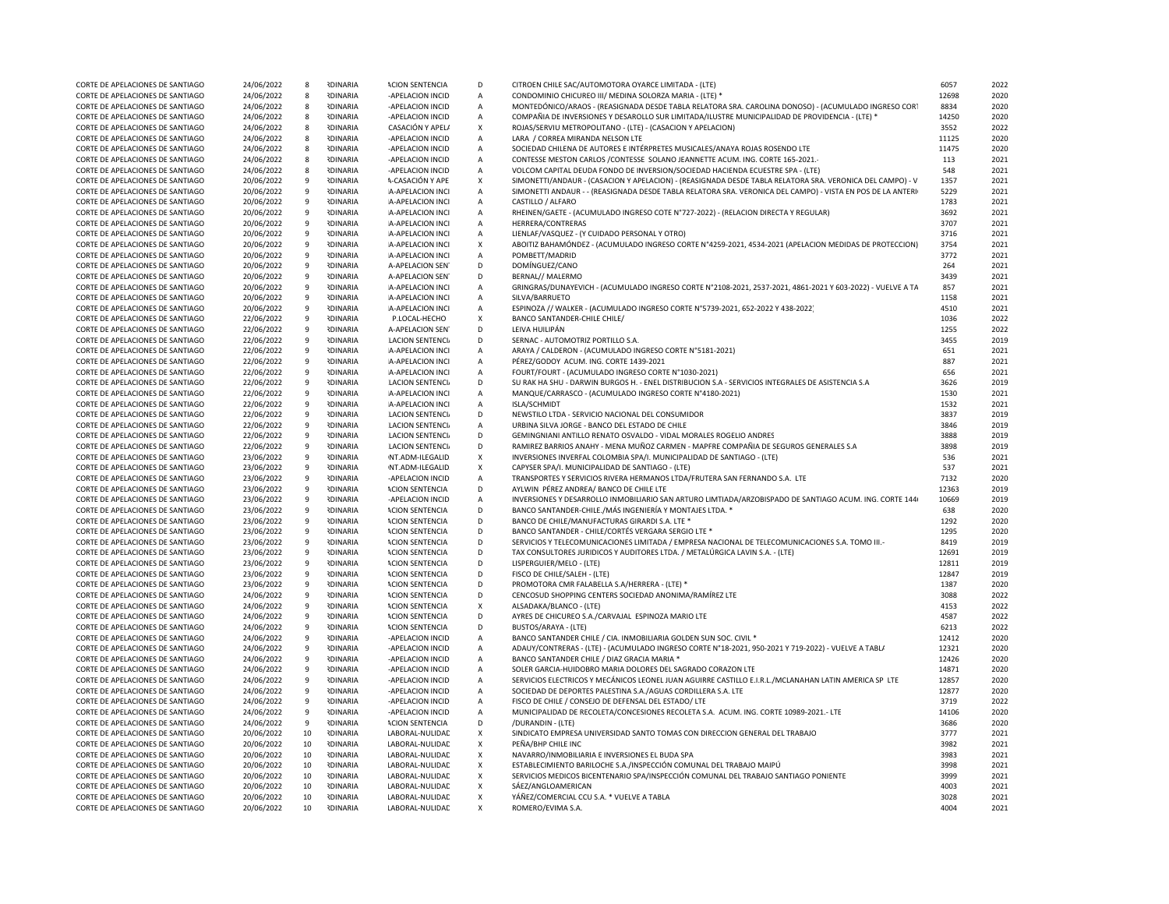| CORTE DE APELACIONES DE SANTIAGO | 24/06/2022 | 8  | <b>IDINARIA</b> | <b>ACION SENTENCIA</b>  | D                  | CITROEN CHILE SAC/AUTOMOTORA OYARCE LIMITADA - (LTE)                                                       | 6057  | 2022 |
|----------------------------------|------------|----|-----------------|-------------------------|--------------------|------------------------------------------------------------------------------------------------------------|-------|------|
| CORTE DE APELACIONES DE SANTIAGO | 24/06/2022 | 8  | <b>RDINARIA</b> | -APELACION INCID        | Α                  | CONDOMINIO CHICUREO III/ MEDINA SOLORZA MARIA - (LTE) *                                                    | 12698 | 2020 |
| CORTE DE APELACIONES DE SANTIAGO | 24/06/2022 | 8  | <b>RDINARIA</b> | -APELACION INCID        | A                  | MONTEDÓNICO/ARAOS - (REASIGNADA DESDE TABLA RELATORA SRA. CAROLINA DONOSO) - (ACUMULADO INGRESO CORT       | 8834  | 2020 |
| CORTE DE APELACIONES DE SANTIAGO | 24/06/2022 | 8  | <b>RDINARIA</b> | -APELACION INCID        | Α                  | COMPAÑIA DE INVERSIONES Y DESAROLLO SUR LIMITADA/ILUSTRE MUNICIPALIDAD DE PROVIDENCIA - (LTE) *            | 14250 | 2020 |
| CORTE DE APELACIONES DE SANTIAGO | 24/06/2022 | 8  | <b>IDINARIA</b> | CASACIÓN Y APEL/        | X                  | ROJAS/SERVIU METROPOLITANO - (LTE) - (CASACION Y APELACION)                                                | 3552  | 2022 |
| CORTE DE APELACIONES DE SANTIAGO | 24/06/2022 | 8  | <b>IDINARIA</b> | -APELACION INCID        | $\mathsf A$        | LARA / CORREA MIRANDA NELSON LTE                                                                           | 11125 | 2020 |
| CORTE DE APELACIONES DE SANTIAGO | 24/06/2022 | 8  | <b>NDINARIA</b> | -APELACION INCID        | A                  | SOCIEDAD CHILENA DE AUTORES E INTÉRPRETES MUSICALES/ANAYA ROJAS ROSENDO LTE                                | 11475 | 2020 |
| CORTE DE APELACIONES DE SANTIAGO | 24/06/2022 | 8  | <b>RDINARIA</b> | -APELACION INCID        | A                  | CONTESSE MESTON CARLOS / CONTESSE SOLANO JEANNETTE ACUM. ING. CORTE 165-2021.                              | 113   | 2021 |
| CORTE DE APELACIONES DE SANTIAGO | 24/06/2022 | 8  | <b>RDINARIA</b> | -APELACION INCID        |                    | VOLCOM CAPITAL DEUDA FONDO DE INVERSION/SOCIEDAD HACIENDA ECUESTRE SPA - (LTE)                             | 548   | 2021 |
|                                  |            |    |                 |                         | A                  |                                                                                                            |       |      |
| CORTE DE APELACIONES DE SANTIAGO | 20/06/2022 | 9  | <b>IDINARIA</b> | A-CASACIÓN Y APE        | X                  | SIMONETTI/ANDAUR - (CASACION Y APELACION) - (REASIGNADA DESDE TABLA RELATORA SRA. VERONICA DEL CAMPO) - V  | 1357  | 2021 |
| CORTE DE APELACIONES DE SANTIAGO | 20/06/2022 | 9  | <b>IDINARIA</b> | A-APELACION INCI        | A                  | SIMONETTI ANDAUR - - (REASIGNADA DESDE TABLA RELATORA SRA. VERONICA DEL CAMPO) - VISTA EN POS DE LA ANTERI | 5229  | 2021 |
| CORTE DE APELACIONES DE SANTIAGO | 20/06/2022 | 9  | <b>IDINARIA</b> | A-APELACION INCI        | $\mathsf{A}$       | CASTILLO / ALFARO                                                                                          | 1783  | 2021 |
| CORTE DE APELACIONES DE SANTIAGO | 20/06/2022 | 9  | <b>RDINARIA</b> | A-APELACION INCI        | A                  | RHEINEN/GAETE - (ACUMULADO INGRESO COTE Nº727-2022) - (RELACION DIRECTA Y REGULAR)                         | 3692  | 2021 |
| CORTE DE APELACIONES DE SANTIAGO | 20/06/2022 | 9  | <b>IDINARIA</b> | A-APELACION INCI        | A                  | HERRERA/CONTRERAS                                                                                          | 3707  | 2021 |
| CORTE DE APELACIONES DE SANTIAGO | 20/06/2022 | 9  | <b>IDINARIA</b> | A-APELACION INCI        | $\mathsf A$        | LIENLAF/VASQUEZ - (Y CUIDADO PERSONAL Y OTRO)                                                              | 3716  | 2021 |
| CORTE DE APELACIONES DE SANTIAGO | 20/06/2022 | 9  | <b>RDINARIA</b> | A-APELACION INCI        | X                  | ABOITIZ BAHAMÓNDEZ - (ACUMULADO INGRESO CORTE Nº4259-2021, 4534-2021 (APELACION MEDIDAS DE PROTECCION)     | 3754  | 2021 |
| CORTE DE APELACIONES DE SANTIAGO | 20/06/2022 | 9  | <b>IDINARIA</b> | A-APELACION INCI        | A                  | POMBETT/MADRID                                                                                             | 3772  | 2021 |
| CORTE DE APELACIONES DE SANTIAGO | 20/06/2022 | 9  | <b>IDINARIA</b> | A-APELACION SEN         | D                  | DOMÍNGUEZ/CANO                                                                                             | 264   | 2021 |
| CORTE DE APELACIONES DE SANTIAGO | 20/06/2022 | 9  | <b>IDINARIA</b> | A-APELACION SEN         | D                  | BERNAL// MALERMO                                                                                           | 3439  | 2021 |
| CORTE DE APELACIONES DE SANTIAGO | 20/06/2022 | 9  | <b>IDINARIA</b> | A-APELACION INCI        | A                  | GRINGRAS/DUNAYEVICH - (ACUMULADO INGRESO CORTE N°2108-2021, 2537-2021, 4861-2021 Y 603-2022) - VUELVE A TA | 857   | 2021 |
| CORTE DE APELACIONES DE SANTIAGO | 20/06/2022 | 9  | <b>RDINARIA</b> | A-APELACION INCI        | A                  | SILVA/BARRUETO                                                                                             | 1158  | 2021 |
| CORTE DE APELACIONES DE SANTIAGO | 20/06/2022 | 9  | <b>IDINARIA</b> | A-APELACION INCI        | A                  | ESPINOZA // WALKER - (ACUMULADO INGRESO CORTE N°5739-2021, 652-2022 Y 438-2022)                            | 4510  | 2021 |
|                                  |            |    |                 |                         |                    |                                                                                                            |       |      |
| CORTE DE APELACIONES DE SANTIAGO | 22/06/2022 | 9  | <b>IDINARIA</b> | P.LOCAL-HECHO           | x                  | BANCO SANTANDER-CHILE CHILE/                                                                               | 1036  | 2022 |
| CORTE DE APELACIONES DE SANTIAGO | 22/06/2022 | 9  | <b>NDINARIA</b> | A-APELACION SEN         | D                  | LEIVA HUILIPÁN                                                                                             | 1255  | 2022 |
| CORTE DE APELACIONES DE SANTIAGO | 22/06/2022 | 9  | <b>NDINARIA</b> | <b>LACION SENTENCIA</b> | D                  | SERNAC - AUTOMOTRIZ PORTILLO S.A.                                                                          | 3455  | 2019 |
| CORTE DE APELACIONES DE SANTIAGO | 22/06/2022 | 9  | <b>RDINARIA</b> | A-APELACION INCI        | A                  | ARAYA / CALDERON - (ACUMULADO INGRESO CORTE N°5181-2021)                                                   | 651   | 2021 |
| CORTE DE APELACIONES DE SANTIAGO | 22/06/2022 | 9  | <b>IDINARIA</b> | A-APELACION INCI        | А                  | PÉREZ/GODOY ACUM. ING. CORTE 1439-2021                                                                     | 887   | 2021 |
| CORTE DE APELACIONES DE SANTIAGO | 22/06/2022 | 9  | <b>RDINARIA</b> | A-APELACION INCI        | A                  | FOURT/FOURT - (ACUMULADO INGRESO CORTE N°1030-2021)                                                        | 656   | 2021 |
| CORTE DE APELACIONES DE SANTIAGO | 22/06/2022 | 9  | <b>IDINARIA</b> | <b>LACION SENTENCIA</b> | D                  | SU RAK HA SHU - DARWIN BURGOS H. - ENEL DISTRIBUCION S.A - SERVICIOS INTEGRALES DE ASISTENCIA S.A          | 3626  | 2019 |
| CORTE DE APELACIONES DE SANTIAGO | 22/06/2022 | 9  | <b>IDINARIA</b> | A-APELACION INCI        | $\mathsf{A}$       | MANQUE/CARRASCO - (ACUMULADO INGRESO CORTE N°4180-2021)                                                    | 1530  | 2021 |
| CORTE DE APELACIONES DE SANTIAGO | 22/06/2022 | 9  | <b>RDINARIA</b> | A-APELACION INCI        | A                  | ISLA/SCHMIDT                                                                                               | 1532  | 2021 |
| CORTE DE APELACIONES DE SANTIAGO | 22/06/2022 | 9  | <b>IDINARIA</b> | <b>LACION SENTENCIA</b> | D                  | NEWSTILO LTDA - SERVICIO NACIONAL DEL CONSUMIDOR                                                           | 3837  | 2019 |
| CORTE DE APELACIONES DE SANTIAGO | 22/06/2022 | 9  | <b>RDINARIA</b> | <b>LACION SENTENCI</b>  | Α                  | URBINA SILVA JORGE - BANCO DEL ESTADO DE CHILE                                                             | 3846  | 2019 |
| CORTE DE APELACIONES DE SANTIAGO | 22/06/2022 | 9  | <b>NDINARIA</b> | <b>LACION SENTENCI</b>  | D                  | GEMINGNIANI ANTILLO RENATO OSVALDO - VIDAL MORALES ROGELIO ANDRES                                          | 3888  | 2019 |
| CORTE DE APELACIONES DE SANTIAGO | 22/06/2022 | 9  | <b>NDINARIA</b> | <b>LACION SENTENCIA</b> | D                  | RAMIREZ BARRIOS ANAHY - MENA MUÑOZ CARMEN - MAPFRE COMPAÑIA DE SEGUROS GENERALES S.A                       | 3898  | 2019 |
| CORTE DE APELACIONES DE SANTIAGO | 23/06/2022 | 9  | <b>IDINARIA</b> | NT.ADM-ILEGALID         | X                  | INVERSIONES INVERFAL COLOMBIA SPA/I. MUNICIPALIDAD DE SANTIAGO - (LTE)                                     | 536   | 2021 |
| CORTE DE APELACIONES DE SANTIAGO | 23/06/2022 | 9  | <b>RDINARIA</b> | NT.ADM-ILEGALID         | X                  | CAPYSER SPA/I. MUNICIPALIDAD DE SANTIAGO - (LTE)                                                           | 537   | 2021 |
|                                  |            | 9  |                 |                         |                    |                                                                                                            | 7132  | 2020 |
| CORTE DE APELACIONES DE SANTIAGO | 23/06/2022 |    | <b>RDINARIA</b> | -APELACION INCID        | A                  | TRANSPORTES Y SERVICIOS RIVERA HERMANOS LTDA/FRUTERA SAN FERNANDO S.A. LTE                                 |       |      |
| CORTE DE APELACIONES DE SANTIAGO | 23/06/2022 | 9  | <b>IDINARIA</b> | <b>ACION SENTENCIA</b>  | D                  | AYLWIN PÉREZ ANDREA/ BANCO DE CHILE LTE                                                                    | 12363 | 2019 |
| CORTE DE APELACIONES DE SANTIAGO | 23/06/2022 | 9  | <b>RDINARIA</b> | -APELACION INCID        | A                  | INVERSIONES Y DESARROLLO INMOBILIARIO SAN ARTURO LIMTIADA/ARZOBISPADO DE SANTIAGO ACUM. ING. CORTE 144     | 10669 | 2019 |
| CORTE DE APELACIONES DE SANTIAGO | 23/06/2022 | 9  | <b>IDINARIA</b> | <b>ACION SENTENCIA</b>  | D                  | BANCO SANTANDER-CHILE./MÁS INGENIERÍA Y MONTAJES LTDA. *                                                   | 638   | 2020 |
| CORTE DE APELACIONES DE SANTIAGO | 23/06/2022 | 9  | <b>RDINARIA</b> | <b>ACION SENTENCIA</b>  | D                  | BANCO DE CHILE/MANUFACTURAS GIRARDI S.A. LTE *                                                             | 1292  | 2020 |
| CORTE DE APELACIONES DE SANTIAGO | 23/06/2022 | 9  | <b>IDINARIA</b> | <b>ACION SENTENCIA</b>  | D                  | BANCO SANTANDER - CHILE/CORTÉS VERGARA SERGIO LTE *                                                        | 1295  | 2020 |
| CORTE DE APELACIONES DE SANTIAGO | 23/06/2022 | 9  | <b>NDINARIA</b> | <b>ACION SENTENCIA</b>  | D                  | SERVICIOS Y TELECOMUNICACIONES LIMITADA / EMPRESA NACIONAL DE TELECOMUNICACIONES S.A. TOMO III.-           | 8419  | 2019 |
| CORTE DE APELACIONES DE SANTIAGO | 23/06/2022 | 9  | <b>IDINARIA</b> | <b>ACION SENTENCIA</b>  | D                  | TAX CONSULTORES JURIDICOS Y AUDITORES LTDA. / METALÚRGICA LAVIN S.A. - (LTE)                               | 12691 | 2019 |
| CORTE DE APELACIONES DE SANTIAGO | 23/06/2022 | 9  | <b>RDINARIA</b> | <b>ACION SENTENCIA</b>  | D                  | LISPERGUIER/MELO - (LTE)                                                                                   | 12811 | 2019 |
| CORTE DE APELACIONES DE SANTIAGO | 23/06/2022 | 9  | <b>IDINARIA</b> | <b>ACION SENTENCIA</b>  | D                  | FISCO DE CHILE/SALEH - (LTE)                                                                               | 12847 | 2019 |
| CORTE DE APELACIONES DE SANTIAGO | 23/06/2022 | 9  | <b>IDINARIA</b> | <b>ACION SENTENCIA</b>  | D                  | PROMOTORA CMR FALABELLA S.A/HERRERA - (LTE) *                                                              | 1387  | 2020 |
| CORTE DE APELACIONES DE SANTIAGO | 24/06/2022 | 9  | <b>RDINARIA</b> | <b>ACION SENTENCIA</b>  | D                  | CENCOSUD SHOPPING CENTERS SOCIEDAD ANONIMA/RAMÍREZ LTE                                                     | 3088  | 2022 |
| CORTE DE APELACIONES DE SANTIAGO | 24/06/2022 | 9  | <b>IDINARIA</b> | <b>ACION SENTENCIA</b>  | X                  | ALSADAKA/BLANCO - (LTE)                                                                                    | 4153  | 2022 |
| CORTE DE APELACIONES DE SANTIAGO | 24/06/2022 | 9  | <b>RDINARIA</b> | <b>ACION SENTENCIA</b>  | D                  | AYRES DE CHICUREO S.A./CARVAJAL ESPINOZA MARIO LTE                                                         | 4587  | 2022 |
| CORTE DE APELACIONES DE SANTIAGO | 24/06/2022 | 9  | <b>IDINARIA</b> | <b>ACION SENTENCIA</b>  | D                  | BUSTOS/ARAYA - (LTF)                                                                                       | 6213  | 2022 |
| CORTE DE APELACIONES DE SANTIAGO | 24/06/2022 | 9  | <b>RDINARIA</b> | -APELACION INCID        | A                  | BANCO SANTANDER CHILE / CIA. INMOBILIARIA GOLDEN SUN SOC. CIVIL *                                          | 12412 | 2020 |
| CORTE DE APELACIONES DE SANTIAGO | 24/06/2022 | 9  | <b>IDINARIA</b> | -APELACION INCID        | $\mathsf{A}$       | ADAUY/CONTRERAS - (LTE) - (ACUMULADO INGRESO CORTE Nº18-2021, 950-2021 Y 719-2022) - VUELVE A TABL/        | 12321 | 2020 |
| CORTE DE APELACIONES DE SANTIAGO | 24/06/2022 | 9  | <b>NDINARIA</b> | -APELACION INCID        | $\mathsf A$        | BANCO SANTANDER CHILE / DIAZ GRACIA MARIA *                                                                | 12426 | 2020 |
|                                  |            |    |                 |                         |                    |                                                                                                            |       |      |
| CORTE DE APELACIONES DE SANTIAGO | 24/06/2022 | 9  | <b>RDINARIA</b> | -APELACION INCID        | A                  | SOLER GARCIA-HUIDOBRO MARIA DOLORES DEL SAGRADO CORAZON LTE                                                | 14871 | 2020 |
| CORTE DE APELACIONES DE SANTIAGO | 24/06/2022 | 9  | <b>IDINARIA</b> | -APELACION INCID        | A                  | SERVICIOS ELECTRICOS Y MECÁNICOS LEONEL JUAN AGUIRRE CASTILLO E.I.R.L./MCLANAHAN LATIN AMERICA SP LTE      | 12857 | 2020 |
| CORTE DE APELACIONES DE SANTIAGO | 24/06/2022 | 9  | <b>IDINARIA</b> | -APELACION INCID        | A                  | SOCIEDAD DE DEPORTES PALESTINA S.A./AGUAS CORDILLERA S.A. LTE                                              | 12877 | 2020 |
| CORTE DE APELACIONES DE SANTIAGO | 24/06/2022 | 9  | <b>RDINARIA</b> | -APELACION INCID        | A                  | FISCO DE CHILE / CONSEJO DE DEFENSAL DEL ESTADO/ LTE                                                       | 3719  | 2022 |
| CORTE DE APELACIONES DE SANTIAGO | 24/06/2022 | 9  | <b>IDINARIA</b> | -APELACION INCID        | A                  | MUNICIPALIDAD DE RECOLETA/CONCESIONES RECOLETA S.A. ACUM. ING. CORTE 10989-2021.- LTE                      | 14106 | 2020 |
| CORTE DE APELACIONES DE SANTIAGO | 24/06/2022 | 9  | <b>IDINARIA</b> | <b>ACION SENTENCIA</b>  | D                  | /DURANDIN - (LTF)                                                                                          | 3686  | 2020 |
| CORTE DE APELACIONES DE SANTIAGO | 20/06/2022 | 10 | <b>RDINARIA</b> | LABORAL-NULIDAD         | X                  | SINDICATO EMPRESA UNIVERSIDAD SANTO TOMAS CON DIRECCION GENERAL DEL TRABAJO                                | 3777  | 2021 |
| CORTE DE APELACIONES DE SANTIAGO | 20/06/2022 | 10 | <b>RDINARIA</b> | LABORAL-NULIDAD         | X                  | PEÑA/BHP CHILE INC                                                                                         | 3982  | 2021 |
| CORTE DE APELACIONES DE SANTIAGO | 20/06/2022 | 10 | <b>IDINARIA</b> | LABORAL-NULIDAD         | X                  | NAVARRO/INMOBILIARIA E INVERSIONES EL BUDA SPA                                                             | 3983  | 2021 |
| CORTE DE APELACIONES DE SANTIAGO | 20/06/2022 | 10 | <b>RDINARIA</b> | LABORAL-NULIDAD         | X                  | ESTABLECIMIENTO BARILOCHE S.A./INSPECCIÓN COMUNAL DEL TRABAJO MAIPÚ                                        | 3998  | 2021 |
| CORTE DE APELACIONES DE SANTIAGO | 20/06/2022 | 10 | <b>RDINARIA</b> | LABORAL-NULIDAD         | $\mathsf{x}$       | SERVICIOS MEDICOS BICENTENARIO SPA/INSPECCIÓN COMUNAL DEL TRABAJO SANTIAGO PONIENTE                        | 3999  | 2021 |
| CORTE DE APELACIONES DE SANTIAGO | 20/06/2022 | 10 | <b>RDINARIA</b> | LABORAL-NULIDAD         | $\mathsf{x}$       | SÁEZ/ANGLOAMERICAN                                                                                         | 4003  | 2021 |
| CORTE DE APELACIONES DE SANTIAGO | 20/06/2022 | 10 | <b>RDINARIA</b> | LABORAL-NULIDAD         | $\pmb{\mathsf{X}}$ | YÁÑEZ/COMERCIAL CCU S.A. * VUELVE A TABLA                                                                  | 3028  | 2021 |
| CORTE DE APELACIONES DE SANTIAGO | 20/06/2022 | 10 | <b>RDINARIA</b> | LABORAL-NULIDAD         | X                  | ROMERO/EVIMA S.A.                                                                                          | 4004  | 2021 |
|                                  |            |    |                 |                         |                    |                                                                                                            |       |      |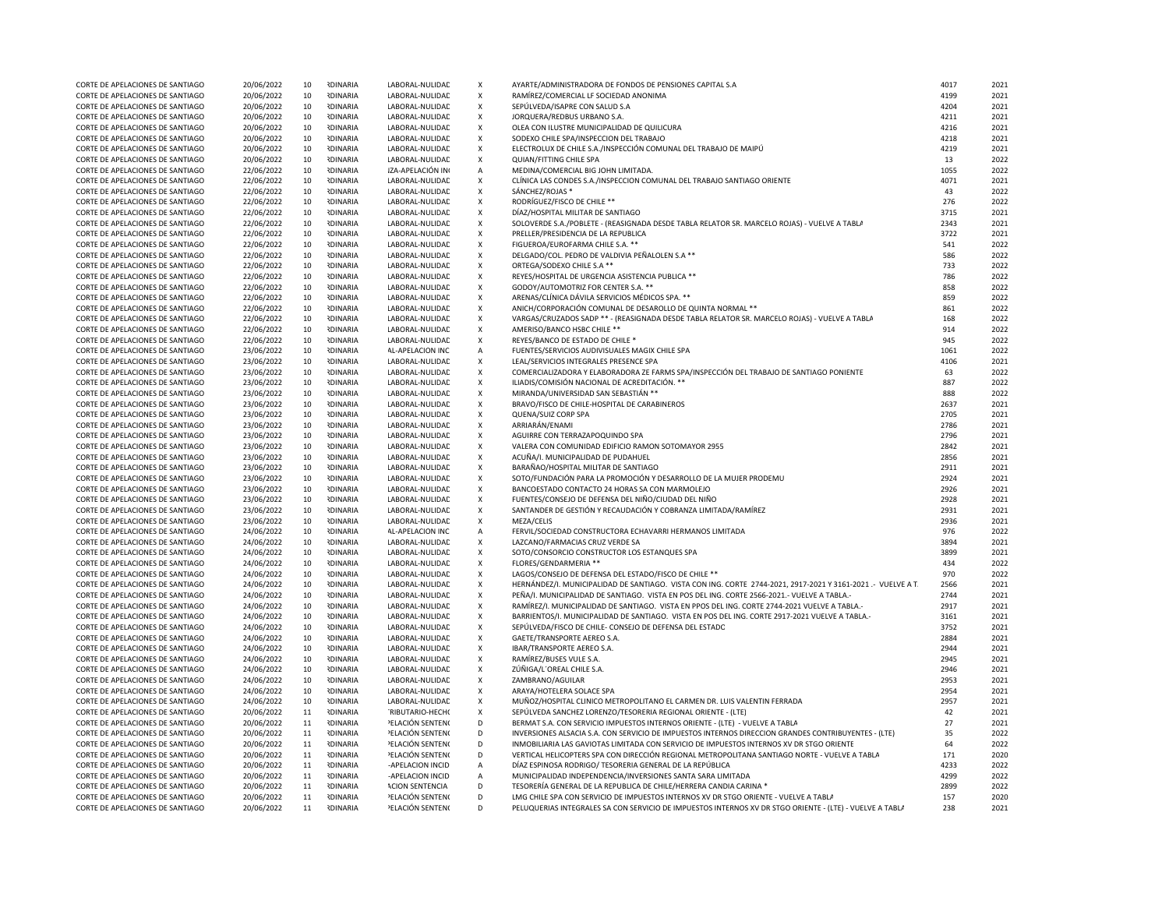| CORTE DE APELACIONES DE SANTIAGO | 20/06/2022 | 10 | <b>RDINARIA</b> | LABORAL-NULIDAD        | X                         | AYARTE/ADMINISTRADORA DE FONDOS DE PENSIONES CAPITAL S.A                                                     | 4017 | 2021 |
|----------------------------------|------------|----|-----------------|------------------------|---------------------------|--------------------------------------------------------------------------------------------------------------|------|------|
| CORTE DE APELACIONES DE SANTIAGO | 20/06/2022 | 10 | <b>RDINARIA</b> | LABORAL-NULIDAD        | X                         | RAMÍREZ/COMERCIAL LF SOCIEDAD ANONIMA                                                                        | 4199 | 2021 |
| CORTE DE APELACIONES DE SANTIAGO | 20/06/2022 | 10 | <b>RDINARIA</b> | LABORAL-NULIDAD        | X                         | SEPÚLVEDA/ISAPRE CON SALUD S.A                                                                               | 4204 | 2021 |
|                                  |            |    |                 |                        |                           |                                                                                                              |      | 2021 |
| CORTE DE APELACIONES DE SANTIAGO | 20/06/2022 | 10 | <b>RDINARIA</b> | LABORAL-NULIDAD        | X                         | JORQUERA/REDBUS URBANO S.A.                                                                                  | 4211 |      |
| CORTE DE APELACIONES DE SANTIAGO | 20/06/2022 | 10 | <b>RDINARIA</b> | LABORAL-NULIDAD        | X                         | OLEA CON ILUSTRE MUNICIPALIDAD DE QUILICURA                                                                  | 4216 | 2021 |
| CORTE DE APELACIONES DE SANTIAGO | 20/06/2022 | 10 | <b>RDINARIA</b> | LABORAL-NULIDAE        | $\pmb{\chi}$              | SODEXO CHILE SPA/INSPECCION DEL TRABAJO                                                                      | 4218 | 2021 |
| CORTE DE APELACIONES DE SANTIAGO | 20/06/2022 | 10 | <b>RDINARIA</b> | LABORAL-NULIDAE        | $\pmb{\mathsf{X}}$        | ELECTROLUX DE CHILE S.A./INSPECCIÓN COMUNAL DEL TRABAJO DE MAIPÚ                                             | 4219 | 2021 |
| CORTE DE APELACIONES DE SANTIAGO | 20/06/2022 | 10 | <b>RDINARIA</b> | LABORAL-NULIDAD        | $\pmb{\mathsf{x}}$        | QUIAN/FITTING CHILE SPA                                                                                      | 13   | 2022 |
| CORTE DE APELACIONES DE SANTIAGO | 22/06/2022 | 10 | <b>RDINARIA</b> | IZA-APELACIÓN IN       | $\mathsf A$               | MEDINA/COMERCIAL BIG JOHN LIMITADA.                                                                          | 1055 | 2022 |
| CORTE DE APELACIONES DE SANTIAGO | 22/06/2022 | 10 | <b>RDINARIA</b> | LABORAL-NULIDAE        | $\pmb{\times}$            | CLÍNICA LAS CONDES S.A./INSPECCION COMUNAL DEL TRABAJO SANTIAGO ORIENTE                                      | 4071 | 2021 |
| CORTE DE APELACIONES DE SANTIAGO | 22/06/2022 | 10 | <b>IDINARIA</b> | LABORAL-NULIDAD        | $\pmb{\mathsf{X}}$        | SÁNCHEZ/ROJAS *                                                                                              | 43   | 2022 |
| CORTE DE APELACIONES DE SANTIAGO | 22/06/2022 | 10 | <b>IDINARIA</b> | LABORAL-NULIDAE        | $\pmb{\chi}$              | RODRÍGUEZ/FISCO DE CHILE **                                                                                  | 276  | 2022 |
| CORTE DE APELACIONES DE SANTIAGO | 22/06/2022 | 10 | <b>RDINARIA</b> | LABORAL-NULIDAD        | $\pmb{\times}$            | DÍAZ/HOSPITAL MILITAR DE SANTIAGO                                                                            | 3715 | 2021 |
|                                  |            |    |                 |                        | $\pmb{\chi}$              |                                                                                                              |      |      |
| CORTE DE APELACIONES DE SANTIAGO | 22/06/2022 | 10 | <b>RDINARIA</b> | LABORAL-NULIDAD        |                           | SOLOVERDE S.A./POBLETE - (REASIGNADA DESDE TABLA RELATOR SR. MARCELO ROJAS) - VUELVE A TABLA                 | 2343 | 2021 |
| CORTE DE APELACIONES DE SANTIAGO | 22/06/2022 | 10 | <b>RDINARIA</b> | LABORAL-NULIDAE        | $\pmb{\mathsf{X}}$        | PRELLER/PRESIDENCIA DE LA REPUBLICA                                                                          | 3722 | 2021 |
| CORTE DE APELACIONES DE SANTIAGO | 22/06/2022 | 10 | <b>RDINARIA</b> | LABORAL-NULIDAD        | $\pmb{\mathsf{x}}$        | FIGUEROA/EUROFARMA CHILE S.A. **                                                                             | 541  | 2022 |
| CORTE DE APELACIONES DE SANTIAGO | 22/06/2022 | 10 | <b>RDINARIA</b> | LABORAL-NULIDAD        | $\pmb{\chi}$              | DELGADO/COL. PEDRO DE VALDIVIA PEÑALOLEN S.A **                                                              | 586  | 2022 |
| CORTE DE APELACIONES DE SANTIAGO | 22/06/2022 | 10 | <b>RDINARIA</b> | LABORAL-NULIDAE        | $\pmb{\chi}$              | ORTEGA/SODEXO CHILE S.A **                                                                                   | 733  | 2022 |
| CORTE DE APELACIONES DE SANTIAGO | 22/06/2022 | 10 | <b>RDINARIA</b> | LABORAL-NULIDAE        | $\pmb{\chi}$              | REYES/HOSPITAL DE URGENCIA ASISTENCIA PUBLICA **                                                             | 786  | 2022 |
| CORTE DE APELACIONES DE SANTIAGO | 22/06/2022 | 10 | <b>RDINARIA</b> | LABORAL-NULIDAD        | $\pmb{\mathsf{X}}$        | GODOY/AUTOMOTRIZ FOR CENTER S.A. **                                                                          | 858  | 2022 |
| CORTE DE APELACIONES DE SANTIAGO | 22/06/2022 | 10 | <b>IDINARIA</b> | LABORAL-NULIDAE        | $\pmb{\mathsf{X}}$        | ARENAS/CLÍNICA DÁVILA SERVICIOS MÉDICOS SPA. **                                                              | 859  | 2022 |
| CORTE DE APELACIONES DE SANTIAGO | 22/06/2022 | 10 | <b>RDINARIA</b> | LABORAL-NULIDAE        | $\pmb{\times}$            | ANICH/CORPORACIÓN COMUNAL DE DESAROLLO DE QUINTA NORMAL **                                                   | 861  | 2022 |
| CORTE DE APELACIONES DE SANTIAGO | 22/06/2022 | 10 | <b>RDINARIA</b> | LABORAL-NULIDAD        | X                         | VARGAS/CRUZADOS SADP ** - (REASIGNADA DESDE TABLA RELATOR SR. MARCELO ROJAS) - VUELVE A TABLA                | 168  | 2022 |
| CORTE DE APELACIONES DE SANTIAGO | 22/06/2022 | 10 | <b>RDINARIA</b> | LABORAL-NULIDAE        | $\pmb{\chi}$              | AMERISO/BANCO HSBC CHILE **                                                                                  | 914  | 2022 |
|                                  |            | 10 |                 |                        |                           |                                                                                                              | 945  | 2022 |
| CORTE DE APELACIONES DE SANTIAGO | 22/06/2022 |    | <b>RDINARIA</b> | LABORAL-NULIDAD        | $\pmb{\mathsf{X}}$        | REYES/BANCO DE ESTADO DE CHILE *                                                                             |      |      |
| CORTE DE APELACIONES DE SANTIAGO | 23/06/2022 | 10 | <b>RDINARIA</b> | AL-APELACION INC       | A                         | FUENTES/SERVICIOS AUDIVISUALES MAGIX CHILE SPA                                                               | 1061 | 2022 |
| CORTE DE APELACIONES DE SANTIAGO | 23/06/2022 | 10 | <b>RDINARIA</b> | LABORAL-NULIDAD        | $\boldsymbol{\mathsf{X}}$ | LEAL/SERVICIOS INTEGRALES PRESENCE SPA                                                                       | 4106 | 2021 |
| CORTE DE APELACIONES DE SANTIAGO | 23/06/2022 | 10 | <b>RDINARIA</b> | LABORAL-NULIDAD        | $\boldsymbol{\mathsf{X}}$ | COMERCIALIZADORA Y ELABORADORA ZE FARMS SPA/INSPECCIÓN DEL TRABAJO DE SANTIAGO PONIENTE                      | 63   | 2022 |
| CORTE DE APELACIONES DE SANTIAGO | 23/06/2022 | 10 | <b>RDINARIA</b> | LABORAL-NULIDAD        | $\pmb{\mathsf{X}}$        | ILIADIS/COMISIÓN NACIONAL DE ACREDITACIÓN. **                                                                | 887  | 2022 |
| CORTE DE APELACIONES DE SANTIAGO | 23/06/2022 | 10 | <b>RDINARIA</b> | LABORAL-NULIDAE        | $\pmb{\chi}$              | MIRANDA/UNIVERSIDAD SAN SEBASTIÁN **                                                                         | 888  | 2022 |
| CORTE DE APELACIONES DE SANTIAGO | 23/06/2022 | 10 | <b>RDINARIA</b> | LABORAL-NULIDAE        | $\pmb{\mathsf{X}}$        | BRAVO/FISCO DE CHILE-HOSPITAL DE CARABINEROS                                                                 | 2637 | 2021 |
| CORTE DE APELACIONES DE SANTIAGO | 23/06/2022 | 10 | <b>RDINARIA</b> | LABORAL-NULIDAD        | $\pmb{\mathsf{X}}$        | QUENA/SUIZ CORP SPA                                                                                          | 2705 | 2021 |
| CORTE DE APELACIONES DE SANTIAGO | 23/06/2022 | 10 | <b>RDINARIA</b> | LABORAL-NULIDAD        | $\pmb{\mathsf{X}}$        | ARRIARÁN/ENAMI                                                                                               | 2786 | 2021 |
| CORTE DE APELACIONES DE SANTIAGO | 23/06/2022 | 10 | <b>RDINARIA</b> | LABORAL-NULIDAD        | $\pmb{\mathsf{X}}$        | AGUIRRE CON TERRAZAPOQUINDO SPA                                                                              | 2796 | 2021 |
| CORTE DE APELACIONES DE SANTIAGO | 23/06/2022 | 10 | <b>RDINARIA</b> | LABORAL-NULIDAD        | $\pmb{\mathsf{x}}$        | VALERA CON COMUNIDAD EDIFICIO RAMON SOTOMAYOR 2955                                                           | 2842 | 2021 |
| CORTE DE APELACIONES DE SANTIAGO | 23/06/2022 | 10 | <b>RDINARIA</b> | LABORAL-NULIDAE        | $\boldsymbol{\mathsf{X}}$ | ACUÑA/I. MUNICIPALIDAD DE PUDAHUEL                                                                           | 2856 | 2021 |
|                                  |            | 10 |                 |                        |                           |                                                                                                              | 2911 | 2021 |
| CORTE DE APELACIONES DE SANTIAGO | 23/06/2022 |    | <b>RDINARIA</b> | LABORAL-NULIDAD        | $\pmb{\chi}$              | BARAÑAO/HOSPITAL MILITAR DE SANTIAGO                                                                         |      |      |
| CORTE DE APELACIONES DE SANTIAGO | 23/06/2022 | 10 | <b>RDINARIA</b> | LABORAL-NULIDAD        | $\pmb{\times}$            | SOTO/FUNDACIÓN PARA LA PROMOCIÓN Y DESARROLLO DE LA MUJER PRODEMU                                            | 2924 | 2021 |
| CORTE DE APELACIONES DE SANTIAGO | 23/06/2022 | 10 | <b>RDINARIA</b> | LABORAL-NULIDAD        | $\pmb{\chi}$              | BANCOESTADO CONTACTO 24 HORAS SA CON MARMOLEJO                                                               | 2926 | 2021 |
| CORTE DE APELACIONES DE SANTIAGO | 23/06/2022 | 10 | <b>RDINARIA</b> | LABORAL-NULIDAD        | $\pmb{\times}$            | FUENTES/CONSEJO DE DEFENSA DEL NIÑO/CIUDAD DEL NIÑO                                                          | 2928 | 2021 |
| CORTE DE APELACIONES DE SANTIAGO | 23/06/2022 | 10 | <b>RDINARIA</b> | LABORAL-NULIDAD        | X                         | SANTANDER DE GESTIÓN Y RECAUDACIÓN Y COBRANZA LIMITADA/RAMÍREZ                                               | 2931 | 2021 |
| CORTE DE APELACIONES DE SANTIAGO | 23/06/2022 | 10 | <b>RDINARIA</b> | LABORAL-NULIDAD        | $\pmb{\mathsf{X}}$        | MEZA/CELIS                                                                                                   | 2936 | 2021 |
| CORTE DE APELACIONES DE SANTIAGO | 24/06/2022 | 10 | <b>RDINARIA</b> | AL-APELACION INC       | $\mathsf A$               | FERVIL/SOCIEDAD CONSTRUCTORA ECHAVARRI HERMANOS LIMITADA                                                     | 976  | 2022 |
| CORTE DE APELACIONES DE SANTIAGO | 24/06/2022 | 10 | <b>RDINARIA</b> | LABORAL-NULIDAD        | $\pmb{\mathsf{X}}$        | LAZCANO/FARMACIAS CRUZ VERDE SA                                                                              | 3894 | 2021 |
| CORTE DE APELACIONES DE SANTIAGO | 24/06/2022 | 10 | <b>RDINARIA</b> | LABORAL-NULIDAD        | $\pmb{\chi}$              | SOTO/CONSORCIO CONSTRUCTOR LOS ESTANQUES SPA                                                                 | 3899 | 2021 |
| CORTE DE APELACIONES DE SANTIAGO | 24/06/2022 | 10 | <b>RDINARIA</b> | LABORAL-NULIDAE        | $\pmb{\mathsf{X}}$        | FLORES/GENDARMERIA **                                                                                        | 434  | 2022 |
| CORTE DE APELACIONES DE SANTIAGO | 24/06/2022 | 10 | <b>IDINARIA</b> | LABORAL-NULIDAE        | $\pmb{\times}$            | LAGOS/CONSEJO DE DEFENSA DEL ESTADO/FISCO DE CHILE **                                                        | 970  | 2022 |
| CORTE DE APELACIONES DE SANTIAGO | 24/06/2022 | 10 | <b>IDINARIA</b> | LABORAL-NULIDAD        | $\pmb{\times}$            | HERNÁNDEZ/I. MUNICIPALIDAD DE SANTIAGO. VISTA CON ING. CORTE 2744-2021, 2917-2021 Y 3161-2021 .- VUELVE A T. | 2566 | 2021 |
|                                  |            |    |                 |                        |                           |                                                                                                              | 2744 |      |
| CORTE DE APELACIONES DE SANTIAGO | 24/06/2022 | 10 | <b>RDINARIA</b> | LABORAL-NULIDAD        | $\pmb{\times}$            | PEÑA/I. MUNICIPALIDAD DE SANTIAGO. VISTA EN POS DEL ING. CORTE 2566-2021.- VUELVE A TABLA.-                  |      | 2021 |
| CORTE DE APELACIONES DE SANTIAGO | 24/06/2022 | 10 | <b>RDINARIA</b> | LABORAL-NULIDAD        | $\pmb{\times}$            | RAMÍREZ/I. MUNICIPALIDAD DE SANTIAGO. VISTA EN PPOS DEL ING. CORTE 2744-2021 VUELVE A TABLA.-                | 2917 | 2021 |
| CORTE DE APELACIONES DE SANTIAGO | 24/06/2022 | 10 | <b>RDINARIA</b> | LABORAL-NULIDAD        | $\pmb{\times}$            | BARRIENTOS/I. MUNICIPALIDAD DE SANTIAGO. VISTA EN POS DEL ING. CORTE 2917-2021 VUELVE A TABLA.-              | 3161 | 2021 |
| CORTE DE APELACIONES DE SANTIAGO | 24/06/2022 | 10 | <b>RDINARIA</b> | LABORAL-NULIDAD        | $\pmb{\mathsf{X}}$        | SEPÚLVEDA/FISCO DE CHILE- CONSEJO DE DEFENSA DEL ESTADO                                                      | 3752 | 2021 |
| CORTE DE APELACIONES DE SANTIAGO | 24/06/2022 | 10 | <b>RDINARIA</b> | LABORAL-NULIDAD        | $\pmb{\mathsf{x}}$        | GAETE/TRANSPORTE AEREO S.A.                                                                                  | 2884 | 2021 |
| CORTE DE APELACIONES DE SANTIAGO | 24/06/2022 | 10 | <b>RDINARIA</b> | LABORAL-NULIDAE        | $\pmb{\chi}$              | IBAR/TRANSPORTE AEREO S.A.                                                                                   | 2944 | 2021 |
| CORTE DE APELACIONES DE SANTIAGO | 24/06/2022 | 10 | <b>RDINARIA</b> | LABORAL-NULIDAE        | $\pmb{\chi}$              | RAMÍREZ/BUSES VULE S.A.                                                                                      | 2945 | 2021 |
| CORTE DE APELACIONES DE SANTIAGO | 24/06/2022 | 10 | <b>RDINARIA</b> | LABORAL-NULIDAE        | $\pmb{\times}$            | ZÚÑIGA/L'OREAL CHILE S.A                                                                                     | 2946 | 2021 |
| CORTE DE APELACIONES DE SANTIAGO | 24/06/2022 | 10 | <b>RDINARIA</b> | LABORAL-NULIDAD        | $\pmb{\mathsf{X}}$        | ZAMBRANO/AGUILAR                                                                                             | 2953 | 2021 |
| CORTE DE APELACIONES DE SANTIAGO | 24/06/2022 | 10 | <b>IDINARIA</b> | LABORAL-NULIDAD        | $\pmb{\mathsf{X}}$        | ARAYA/HOTELERA SOLACE SPA                                                                                    | 2954 | 2021 |
| CORTE DE APELACIONES DE SANTIAGO | 24/06/2022 | 10 | <b>IDINARIA</b> | LABORAL-NULIDAD        | $\pmb{\times}$            | MUÑOZ/HOSPITAL CLINICO METROPOLITANO EL CARMEN DR. LUIS VALENTIN FERRADA                                     | 2957 | 2021 |
| CORTE DE APELACIONES DE SANTIAGO | 20/06/2022 | 11 | <b>IDINARIA</b> | RIBUTARIO-HECHO        | X                         | SEPÚLVEDA SANCHEZ LORENZO/TESORERIA REGIONAL ORIENTE - (LTE)                                                 | 42   | 2021 |
| CORTE DE APELACIONES DE SANTIAGO |            | 11 | <b>RDINARIA</b> |                        | D                         |                                                                                                              | 27   | 2021 |
|                                  | 20/06/2022 |    |                 | PELACIÓN SENTENO       |                           | BERMAT S.A. CON SERVICIO IMPUESTOS INTERNOS ORIENTE - (LTE) - VUELVE A TABLA                                 |      |      |
| CORTE DE APELACIONES DE SANTIAGO | 20/06/2022 | 11 | <b>RDINARIA</b> | PELACIÓN SENTENO       | $\mathsf D$               | INVERSIONES ALSACIA S.A. CON SERVICIO DE IMPUESTOS INTERNOS DIRECCION GRANDES CONTRIBUYENTES - (LTE)         | 35   | 2022 |
| CORTE DE APELACIONES DE SANTIAGO | 20/06/2022 | 11 | <b>RDINARIA</b> | PELACIÓN SENTENO       | D                         | INMOBILIARIA LAS GAVIOTAS LIMITADA CON SERVICIO DE IMPUESTOS INTERNOS XV DR STGO ORIENTE                     | 64   | 2022 |
| CORTE DE APELACIONES DE SANTIAGO | 20/06/2022 | 11 | <b>RDINARIA</b> | PELACIÓN SENTENO       | D                         | VERTICAL HELICOPTERS SPA CON DIRECCIÓN REGIONAL METROPOLITANA SANTIAGO NORTE - VUELVE A TABLA                | 171  | 2020 |
| CORTE DE APELACIONES DE SANTIAGO | 20/06/2022 | 11 | <b>RDINARIA</b> | -APELACION INCID       | Α                         | DÍAZ ESPINOSA RODRIGO/ TESORERIA GENERAL DE LA REPÚBLICA                                                     | 4233 | 2022 |
| CORTE DE APELACIONES DE SANTIAGO | 20/06/2022 | 11 | <b>RDINARIA</b> | -APELACION INCID       | Α                         | MUNICIPALIDAD INDEPENDENCIA/INVERSIONES SANTA SARA LIMITADA                                                  | 4299 | 2022 |
| CORTE DE APELACIONES DE SANTIAGO | 20/06/2022 | 11 | <b>RDINARIA</b> | <b>ACION SENTENCIA</b> | D                         | TESORERÍA GENERAL DE LA REPUBLICA DE CHILE/HERRERA CANDIA CARINA *                                           | 2899 | 2022 |
| CORTE DE APELACIONES DE SANTIAGO | 20/06/2022 | 11 | <b>RDINARIA</b> | PELACIÓN SENTENO       | D                         | LMG CHILE SPA CON SERVICIO DE IMPUESTOS INTERNOS XV DR STGO ORIENTE - VUELVE A TABLA                         | 157  | 2020 |
| CORTE DE APELACIONES DE SANTIAGO | 20/06/2022 | 11 | <b>RDINARIA</b> | PELACIÓN SENTENO       | D                         | PELUQUERIAS INTEGRALES SA CON SERVICIO DE IMPUESTOS INTERNOS XV DR STGO ORIENTE - (LTE) - VUELVE A TABLA     | 238  | 2021 |
|                                  |            |    |                 |                        |                           |                                                                                                              |      |      |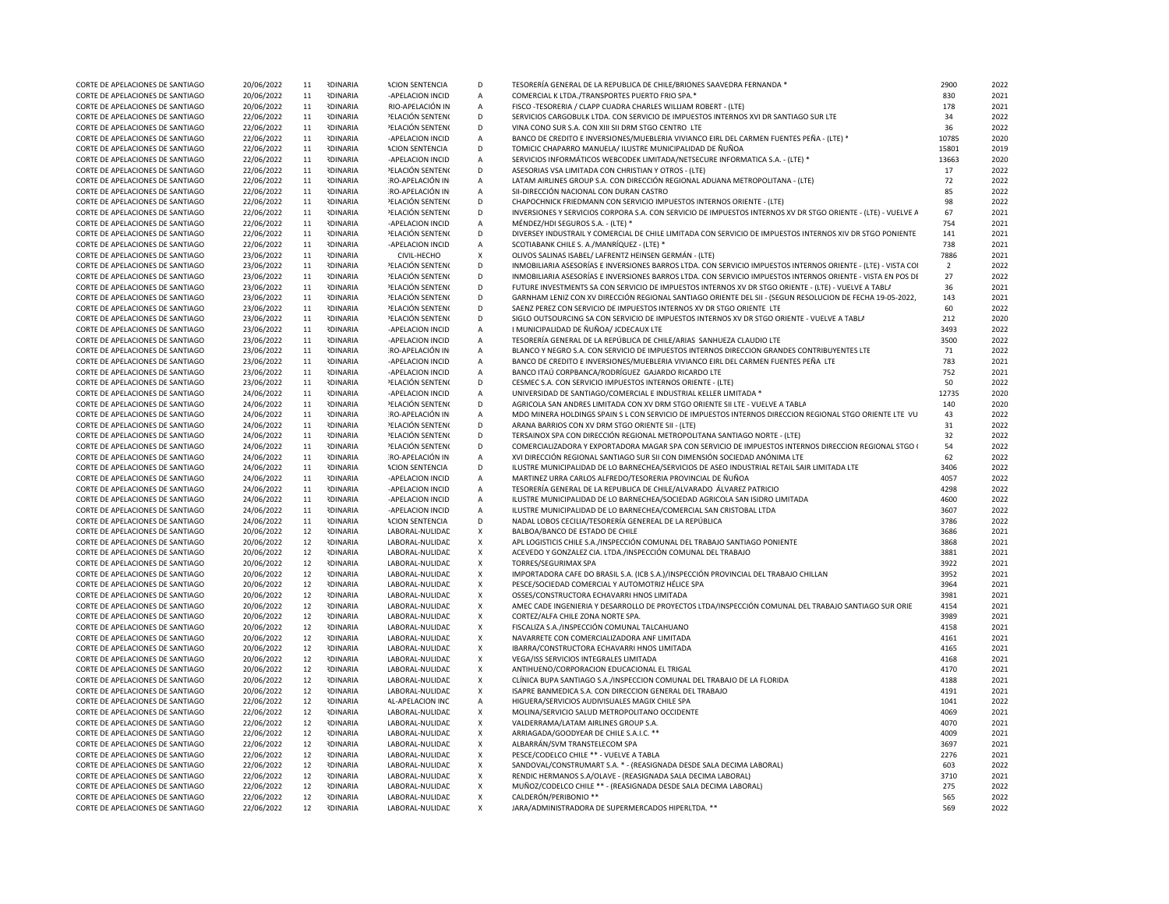| CORTE DE APELACIONES DE SANTIAGO | 20/06/2022 | 11 | <b>RDINARIA</b> | <b>ACION SENTENCIA</b>  | D                         | TESORERÍA GENERAL DE LA REPUBLICA DE CHILE/BRIONES SAAVEDRA FERNANDA *                                        | 2900           | 2022 |
|----------------------------------|------------|----|-----------------|-------------------------|---------------------------|---------------------------------------------------------------------------------------------------------------|----------------|------|
| CORTE DE APELACIONES DE SANTIAGO | 20/06/2022 | 11 | <b>RDINARIA</b> | -APELACION INCID        | $\overline{A}$            | COMERCIAL K LTDA./TRANSPORTES PUERTO FRIO SPA.*                                                               | 830            | 2021 |
| CORTE DE APELACIONES DE SANTIAGO | 20/06/2022 | 11 | <b>RDINARIA</b> | RIO-APELACIÓN IN        | $\overline{A}$            | FISCO - TESORERIA / CLAPP CUADRA CHARLES WILLIAM ROBERT - (LTE)                                               | 178            | 2021 |
|                                  |            |    |                 |                         |                           |                                                                                                               |                |      |
| CORTE DE APELACIONES DE SANTIAGO | 22/06/2022 | 11 | <b>RDINARIA</b> | PELACIÓN SENTENO        | D                         | SERVICIOS CARGOBULK LTDA. CON SERVICIO DE IMPUESTOS INTERNOS XVI DR SANTIAGO SUR LTE                          | 34             | 2022 |
| CORTE DE APELACIONES DE SANTIAGO | 22/06/2022 | 11 | <b>RDINARIA</b> | PELACIÓN SENTENO        | D                         | VINA CONO SUR S.A. CON XIII SII DRM STGO CENTRO LTE                                                           | 36             | 2022 |
| CORTE DE APELACIONES DE SANTIAGO | 22/06/2022 | 11 | <b>RDINARIA</b> | -APELACION INCID        | $\overline{A}$            | BANCO DE CREDITO E INVERSIONES/MUEBLERIA VIVIANCO EIRL DEL CARMEN FUENTES PEÑA - (LTE) *                      | 10785          | 2020 |
| CORTE DE APELACIONES DE SANTIAGO | 22/06/2022 | 11 | <b>RDINARIA</b> | <b>ACION SENTENCIA</b>  | D                         | TOMICIC CHAPARRO MANUELA/ ILUSTRE MUNICIPALIDAD DE ÑUÑOA                                                      | 15801          | 2019 |
| CORTE DE APELACIONES DE SANTIAGO | 22/06/2022 | 11 | <b>RDINARIA</b> | -APELACION INCID        | $\overline{A}$            | SERVICIOS INFORMÁTICOS WEBCODEK LIMITADA/NETSECURE INFORMATICA S.A. - (LTE) *                                 | 13663          | 2020 |
| CORTE DE APELACIONES DE SANTIAGO | 22/06/2022 | 11 | <b>RDINARIA</b> | <b>PELACIÓN SENTENO</b> | D                         | ASESORIAS VSA LIMITADA CON CHRISTIAN Y OTROS - (LTE)                                                          | 17             | 2022 |
| CORTE DE APELACIONES DE SANTIAGO | 22/06/2022 | 11 | <b>RDINARIA</b> | <b>RO-APELACIÓN IN</b>  | A                         | LATAM AIRLINES GROUP S.A. CON DIRECCIÓN REGIONAL ADUANA METROPOLITANA - (LTE)                                 | 72             | 2022 |
| CORTE DE APELACIONES DE SANTIAGO | 22/06/2022 | 11 | <b>RDINARIA</b> | RO-APELACIÓN IN         | $\overline{A}$            | SII-DIRECCIÓN NACIONAL CON DURAN CASTRO                                                                       | 85             | 2022 |
| CORTE DE APELACIONES DE SANTIAGO | 22/06/2022 | 11 | <b>RDINARIA</b> | PELACIÓN SENTENO        | D                         | CHAPOCHNICK FRIEDMANN CON SERVICIO IMPUESTOS INTERNOS ORIENTE - (LTE)                                         | 98             | 2022 |
| CORTE DE APELACIONES DE SANTIAGO | 22/06/2022 | 11 | <b>RDINARIA</b> | PELACIÓN SENTENO        | $\mathsf{D}$              | INVERSIONES Y SERVICIOS CORPORA S.A. CON SERVICIO DE IMPUESTOS INTERNOS XV DR STGO ORIENTE - (LTE) - VUELVE A | 67             | 2021 |
|                                  |            |    |                 |                         |                           |                                                                                                               |                |      |
| CORTE DE APELACIONES DE SANTIAGO | 22/06/2022 | 11 | <b>RDINARIA</b> | -APFLACION INCID        | $\overline{A}$            | MÉNDEZ/HDI SEGUROS S.A. - (LTE) *                                                                             | 754            | 2021 |
| CORTE DE APELACIONES DE SANTIAGO | 22/06/2022 | 11 | <b>RDINARIA</b> | <b>PELACIÓN SENTENO</b> | D                         | DIVERSEY INDUSTRAIL Y COMERCIAL DE CHILE LIMITADA CON SERVICIO DE IMPUESTOS INTERNOS XIV DR STGO PONIENTE     | 141            | 2021 |
| CORTE DE APELACIONES DE SANTIAGO | 22/06/2022 | 11 | <b>RDINARIA</b> | -APELACION INCID        | $\overline{A}$            | SCOTIABANK CHILE S. A./MANRÍQUEZ - (LTE) *                                                                    | 738            | 2021 |
| CORTE DE APELACIONES DE SANTIAGO | 23/06/2022 | 11 | <b>RDINARIA</b> | CIVIL-HECHO             | $\boldsymbol{\mathsf{x}}$ | OLIVOS SALINAS ISABEL/ LAFRENTZ HEINSEN GERMÁN - (LTE)                                                        | 7886           | 2021 |
| CORTE DE APELACIONES DE SANTIAGO | 23/06/2022 | 11 | <b>RDINARIA</b> | <b>PELACIÓN SENTENO</b> | $\mathsf{D}$              | INMOBILIARIA ASESORÍAS E INVERSIONES BARROS LTDA. CON SERVICIO IMPUESTOS INTERNOS ORIENTE - (LTE) - VISTA COI | $\overline{2}$ | 2022 |
| CORTE DE APELACIONES DE SANTIAGO | 23/06/2022 | 11 | <b>RDINARIA</b> | PELACIÓN SENTENO        | $\mathsf{D}$              | INMOBILIARIA ASESORÍAS E INVERSIONES BARROS LTDA. CON SERVICIO IMPUESTOS INTERNOS ORIENTE - VISTA EN POS DE   | 27             | 2022 |
| CORTE DE APELACIONES DE SANTIAGO | 23/06/2022 | 11 | <b>RDINARIA</b> | PELACIÓN SENTENO        | D                         | FUTURE INVESTMENTS SA CON SERVICIO DE IMPUESTOS INTERNOS XV DR STGO ORIENTE - (LTE) - VUELVE A TABLA          | 36             | 2021 |
| CORTE DE APELACIONES DE SANTIAGO | 23/06/2022 | 11 | <b>RDINARIA</b> | PELACIÓN SENTENI        | D                         | GARNHAM LENIZ CON XV DIRECCIÓN REGIONAL SANTIAGO ORIENTE DEL SII - (SEGUN RESOLUCION DE FECHA 19-05-2022,     | 143            | 2021 |
| CORTE DE APELACIONES DE SANTIAGO | 23/06/2022 | 11 | <b>RDINARIA</b> | <b>PELACIÓN SENTENO</b> | D                         | SAENZ PEREZ CON SERVICIO DE IMPUESTOS INTERNOS XV DR STGO ORIENTE LTE                                         | 60             | 2022 |
| CORTE DE APELACIONES DE SANTIAGO | 23/06/2022 | 11 | <b>RDINARIA</b> | PELACIÓN SENTENO        | D                         | SIGLO OUTSOURCING SA CON SERVICIO DE IMPUESTOS INTERNOS XV DR STGO ORIENTE - VUELVE A TABLA                   | 212            | 2020 |
|                                  |            |    |                 |                         | $\overline{A}$            |                                                                                                               |                |      |
| CORTE DE APELACIONES DE SANTIAGO | 23/06/2022 | 11 | <b>RDINARIA</b> | -APELACION INCID        |                           | I MUNICIPALIDAD DE ÑUÑOA/ JCDECAUX LTE                                                                        | 3493           | 2022 |
| CORTE DE APELACIONES DE SANTIAGO | 23/06/2022 | 11 | <b>RDINARIA</b> | -APELACION INCID        | $\overline{A}$            | TESORERÍA GENERAL DE LA REPÚBLICA DE CHILE/ARIAS SANHUEZA CLAUDIO LTE                                         | 3500           | 2022 |
| CORTE DE APELACIONES DE SANTIAGO | 23/06/2022 | 11 | <b>RDINARIA</b> | RO-APELACIÓN IN         | $\overline{A}$            | BLANCO Y NEGRO S.A. CON SERVICIO DE IMPUESTOS INTERNOS DIRECCION GRANDES CONTRIBUYENTES LTE                   | 71             | 2022 |
| CORTE DE APELACIONES DE SANTIAGO | 23/06/2022 | 11 | <b>RDINARIA</b> | -APELACION INCID        | $\overline{A}$            | BANCO DE CREDITO E INVERSIONES/MUEBLERIA VIVIANCO EIRL DEL CARMEN FUENTES PEÑA LTE                            | 783            | 2021 |
| CORTE DE APELACIONES DE SANTIAGO | 23/06/2022 | 11 | <b>RDINARIA</b> | -APELACION INCID        | $\overline{A}$            | BANCO ITAÚ CORPBANCA/RODRÍGUEZ GAJARDO RICARDO LTE                                                            | 752            | 2021 |
| CORTE DE APELACIONES DE SANTIAGO | 23/06/2022 | 11 | <b>RDINARIA</b> | PELACIÓN SENTENO        | D                         | CESMEC S.A. CON SERVICIO IMPUESTOS INTERNOS ORIENTE - (LTE)                                                   | 50             | 2022 |
| CORTE DE APELACIONES DE SANTIAGO | 24/06/2022 | 11 | <b>RDINARIA</b> | -APELACION INCID        | A                         | UNIVERSIDAD DE SANTIAGO/COMERCIAL E INDUSTRIAL KELLER LIMITADA *                                              | 12735          | 2020 |
| CORTE DE APELACIONES DE SANTIAGO | 24/06/2022 | 11 | <b>RDINARIA</b> | <b>PELACIÓN SENTENO</b> | D                         | AGRICOLA SAN ANDRES LIMITADA CON XV DRM STGO ORIENTE SII LTE - VUELVE A TABLA                                 | 140            | 2020 |
| CORTE DE APELACIONES DE SANTIAGO | 24/06/2022 | 11 | <b>RDINARIA</b> | <b>RO-APELACIÓN IN</b>  | $\overline{A}$            | MDO MINERA HOLDINGS SPAIN S L CON SERVICIO DE IMPUESTOS INTERNOS DIRECCION REGIONAL STGO ORIENTE LTE VU       | 43             | 2022 |
| CORTE DE APELACIONES DE SANTIAGO | 24/06/2022 | 11 | <b>RDINARIA</b> | PELACIÓN SENTEN(        | D                         | ARANA BARRIOS CON XV DRM STGO ORIENTE SII - (LTE)                                                             | 31             | 2022 |
|                                  |            |    |                 |                         |                           |                                                                                                               |                |      |
| CORTE DE APELACIONES DE SANTIAGO | 24/06/2022 | 11 | <b>RDINARIA</b> | <b>PELACIÓN SENTENO</b> | D                         | TERSAINOX SPA CON DIRECCIÓN REGIONAL METROPOLITANA SANTIAGO NORTE - (LTE)                                     | 32             | 2022 |
| CORTE DE APELACIONES DE SANTIAGO | 24/06/2022 | 11 | <b>RDINARIA</b> | PELACIÓN SENTENO        | D                         | COMERCIALIZADORA Y EXPORTADORA MAGAR SPA CON SERVICIO DE IMPUESTOS INTERNOS DIRECCION REGIONAL STGO (         | 54             | 2022 |
| CORTE DE APELACIONES DE SANTIAGO | 24/06/2022 | 11 | <b>RDINARIA</b> | <b>RO-APFLACIÓN IN</b>  | $\overline{A}$            | XVI DIRECCIÓN REGIONAL SANTIAGO SUR SII CON DIMENSIÓN SOCIEDAD ANÓNIMA LTE                                    | 62             | 2022 |
| CORTE DE APELACIONES DE SANTIAGO | 24/06/2022 | 11 | <b>RDINARIA</b> | <b>ACION SENTENCIA</b>  | D                         | ILUSTRE MUNICIPALIDAD DE LO BARNECHEA/SERVICIOS DE ASEO INDUSTRIAL RETAIL SAIR LIMITADA LTE                   | 3406           | 2022 |
| CORTE DE APELACIONES DE SANTIAGO | 24/06/2022 | 11 | <b>RDINARIA</b> | -APELACION INCID        | $\overline{A}$            | MARTINEZ URRA CARLOS ALFREDO/TESORERIA PROVINCIAL DE ÑUÑOA                                                    | 4057           | 2022 |
| CORTE DE APELACIONES DE SANTIAGO | 24/06/2022 | 11 | <b>RDINARIA</b> | -APELACION INCID        | $\overline{A}$            | TESORERÍA GENERAL DE LA REPUBLICA DE CHILE/ALVARADO ÁLVAREZ PATRICIO                                          | 4298           | 2022 |
| CORTE DE APELACIONES DE SANTIAGO | 24/06/2022 | 11 | <b>RDINARIA</b> | -APELACION INCID        | $\overline{A}$            | ILUSTRE MUNICIPALIDAD DE LO BARNECHEA/SOCIEDAD AGRICOLA SAN ISIDRO LIMITADA                                   | 4600           | 2022 |
| CORTE DE APELACIONES DE SANTIAGO | 24/06/2022 | 11 | <b>RDINARIA</b> | -APELACION INCID        | $\overline{A}$            | ILUSTRE MUNICIPALIDAD DE LO BARNECHEA/COMERCIAL SAN CRISTOBAL LTDA                                            | 3607           | 2022 |
| CORTE DE APELACIONES DE SANTIAGO | 24/06/2022 | 11 | <b>IDINARIA</b> | <b>ACION SENTENCIA</b>  | D                         | NADAL LOBOS CECILIA/TESORERÍA GENEREAL DE LA REPÚBLICA                                                        | 3786           | 2022 |
|                                  |            |    | <b>RDINARIA</b> |                         |                           |                                                                                                               | 3686           | 2021 |
| CORTE DE APELACIONES DE SANTIAGO | 20/06/2022 | 12 |                 | LABORAL-NULIDAD         | $\boldsymbol{\mathsf{x}}$ | BALBOA/BANCO DE ESTADO DE CHILE                                                                               |                |      |
| CORTE DE APELACIONES DE SANTIAGO | 20/06/2022 | 12 | <b>RDINARIA</b> | LABORAL-NULIDAD         | $\mathsf{x}$              | APL LOGISTICIS CHILE S.A./INSPECCIÓN COMUNAL DEL TRABAJO SANTIAGO PONIENTE                                    | 3868           | 2021 |
| CORTE DE APELACIONES DE SANTIAGO | 20/06/2022 | 12 | <b>RDINARIA</b> | LABORAL-NULIDAD         | X                         | ACEVEDO Y GONZALEZ CIA. LTDA./INSPECCIÓN COMUNAL DEL TRABAJO                                                  | 3881           | 2021 |
| CORTE DE APELACIONES DE SANTIAGO | 20/06/2022 | 12 | <b>RDINARIA</b> | LABORAL-NULIDAD         | X                         | TORRES/SEGURIMAX SPA                                                                                          | 3922           | 2021 |
| CORTE DE APELACIONES DE SANTIAGO | 20/06/2022 | 12 | <b>RDINARIA</b> | LABORAL-NULIDAD         | $\boldsymbol{\mathsf{x}}$ | IMPORTADORA CAFE DO BRASIL S.A. (ICB S.A.)/INSPECCIÓN PROVINCIAL DEL TRABAJO CHILLAN                          | 3952           | 2021 |
| CORTE DE APELACIONES DE SANTIAGO | 20/06/2022 | 12 | <b>RDINARIA</b> | LABORAL-NULIDAD         | $\boldsymbol{\mathsf{x}}$ | PESCE/SOCIEDAD COMERCIAL Y AUTOMOTRIZ HÉLICE SPA                                                              | 3964           | 2021 |
| CORTE DE APELACIONES DE SANTIAGO | 20/06/2022 | 12 | <b>RDINARIA</b> | LABORAL-NULIDAD         | $\mathsf{x}$              | OSSES/CONSTRUCTORA ECHAVARRI HNOS LIMITADA                                                                    | 3981           | 2021 |
| CORTE DE APELACIONES DE SANTIAGO | 20/06/2022 | 12 | <b>RDINARIA</b> | LABORAL-NULIDAD         | $\boldsymbol{\mathsf{X}}$ | AMEC CADE INGENIERIA Y DESARROLLO DE PROYECTOS LTDA/INSPECCIÓN COMUNAL DEL TRABAJO SANTIAGO SUR ORIE          | 4154           | 2021 |
| CORTE DE APELACIONES DE SANTIAGO | 20/06/2022 | 12 | <b>RDINARIA</b> | LABORAL-NULIDAD         | $\boldsymbol{\mathsf{X}}$ | CORTEZ/ALFA CHILE ZONA NORTE SPA.                                                                             | 3989           | 2021 |
| CORTE DE APELACIONES DE SANTIAGO |            | 12 | <b>RDINARIA</b> | LABORAL-NULIDAD         | $\mathsf{X}$              | FISCALIZA S.A./INSPECCIÓN COMUNAL TALCAHUANO                                                                  | 4158           | 2021 |
|                                  | 20/06/2022 |    |                 |                         |                           |                                                                                                               |                |      |
| CORTE DE APELACIONES DE SANTIAGO | 20/06/2022 | 12 | <b>RDINARIA</b> | LABORAL-NULIDAD         | X                         | NAVARRETE CON COMERCIALIZADORA ANF LIMITADA                                                                   | 4161           | 2021 |
| CORTE DE APELACIONES DE SANTIAGO | 20/06/2022 | 12 | <b>IDINARIA</b> | LABORAL-NULIDAD         | $\boldsymbol{\mathsf{X}}$ | IBARRA/CONSTRUCTORA ECHAVARRI HNOS LIMITADA                                                                   | 4165           | 2021 |
| CORTE DE APELACIONES DE SANTIAGO | 20/06/2022 | 12 | <b>RDINARIA</b> | LABORAL-NULIDAD         | $\boldsymbol{\mathsf{X}}$ | VEGA/ISS SERVICIOS INTEGRALES LIMITADA                                                                        | 4168           | 2021 |
| CORTE DE APELACIONES DE SANTIAGO | 20/06/2022 | 12 | <b>RDINARIA</b> | LABORAL-NULIDAD         | X                         | ANTIHUENO/CORPORACION EDUCACIONAL EL TRIGAL                                                                   | 4170           | 2021 |
| CORTE DE APELACIONES DE SANTIAGO | 20/06/2022 | 12 | <b>RDINARIA</b> | LABORAL-NULIDAD         | X                         | CLÍNICA BUPA SANTIAGO S.A./INSPECCION COMUNAL DEL TRABAJO DE LA FLORIDA                                       | 4188           | 2021 |
| CORTE DE APELACIONES DE SANTIAGO | 20/06/2022 | 12 | <b>RDINARIA</b> | LABORAL-NULIDAD         | $\boldsymbol{\mathsf{x}}$ | ISAPRE BANMEDICA S.A. CON DIRECCION GENERAL DEL TRABAJO                                                       | 4191           | 2021 |
| CORTE DE APELACIONES DE SANTIAGO | 22/06/2022 | 12 | <b>RDINARIA</b> | <b>AL-APELACION INC</b> | $\overline{A}$            | HIGUERA/SERVICIOS AUDIVISUALES MAGIX CHILE SPA                                                                | 1041           | 2022 |
| CORTE DE APELACIONES DE SANTIAGO | 22/06/2022 | 12 | <b>RDINARIA</b> | LABORAL-NULIDAD         | $\mathsf{x}$              | MOLINA/SERVICIO SALUD METROPOLITANO OCCIDENTE                                                                 | 4069           | 2021 |
| CORTE DE APELACIONES DE SANTIAGO | 22/06/2022 | 12 | <b>RDINARIA</b> | LABORAL-NULIDAD         | $\mathbf{x}$              | VALDERRAMA/LATAM AIRLINES GROUP S.A.                                                                          | 4070           | 2021 |
|                                  |            |    |                 |                         |                           |                                                                                                               |                | 2021 |
| CORTE DE APELACIONES DE SANTIAGO | 22/06/2022 | 12 | <b>RDINARIA</b> | LABORAL-NULIDAD         | $\mathsf{x}$              | ARRIAGADA/GOODYEAR DE CHILE S.A.I.C. **                                                                       | 4009           |      |
| CORTE DE APELACIONES DE SANTIAGO | 22/06/2022 | 12 | <b>RDINARIA</b> | LABORAL-NULIDAD         | $\mathsf{X}$              | ALBARRÁN/SVM TRANSTELECOM SPA                                                                                 | 3697           | 2021 |
| CORTE DE APELACIONES DE SANTIAGO | 22/06/2022 | 12 | <b>RDINARIA</b> | LABORAL-NULIDAE         | $\boldsymbol{\mathsf{X}}$ | PESCE/CODELCO CHILE ** - VUELVE A TABLA                                                                       | 2276           | 2021 |
| CORTE DE APELACIONES DE SANTIAGO | 22/06/2022 | 12 | <b>RDINARIA</b> | LABORAL-NULIDAD         | X                         | SANDOVAL/CONSTRUMART S.A. * - (REASIGNADA DESDE SALA DECIMA LABORAL)                                          | 603            | 2022 |
| CORTE DE APELACIONES DE SANTIAGO | 22/06/2022 | 12 | <b>RDINARIA</b> | LABORAL-NULIDAD         | $\mathsf{X}$              | RENDIC HERMANOS S.A/OLAVE - (REASIGNADA SALA DECIMA LABORAL)                                                  | 3710           | 2021 |
| CORTE DE APELACIONES DE SANTIAGO | 22/06/2022 | 12 | <b>RDINARIA</b> | LABORAL-NULIDAD         | $\mathsf{X}$              | MUÑOZ/CODELCO CHILE ** - (REASIGNADA DESDE SALA DECIMA LABORAL)                                               | 275            | 2022 |
| CORTE DE APELACIONES DE SANTIAGO | 22/06/2022 | 12 | <b>RDINARIA</b> | LABORAL-NULIDAD         | $\mathsf{X}$              | CALDERÓN/PERIBONIO **                                                                                         | 565            | 2022 |
| CORTE DE APELACIONES DE SANTIAGO | 22/06/2022 | 12 | <b>IDINARIA</b> | LABORAL-NULIDAD         | $\boldsymbol{\mathsf{x}}$ | JARA/ADMINISTRADORA DE SUPERMERCADOS HIPERLTDA. **                                                            | 569            | 2022 |
|                                  |            |    |                 |                         |                           |                                                                                                               |                |      |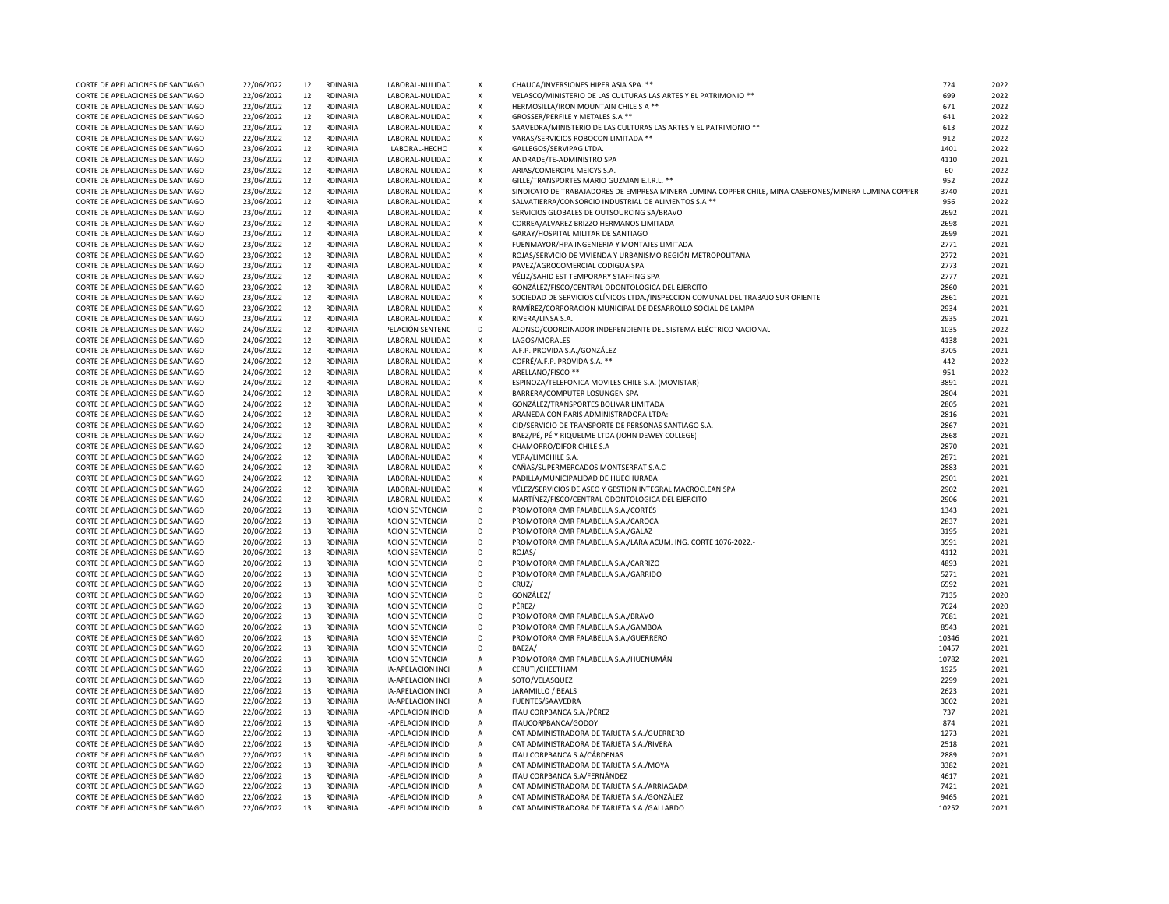|                                  | 22/06/2022 | 12     | <b>IDINARIA</b> |                        | X                         | CHAUCA/INVERSIONES HIPER ASIA SPA. **                                                                | 724   | 2022 |
|----------------------------------|------------|--------|-----------------|------------------------|---------------------------|------------------------------------------------------------------------------------------------------|-------|------|
| CORTE DE APELACIONES DE SANTIAGO |            |        |                 | LABORAL-NULIDAD        |                           |                                                                                                      |       |      |
| CORTE DE APELACIONES DE SANTIAGO | 22/06/2022 | 12     | <b>IDINARIA</b> | LABORAL-NULIDAD        | X                         | VELASCO/MINISTERIO DE LAS CULTURAS LAS ARTES Y EL PATRIMONIO **                                      | 699   | 2022 |
| CORTE DE APELACIONES DE SANTIAGO | 22/06/2022 | 12     | <b>IDINARIA</b> | LABORAL-NULIDAD        | $\boldsymbol{\mathsf{x}}$ | HERMOSILLA/IRON MOUNTAIN CHILE S A **                                                                | 671   | 2022 |
| CORTE DE APELACIONES DE SANTIAGO | 22/06/2022 | 12     | <b>IDINARIA</b> | LABORAL-NULIDAD        | X                         | GROSSER/PERFILE Y METALES S.A **                                                                     | 641   | 2022 |
| CORTE DE APELACIONES DE SANTIAGO | 22/06/2022 | 12     | <b>IDINARIA</b> | LABORAL-NULIDAD        | X                         | SAAVEDRA/MINISTERIO DE LAS CULTURAS LAS ARTES Y EL PATRIMONIO **                                     | 613   | 2022 |
| CORTE DE APELACIONES DE SANTIAGO | 22/06/2022 | 12     | <b>IDINARIA</b> | LABORAL-NULIDAD        | X                         | VARAS/SERVICIOS ROBOCON LIMITADA **                                                                  | 912   | 2022 |
|                                  |            |        |                 |                        |                           |                                                                                                      |       |      |
| CORTE DE APELACIONES DE SANTIAGO | 23/06/2022 | 12     | <b>NDINARIA</b> | LABORAL-HECHO          | $\pmb{\mathsf{X}}$        | GALLEGOS/SERVIPAG LTDA.                                                                              | 1401  | 2022 |
| CORTE DE APELACIONES DE SANTIAGO | 23/06/2022 | 12     | <b>IDINARIA</b> | LABORAL-NULIDAD        | $\pmb{\mathsf{x}}$        | ANDRADE/TE-ADMINISTRO SPA                                                                            | 4110  | 2021 |
| CORTE DE APELACIONES DE SANTIAGO | 23/06/2022 | 12     | <b>NDINARIA</b> | LABORAL-NULIDAD        | X                         | ARIAS/COMERCIAL MEICYS S.A.                                                                          | 60    | 2022 |
| CORTE DE APELACIONES DE SANTIAGO | 23/06/2022 | 12     | <b>IDINARIA</b> | LABORAL-NULIDAD        | $\pmb{\mathsf{X}}$        | GILLE/TRANSPORTES MARIO GUZMAN E.I.R.L. **                                                           | 952   | 2022 |
| CORTE DE APELACIONES DE SANTIAGO | 23/06/2022 | 12     | <b>IDINARIA</b> | LABORAL-NULIDAD        | X                         | SINDICATO DE TRABAJADORES DE EMPRESA MINERA LUMINA COPPER CHILE, MINA CASERONES/MINERA LUMINA COPPER | 3740  | 2021 |
| CORTE DE APELACIONES DE SANTIAGO | 23/06/2022 | 12     | <b>IDINARIA</b> | LABORAL-NULIDAD        | X                         | SALVATIERRA/CONSORCIO INDUSTRIAL DE ALIMENTOS S.A **                                                 | 956   | 2022 |
|                                  |            |        |                 |                        |                           |                                                                                                      |       |      |
| CORTE DE APELACIONES DE SANTIAGO | 23/06/2022 | 12     | <b>IDINARIA</b> | LABORAL-NULIDAD        | $\pmb{\mathsf{X}}$        | SERVICIOS GLOBALES DE OUTSOURCING SA/BRAVO                                                           | 2692  | 2021 |
| CORTE DE APELACIONES DE SANTIAGO | 23/06/2022 | 12     | <b>IDINARIA</b> | LABORAL-NULIDAD        | Х                         | CORREA/ALVAREZ BRIZZO HERMANOS LIMITADA                                                              | 2698  | 2021 |
| CORTE DE APELACIONES DE SANTIAGO | 23/06/2022 | 12     | <b>IDINARIA</b> | LABORAL-NULIDAD        | X                         | GARAY/HOSPITAL MILITAR DE SANTIAGO                                                                   | 2699  | 2021 |
| CORTE DE APELACIONES DE SANTIAGO | 23/06/2022 | 12     | <b>NDINARIA</b> | LABORAL-NULIDAD        | $\pmb{\mathsf{X}}$        | FUENMAYOR/HPA INGENIERIA Y MONTAJES LIMITADA                                                         | 2771  | 2021 |
| CORTE DE APELACIONES DE SANTIAGO | 23/06/2022 | 12     | <b>IDINARIA</b> | LABORAL-NULIDAD        | $\boldsymbol{\mathsf{x}}$ | ROJAS/SERVICIO DE VIVIENDA Y URBANISMO REGIÓN METROPOLITANA                                          | 2772  | 2021 |
| CORTE DE APELACIONES DE SANTIAGO | 23/06/2022 | 12     | <b>IDINARIA</b> | LABORAL-NULIDAD        | X                         | PAVEZ/AGROCOMERCIAL CODIGUA SPA                                                                      | 2773  | 2021 |
|                                  |            |        |                 |                        |                           |                                                                                                      |       |      |
| CORTE DE APELACIONES DE SANTIAGO | 23/06/2022 | 12     | <b>IDINARIA</b> | LABORAL-NULIDAD        | $\pmb{\mathsf{X}}$        | VÉLIZ/SAHID EST TEMPORARY STAFFING SPA                                                               | 2777  | 2021 |
| CORTE DE APELACIONES DE SANTIAGO | 23/06/2022 | 12     | <b>IDINARIA</b> | LABORAL-NULIDAD        | X                         | GONZÁLEZ/FISCO/CENTRAL ODONTOLOGICA DEL EJERCITO                                                     | 2860  | 2021 |
| CORTE DE APELACIONES DE SANTIAGO | 23/06/2022 | 12     | <b>IDINARIA</b> | LABORAL-NULIDAD        | X                         | SOCIEDAD DE SERVICIOS CLÍNICOS LTDA./INSPECCION COMUNAL DEL TRABAJO SUR ORIENTE                      | 2861  | 2021 |
| CORTE DE APELACIONES DE SANTIAGO | 23/06/2022 | 12     | <b>IDINARIA</b> | LABORAL-NULIDAD        | $\pmb{\mathsf{X}}$        | RAMÍREZ/CORPORACIÓN MUNICIPAL DE DESARROLLO SOCIAL DE LAMPA                                          | 2934  | 2021 |
| CORTE DE APELACIONES DE SANTIAGO | 23/06/2022 | 12     | <b>NDINARIA</b> | LABORAL-NULIDAD        | X                         | RIVERA/LINSA S.A.                                                                                    | 2935  | 2021 |
| CORTE DE APELACIONES DE SANTIAGO | 24/06/2022 | 12     | <b>IDINARIA</b> | 'ELACIÓN SENTENC       | $\mathsf D$               | ALONSO/COORDINADOR INDEPENDIENTE DEL SISTEMA ELÉCTRICO NACIONAL                                      | 1035  | 2022 |
|                                  |            | $12\,$ | <b>IDINARIA</b> |                        |                           |                                                                                                      | 4138  | 2021 |
| CORTE DE APELACIONES DE SANTIAGO | 24/06/2022 |        |                 | LABORAL-NULIDAD        | $\pmb{\mathsf{X}}$        | LAGOS/MORALES                                                                                        |       |      |
| CORTE DE APELACIONES DE SANTIAGO | 24/06/2022 | 12     | <b>NDINARIA</b> | LABORAL-NULIDAD        | $\pmb{\mathsf{X}}$        | A.F.P. PROVIDA S.A./GONZÁLEZ                                                                         | 3705  | 2021 |
| CORTE DE APELACIONES DE SANTIAGO | 24/06/2022 | 12     | <b>IDINARIA</b> | LABORAL-NULIDAD        | X                         | COFRÉ/A.F.P. PROVIDA S.A. **                                                                         | 442   | 2022 |
| CORTE DE APELACIONES DE SANTIAGO | 24/06/2022 | 12     | <b>IDINARIA</b> | LABORAL-NULIDAD        | X                         | ARELLANO/FISCO **                                                                                    | 951   | 2022 |
| CORTE DE APELACIONES DE SANTIAGO | 24/06/2022 | 12     | <b>IDINARIA</b> | LABORAL-NULIDAD        | X                         | ESPINOZA/TELEFONICA MOVILES CHILE S.A. (MOVISTAR)                                                    | 3891  | 2021 |
| CORTE DE APELACIONES DE SANTIAGO | 24/06/2022 | 12     | <b>IDINARIA</b> | LABORAL-NULIDAD        | $\pmb{\chi}$              | BARRERA/COMPUTER LOSUNGEN SPA                                                                        | 2804  | 2021 |
| CORTE DE APELACIONES DE SANTIAGO | 24/06/2022 | 12     | <b>IDINARIA</b> | LABORAL-NULIDAD        | $\pmb{\chi}$              | GONZÁLEZ/TRANSPORTES BOLIVAR LIMITADA                                                                | 2805  | 2021 |
|                                  |            |        |                 |                        |                           |                                                                                                      |       |      |
| CORTE DE APELACIONES DE SANTIAGO | 24/06/2022 | 12     | <b>NDINARIA</b> | LABORAL-NULIDAD        | X                         | ARANEDA CON PARIS ADMINISTRADORA LTDA:                                                               | 2816  | 2021 |
| CORTE DE APELACIONES DE SANTIAGO | 24/06/2022 | 12     | <b>IDINARIA</b> | LABORAL-NULIDAD        | $\pmb{\mathsf{X}}$        | CID/SERVICIO DE TRANSPORTE DE PERSONAS SANTIAGO S.A.                                                 | 2867  | 2021 |
| CORTE DE APELACIONES DE SANTIAGO | 24/06/2022 | $12\,$ | <b>IDINARIA</b> | LABORAL-NULIDAD        | $\mathsf X$               | BAEZ/PÉ, PÉ Y RIQUELME LTDA (JOHN DEWEY COLLEGE)                                                     | 2868  | 2021 |
| CORTE DE APELACIONES DE SANTIAGO | 24/06/2022 | 12     | <b>NDINARIA</b> | LABORAL-NULIDAD        | $\pmb{\mathsf{X}}$        | CHAMORRO/DIFOR CHILE S.A                                                                             | 2870  | 2021 |
| CORTE DE APELACIONES DE SANTIAGO | 24/06/2022 | 12     | <b>IDINARIA</b> | LABORAL-NULIDAD        | X                         | VERA/LIMCHILE S.A.                                                                                   | 2871  | 2021 |
| CORTE DE APELACIONES DE SANTIAGO | 24/06/2022 | 12     | <b>IDINARIA</b> | LABORAL-NULIDAD        | $\pmb{\chi}$              | CAÑAS/SUPERMERCADOS MONTSERRAT S.A.C                                                                 | 2883  | 2021 |
|                                  |            |        |                 |                        |                           |                                                                                                      | 2901  | 2021 |
| CORTE DE APELACIONES DE SANTIAGO | 24/06/2022 | 12     | <b>NDINARIA</b> | LABORAL-NULIDAD        | Х                         | PADILLA/MUNICIPALIDAD DE HUECHURABA                                                                  |       |      |
| CORTE DE APELACIONES DE SANTIAGO | 24/06/2022 | 12     | <b>IDINARIA</b> | LABORAL-NULIDAD        | X                         | VÉLEZ/SERVICIOS DE ASEO Y GESTION INTEGRAL MACROCLEAN SPA                                            | 2902  | 2021 |
| CORTE DE APELACIONES DE SANTIAGO | 24/06/2022 | 12     | <b>IDINARIA</b> | LABORAL-NULIDAD        | $\pmb{\mathsf{X}}$        | MARTÍNEZ/FISCO/CENTRAL ODONTOLOGICA DEL EJERCITO                                                     | 2906  | 2021 |
| CORTE DE APELACIONES DE SANTIAGO | 20/06/2022 | 13     | <b>NDINARIA</b> | <b>ACION SENTENCIA</b> | D                         | PROMOTORA CMR FALABELLA S.A./CORTÉS                                                                  | 1343  | 2021 |
| CORTE DE APELACIONES DE SANTIAGO | 20/06/2022 | 13     | <b>IDINARIA</b> | <b>ACION SENTENCIA</b> | D                         | PROMOTORA CMR FALABELLA S.A./CAROCA                                                                  | 2837  | 2021 |
| CORTE DE APELACIONES DE SANTIAGO | 20/06/2022 | 13     | <b>IDINARIA</b> | <b>ACION SENTENCIA</b> | D                         | PROMOTORA CMR FALABELLA S.A./GALAZ                                                                   | 3195  | 2021 |
| CORTE DE APELACIONES DE SANTIAGO | 20/06/2022 | 13     | <b>NDINARIA</b> | <b>ACION SENTENCIA</b> | D                         | PROMOTORA CMR FALABELLA S.A./LARA ACUM. ING. CORTE 1076-2022.-                                       | 3591  | 2021 |
| CORTE DE APELACIONES DE SANTIAGO | 20/06/2022 | 13     | <b>IDINARIA</b> | <b>ACION SENTENCIA</b> | D                         | ROJAS/                                                                                               | 4112  | 2021 |
|                                  |            |        |                 |                        |                           |                                                                                                      |       |      |
| CORTE DE APELACIONES DE SANTIAGO | 20/06/2022 | 13     | <b>NDINARIA</b> | <b>ACION SENTENCIA</b> | D                         | PROMOTORA CMR FALABELLA S.A./CARRIZO                                                                 | 4893  | 2021 |
| CORTE DE APELACIONES DE SANTIAGO | 20/06/2022 | 13     | <b>IDINARIA</b> | <b>ACION SENTENCIA</b> | D                         | PROMOTORA CMR FALABELLA S.A./GARRIDO                                                                 | 5271  | 2021 |
| CORTE DE APELACIONES DE SANTIAGO | 20/06/2022 | 13     | <b>IDINARIA</b> | <b>ACION SENTENCIA</b> | D                         | CRUZ/                                                                                                | 6592  | 2021 |
| CORTE DE APELACIONES DE SANTIAGO | 20/06/2022 | 13     | <b>IDINARIA</b> | <b>ACION SENTENCIA</b> | D                         | GONZÁLEZ/                                                                                            | 7135  | 2020 |
| CORTE DE APELACIONES DE SANTIAGO | 20/06/2022 | 13     | <b>NDINARIA</b> | <b>ACION SENTENCIA</b> | D                         | PÉREZ/                                                                                               | 7624  | 2020 |
| CORTE DE APELACIONES DE SANTIAGO | 20/06/2022 | 13     | <b>NDINARIA</b> | <b>ACION SENTENCIA</b> | D                         | PROMOTORA CMR FALABELLA S.A./BRAVO                                                                   | 7681  | 2021 |
| CORTE DE APELACIONES DE SANTIAGO | 20/06/2022 | 13     | <b>IDINARIA</b> | <b>ACION SENTENCIA</b> | D                         | PROMOTORA CMR FALABELLA S.A./GAMBOA                                                                  | 8543  | 2021 |
|                                  |            |        | <b>IDINARIA</b> |                        | D                         |                                                                                                      | 10346 | 2021 |
| CORTE DE APELACIONES DE SANTIAGO | 20/06/2022 | $13\,$ |                 | <b>ACION SENTENCIA</b> |                           | PROMOTORA CMR FALABELLA S.A./GUERRERO                                                                |       |      |
| CORTE DE APELACIONES DE SANTIAGO | 20/06/2022 | 13     | <b>IDINARIA</b> | <b>ACION SENTENCIA</b> | D                         | BAFZA/                                                                                               | 10457 | 2021 |
| CORTE DE APELACIONES DE SANTIAGO | 20/06/2022 | 13     | <b>IDINARIA</b> | <b>ACION SENTENCIA</b> | $\mathsf A$               | PROMOTORA CMR FALABELLA S.A./HUENUMÁN                                                                | 10782 | 2021 |
| CORTE DE APELACIONES DE SANTIAGO | 22/06/2022 | 13     | <b>NDINARIA</b> | A-APELACION INCI       | А                         | CERUTI/CHEETHAM                                                                                      | 1925  | 2021 |
| CORTE DE APELACIONES DE SANTIAGO | 22/06/2022 | 13     | <b>IDINARIA</b> | A-APELACION INCI       | А                         | SOTO/VELASQUEZ                                                                                       | 2299  | 2021 |
| CORTE DE APELACIONES DE SANTIAGO | 22/06/2022 | 13     | <b>IDINARIA</b> | A-APELACION INCI       | А                         | JARAMILLO / BEALS                                                                                    | 2623  | 2021 |
| CORTE DE APELACIONES DE SANTIAGO | 22/06/2022 | 13     | <b>IDINARIA</b> | A-APELACION INCI       | А                         | FUENTES/SAAVEDRA                                                                                     | 3002  | 2021 |
|                                  |            |        |                 |                        |                           |                                                                                                      |       |      |
| CORTE DE APELACIONES DE SANTIAGO | 22/06/2022 | 13     | <b>IDINARIA</b> | -APELACION INCID       | А                         | ITAU CORPBANCA S.A./PÉREZ                                                                            | 737   | 2021 |
| CORTE DE APELACIONES DE SANTIAGO | 22/06/2022 | 13     | <b>IDINARIA</b> | -APELACION INCID       | $\mathsf A$               | ITAUCORPBANCA/GODOY                                                                                  | 874   | 2021 |
| CORTE DE APELACIONES DE SANTIAGO | 22/06/2022 | 13     | <b>IDINARIA</b> | -APELACION INCID       | $\mathsf A$               | CAT ADMINISTRADORA DE TARJETA S.A./GUERRERO                                                          | 1273  | 2021 |
| CORTE DE APELACIONES DE SANTIAGO | 22/06/2022 | 13     | <b>IDINARIA</b> | -APELACION INCID       | А                         | CAT ADMINISTRADORA DE TARJETA S.A./RIVERA                                                            | 2518  | 2021 |
| CORTE DE APELACIONES DE SANTIAGO | 22/06/2022 | 13     | <b>NDINARIA</b> | -APELACION INCID       | $\mathsf A$               | ITAU CORPBANCA S.A/CÁRDENAS                                                                          | 2889  | 2021 |
| CORTE DE APELACIONES DE SANTIAGO | 22/06/2022 | 13     | <b>IDINARIA</b> | -APELACION INCID       | A                         | CAT ADMINISTRADORA DE TARJETA S.A./MOYA                                                              | 3382  | 2021 |
|                                  |            |        |                 |                        |                           |                                                                                                      |       |      |
| CORTE DE APELACIONES DE SANTIAGO | 22/06/2022 | 13     | <b>IDINARIA</b> | -APELACION INCID       | А                         | ITAU CORPBANCA S.A/FERNÁNDEZ                                                                         | 4617  | 2021 |
| CORTE DE APELACIONES DE SANTIAGO | 22/06/2022 | 13     | <b>IDINARIA</b> | -APELACION INCID       | $\mathsf{A}$              | CAT ADMINISTRADORA DE TARJETA S.A./ARRIAGADA                                                         | 7421  | 2021 |
| CORTE DE APELACIONES DE SANTIAGO | 22/06/2022 | 13     | <b>IDINARIA</b> | -APELACION INCID       | А                         | CAT ADMINISTRADORA DE TARJETA S.A./GONZÁLEZ                                                          | 9465  | 2021 |
| CORTE DE APELACIONES DE SANTIAGO | 22/06/2022 | 13     | <b>IDINARIA</b> | -APELACION INCID       | А                         | CAT ADMINISTRADORA DE TARJETA S.A./GALLARDO                                                          | 10252 | 2021 |
|                                  |            |        |                 |                        |                           |                                                                                                      |       |      |